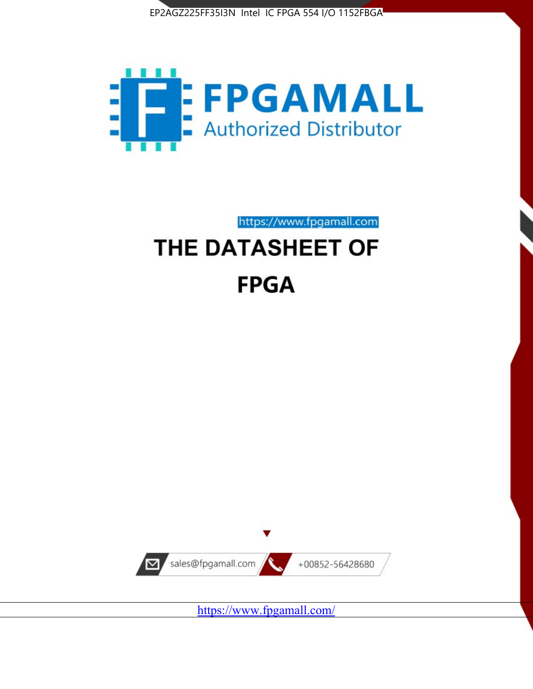



https://www.fpgamall.com

# THE DATASHEET OF **FPGA**



<https://www.fpgamall.com/>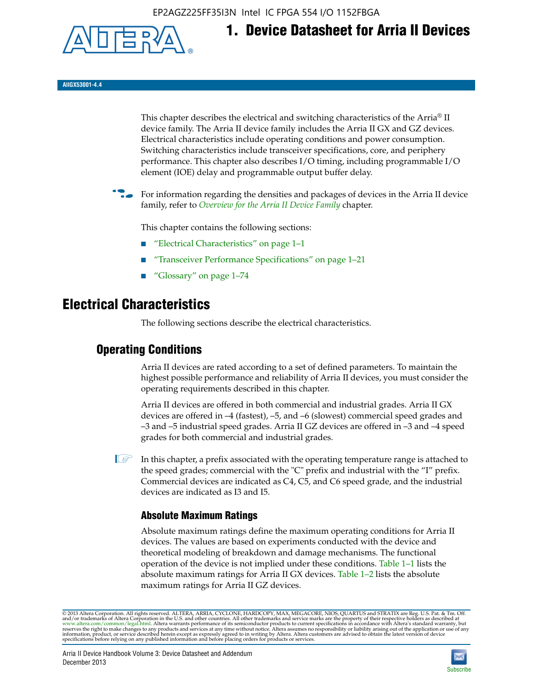EP2AGZ225FF35I3N Intel IC FPGA 554 I/O 1152FBGA



**1. Device Datasheet for Arria II Devices**

**AIIGX53001-4.4**

This chapter describes the electrical and switching characteristics of the Arria® II device family. The Arria II device family includes the Arria II GX and GZ devices. Electrical characteristics include operating conditions and power consumption. Switching characteristics include transceiver specifications, core, and periphery performance. This chapter also describes I/O timing, including programmable I/O element (IOE) delay and programmable output buffer delay.

For information regarding the densities and packages of devices in the Arria II device family, refer to *[Overview for the Arria II Device Family](http://www.altera.com/literature/hb/arria-ii-gx/aiigx_51001.pdf)* chapter.

This chapter contains the following sections:

- *"Electrical Characteristics"* on page 1–1
- "Transceiver Performance Specifications" on page 1–21
- "Glossary" on page 1–74

# **Electrical Characteristics**

The following sections describe the electrical characteristics.

# **Operating Conditions**

Arria II devices are rated according to a set of defined parameters. To maintain the highest possible performance and reliability of Arria II devices, you must consider the operating requirements described in this chapter.

Arria II devices are offered in both commercial and industrial grades. Arria II GX devices are offered in –4 (fastest), –5, and –6 (slowest) commercial speed grades and –3 and –5 industrial speed grades. Arria II GZ devices are offered in –3 and –4 speed grades for both commercial and industrial grades.

 $\Box$  In this chapter, a prefix associated with the operating temperature range is attached to the speed grades; commercial with the "C" prefix and industrial with the "I" prefix. Commercial devices are indicated as C4, C5, and C6 speed grade, and the industrial devices are indicated as I3 and I5.

# **Absolute Maximum Ratings**

Absolute maximum ratings define the maximum operating conditions for Arria II devices. The values are based on experiments conducted with the device and theoretical modeling of breakdown and damage mechanisms. The functional operation of the device is not implied under these conditions. Table 1–1 lists the absolute maximum ratings for Arria II GX devices. Table 1–2 lists the absolute maximum ratings for Arria II GZ devices.

© 2013 Altera Corporation. All rights reserved. ALTERA, ARRIA, CYCLONE, HARDCOPY, MAX, MEGACORE, NIOS, QUARTUS and STRATIX are Reg. U.S. Pat. & Tm. Off. [and/or trademarks of Altera Corporat](http://www.altera.com/common/legal.html)ion in the U.S. and other countri

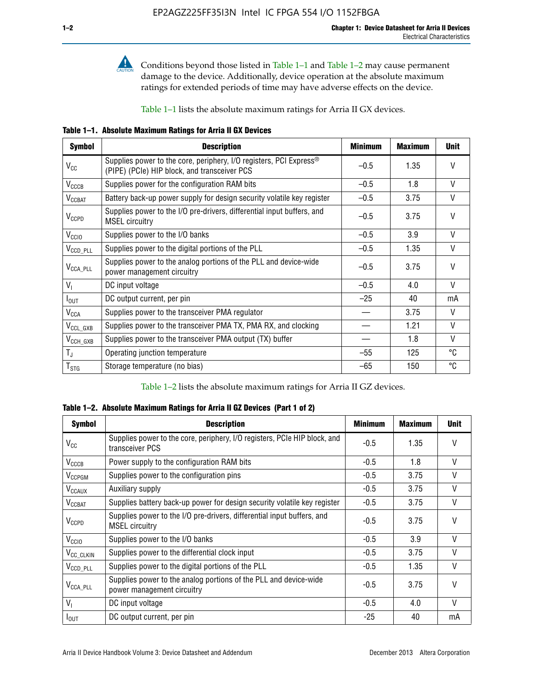

**Conditions beyond those listed in Table 1–1 and Table 1–2 may cause permanent** damage to the device. Additionally, device operation at the absolute maximum ratings for extended periods of time may have adverse effects on the device.

Table 1–1 lists the absolute maximum ratings for Arria II GX devices.

**Table 1–1. Absolute Maximum Ratings for Arria II GX Devices** 

| <b>Symbol</b>            | <b>Description</b>                                                                                                             | <b>Minimum</b> | <b>Maximum</b> | <b>Unit</b>  |
|--------------------------|--------------------------------------------------------------------------------------------------------------------------------|----------------|----------------|--------------|
| $\rm V_{CC}$             | Supplies power to the core, periphery, I/O registers, PCI Express <sup>®</sup><br>(PIPE) (PCIe) HIP block, and transceiver PCS | $-0.5$         | 1.35           | $\vee$       |
| $V_{CCCB}$               | Supplies power for the configuration RAM bits                                                                                  | $-0.5$         | 1.8            | V            |
| <b>V<sub>CCBAT</sub></b> | Battery back-up power supply for design security volatile key register                                                         | $-0.5$         | 3.75           | V            |
| $V_{CCPD}$               | Supplies power to the I/O pre-drivers, differential input buffers, and<br><b>MSEL circuitry</b>                                | $-0.5$         | 3.75           | $\vee$       |
| V <sub>CCIO</sub>        | Supplies power to the I/O banks                                                                                                | $-0.5$         | 3.9            | $\mathsf{V}$ |
| $V_{\text{CCD\_PLL}}$    | Supplies power to the digital portions of the PLL                                                                              | $-0.5$         | 1.35           | V            |
| $V_{\text{CCA\_PLL}}$    | Supplies power to the analog portions of the PLL and device-wide<br>power management circuitry                                 | $-0.5$         | 3.75           | $\mathsf{V}$ |
| $V_{1}$                  | DC input voltage                                                                                                               | $-0.5$         | 4.0            | $\mathsf{V}$ |
| $I_{\text{OUT}}$         | DC output current, per pin                                                                                                     | $-25$          | 40             | mA           |
| $V_{\text{CCA}}$         | Supplies power to the transceiver PMA regulator                                                                                |                | 3.75           | $\mathsf{V}$ |
| $V_{\rm CCL_GXB}$        | Supplies power to the transceiver PMA TX, PMA RX, and clocking                                                                 |                | 1.21           | $\mathsf{V}$ |
| $V_{\text{CCH_GXB}}$     | Supplies power to the transceiver PMA output (TX) buffer                                                                       |                | 1.8            | $\mathsf{V}$ |
| $T_{\rm J}$              | Operating junction temperature                                                                                                 | $-55$          | 125            | °C           |
| $T_{\tt STG}$            | Storage temperature (no bias)                                                                                                  | -65            | 150            | ℃            |

Table 1–2 lists the absolute maximum ratings for Arria II GZ devices.

**Table 1–2. Absolute Maximum Ratings for Arria II GZ Devices (Part 1 of 2)**

| <b>Symbol</b>            | <b>Description</b>                                                                              | <b>Minimum</b> | <b>Maximum</b> | <b>Unit</b>  |
|--------------------------|-------------------------------------------------------------------------------------------------|----------------|----------------|--------------|
| $V_{CC}$                 | Supplies power to the core, periphery, I/O registers, PCIe HIP block, and<br>transceiver PCS    | $-0.5$         | 1.35           | $\mathsf{V}$ |
| $V_{CCCB}$               | Power supply to the configuration RAM bits                                                      | $-0.5$         | 1.8            | $\vee$       |
| V <sub>CCPGM</sub>       | Supplies power to the configuration pins                                                        | $-0.5$         | 3.75           | $\vee$       |
| <b>V<sub>CCAUX</sub></b> | Auxiliary supply                                                                                | $-0.5$         | 3.75           | $\vee$       |
| <b>V<sub>CCBAT</sub></b> | Supplies battery back-up power for design security volatile key register                        | $-0.5$         | 3.75           | V            |
| <b>V<sub>CCPD</sub></b>  | Supplies power to the I/O pre-drivers, differential input buffers, and<br><b>MSEL circuitry</b> | $-0.5$         | 3.75           | $\mathsf{V}$ |
| V <sub>CCIO</sub>        | Supplies power to the I/O banks                                                                 | $-0.5$         | 3.9            | $\mathsf{V}$ |
| $V_{\rm CC\_CLKIN}$      | Supplies power to the differential clock input                                                  | $-0.5$         | 3.75           | V            |
| $V_{\text{CCD\_PLL}}$    | Supplies power to the digital portions of the PLL                                               | $-0.5$         | 1.35           | $\vee$       |
| V <sub>CCA_PLL</sub>     | Supplies power to the analog portions of the PLL and device-wide<br>power management circuitry  | $-0.5$         | 3.75           | $\mathsf{V}$ |
| $V_{1}$                  | DC input voltage                                                                                | $-0.5$         | 4.0            | $\vee$       |
| $I_{\text{OUT}}$         | DC output current, per pin                                                                      | $-25$          | 40             | mA           |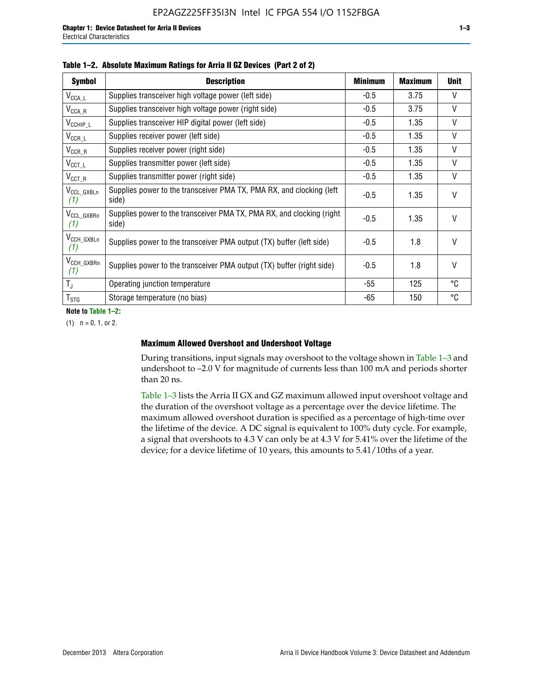| <b>Symbol</b>                  | <b>Description</b>                                                              | <b>Minimum</b> | <b>Maximum</b> | <b>Unit</b>  |
|--------------------------------|---------------------------------------------------------------------------------|----------------|----------------|--------------|
| $V_{\texttt{CCA}\_\textsf{L}}$ | Supplies transceiver high voltage power (left side)                             | $-0.5$         | 3.75           | V            |
| $V_{\text{CCA\_R}}$            | Supplies transceiver high voltage power (right side)                            | $-0.5$         | 3.75           | $\vee$       |
| $V_{CCHIP\_L}$                 | Supplies transceiver HIP digital power (left side)                              | $-0.5$         | 1.35           | $\vee$       |
| $V_{CCR\_L}$                   | Supplies receiver power (left side)                                             | $-0.5$         | 1.35           | $\mathsf{V}$ |
| $V_{CCR\_R}$                   | Supplies receiver power (right side)                                            | $-0.5$         | 1.35           | $\mathsf{V}$ |
| $V_{CCT\_L}$                   | Supplies transmitter power (left side)                                          | $-0.5$         | 1.35           | $\vee$       |
| $V_{CCT R}$                    | Supplies transmitter power (right side)                                         | $-0.5$         | 1.35           | V            |
| V <sub>CCL GXBLn</sub><br>(1)  | Supplies power to the transceiver PMA TX, PMA RX, and clocking (left)<br>side)  | $-0.5$         | 1.35           | $\vee$       |
| V <sub>CCL_GXBRn</sub><br>(1)  | Supplies power to the transceiver PMA TX, PMA RX, and clocking (right)<br>side) | $-0.5$         | 1.35           | $\vee$       |
| V <sub>CCH_GXBLn</sub><br>(1)  | Supplies power to the transceiver PMA output (TX) buffer (left side)            | -0.5           | 1.8            | $\mathsf{V}$ |
| V <sub>CCH_GXBRn</sub><br>(1)  | Supplies power to the transceiver PMA output (TX) buffer (right side)           | -0.5           | 1.8            | $\vee$       |
| $T_{\rm J}$                    | Operating junction temperature                                                  | -55            | 125            | °C           |
| $T_{STG}$                      | Storage temperature (no bias)                                                   | -65            | 150            | ℃            |

|  |  | Table 1-2. Absolute Maximum Ratings for Arria II GZ Devices (Part 2 of 2) |  |  |  |
|--|--|---------------------------------------------------------------------------|--|--|--|
|--|--|---------------------------------------------------------------------------|--|--|--|

**Note to Table 1–2:**

 $(1)$   $n = 0, 1,$  or 2.

#### **Maximum Allowed Overshoot and Undershoot Voltage**

During transitions, input signals may overshoot to the voltage shown in Table 1–3 and undershoot to –2.0 V for magnitude of currents less than 100 mA and periods shorter than 20 ns.

Table 1–3 lists the Arria II GX and GZ maximum allowed input overshoot voltage and the duration of the overshoot voltage as a percentage over the device lifetime. The maximum allowed overshoot duration is specified as a percentage of high-time over the lifetime of the device. A DC signal is equivalent to 100% duty cycle. For example, a signal that overshoots to 4.3 V can only be at 4.3 V for 5.41% over the lifetime of the device; for a device lifetime of 10 years, this amounts to 5.41/10ths of a year.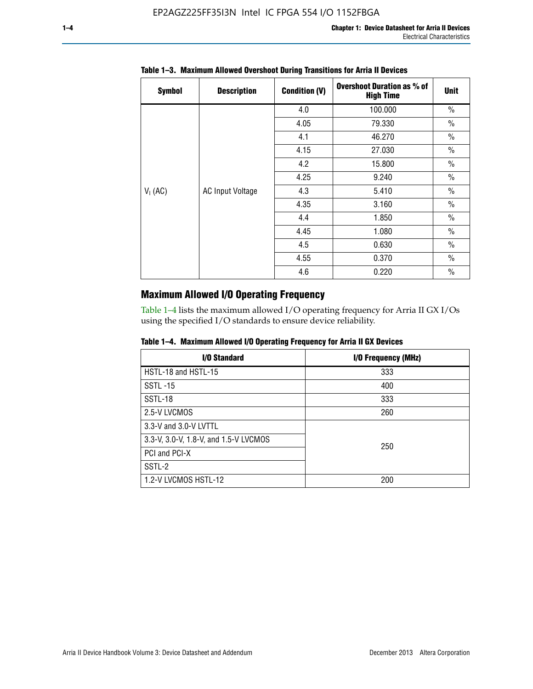| <b>Symbol</b> | <b>Description</b>      | <b>Condition (V)</b> | <b>Overshoot Duration as % of</b><br><b>High Time</b> | <b>Unit</b>   |
|---------------|-------------------------|----------------------|-------------------------------------------------------|---------------|
|               |                         | 4.0                  | 100.000                                               | $\frac{0}{0}$ |
|               |                         | 4.05                 | 79.330                                                | $\frac{0}{0}$ |
|               |                         | 4.1                  | 46.270                                                | $\frac{0}{0}$ |
|               |                         | 4.15                 | 27.030                                                | $\frac{0}{0}$ |
|               | <b>AC Input Voltage</b> | 4.2                  | 15.800                                                | $\frac{0}{0}$ |
|               |                         | 4.25                 | 9.240                                                 | $\frac{0}{0}$ |
| $V_1$ (AC)    |                         | 4.3                  | 5.410                                                 | $\frac{0}{0}$ |
|               |                         | 4.35                 | 3.160                                                 | $\frac{0}{0}$ |
|               |                         | 4.4                  | 1.850                                                 | $\frac{0}{0}$ |
|               |                         | 4.45                 | 1.080                                                 | $\frac{0}{0}$ |
|               |                         | 4.5                  | 0.630                                                 | $\frac{0}{0}$ |
|               |                         | 4.55                 | 0.370                                                 | $\frac{0}{0}$ |
|               |                         | 4.6                  | 0.220                                                 | $\frac{0}{0}$ |

# **Table 1–3. Maximum Allowed Overshoot During Transitions for Arria II Devices**

# **Maximum Allowed I/O Operating Frequency**

Table 1–4 lists the maximum allowed I/O operating frequency for Arria II GX I/Os using the specified I/O standards to ensure device reliability.

|  |  |  | Table 1–4. Maximum Allowed I/O Operating Frequency for Arria II GX Devices |
|--|--|--|----------------------------------------------------------------------------|
|--|--|--|----------------------------------------------------------------------------|

| <b>I/O Standard</b>                   | I/O Frequency (MHz) |
|---------------------------------------|---------------------|
| HSTL-18 and HSTL-15                   | 333                 |
| <b>SSTL-15</b>                        | 400                 |
| SSTL-18                               | 333                 |
| 2.5-V LVCMOS                          | 260                 |
| 3.3-V and 3.0-V LVTTL                 |                     |
| 3.3-V, 3.0-V, 1.8-V, and 1.5-V LVCMOS | 250                 |
| PCI and PCI-X                         |                     |
| SSTL-2                                |                     |
| 1.2-V LVCMOS HSTL-12                  | 200                 |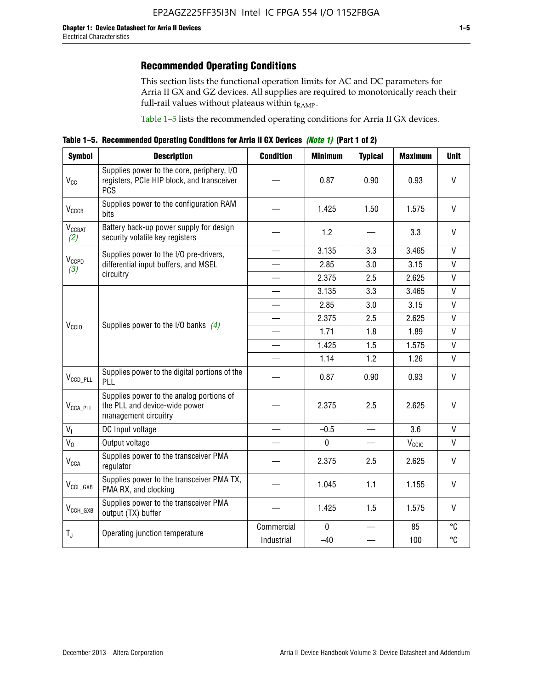This section lists the functional operation limits for AC and DC parameters for Arria II GX and GZ devices. All supplies are required to monotonically reach their full-rail values without plateaus within  $t_{RAMP}$ .

Table 1–5 lists the recommended operating conditions for Arria II GX devices.

**Table 1–5. Recommended Operating Conditions for Arria II GX Devices** *(Note 1)* **(Part 1 of 2)**

| <b>Symbol</b>                   | <b>Description</b>                                                                                     | <b>Condition</b>         | <b>Minimum</b> | <b>Typical</b> | <b>Maximum</b>    | <b>Unit</b>  |
|---------------------------------|--------------------------------------------------------------------------------------------------------|--------------------------|----------------|----------------|-------------------|--------------|
| $V_{CC}$                        | Supplies power to the core, periphery, I/O<br>registers, PCIe HIP block, and transceiver<br><b>PCS</b> |                          | 0.87           | 0.90           | 0.93              | $\vee$       |
| $V_{CCCB}$                      | Supplies power to the configuration RAM<br>bits                                                        |                          | 1.425          | 1.50           | 1.575             | $\mathsf{V}$ |
| <b>V<sub>CCBAT</sub></b><br>(2) | Battery back-up power supply for design<br>security volatile key registers                             |                          | 1.2            |                | 3.3               | $\mathsf{V}$ |
|                                 | Supplies power to the I/O pre-drivers,                                                                 | $\overline{\phantom{0}}$ | 3.135          | 3.3            | 3.465             | $\mathsf{V}$ |
| V <sub>CCPD</sub><br>(3)        | differential input buffers, and MSEL                                                                   |                          | 2.85           | 3.0            | 3.15              | $\mathsf{V}$ |
|                                 | circuitry                                                                                              |                          | 2.375          | 2.5            | 2.625             | $\mathsf{V}$ |
|                                 |                                                                                                        |                          | 3.135          | 3.3            | 3.465             | $\mathsf{V}$ |
|                                 | Supplies power to the I/O banks $(4)$                                                                  |                          | 2.85           | 3.0            | 3.15              | $\mathsf{V}$ |
|                                 |                                                                                                        |                          | 2.375          | 2.5            | 2.625             | V            |
| V <sub>CCIO</sub>               |                                                                                                        |                          | 1.71           | 1.8            | 1.89              | $\mathsf{V}$ |
|                                 |                                                                                                        |                          | 1.425          | 1.5            | 1.575             | V            |
|                                 |                                                                                                        |                          | 1.14           | 1.2            | 1.26              | $\mathsf{V}$ |
| $V_{CCD\_PLL}$                  | Supplies power to the digital portions of the<br>PLL                                                   |                          | 0.87           | 0.90           | 0.93              | V            |
| V <sub>CCA_PLL</sub>            | Supplies power to the analog portions of<br>the PLL and device-wide power<br>management circuitry      |                          | 2.375          | 2.5            | 2.625             | V            |
| V <sub>1</sub>                  | DC Input voltage                                                                                       |                          | $-0.5$         |                | 3.6               | $\mathsf{V}$ |
| $V_0$                           | Output voltage                                                                                         |                          | $\pmb{0}$      |                | V <sub>CCIO</sub> | V            |
| <b>V<sub>CCA</sub></b>          | Supplies power to the transceiver PMA<br>regulator                                                     |                          | 2.375          | 2.5            | 2.625             | $\mathsf{V}$ |
| $V_{CCL_GXB}$                   | Supplies power to the transceiver PMA TX,<br>PMA RX, and clocking                                      |                          | 1.045          | 1.1            | 1.155             | V            |
| $V_{CCH_GXB}$                   | Supplies power to the transceiver PMA<br>output (TX) buffer                                            |                          | 1.425          | 1.5            | 1.575             | V            |
|                                 | Operating junction temperature                                                                         | Commercial               | $\mathbf 0$    |                | 85                | °C           |
| $T_{J}$                         |                                                                                                        | Industrial               | $-40$          |                | 100               | °C           |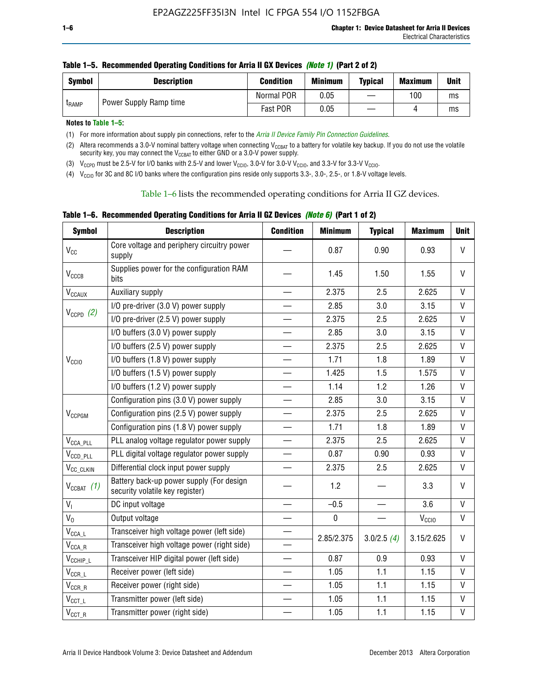| <b>Symbol</b> | <b>Description</b>     | <b>Condition</b> | <b>Minimum</b> | <b>Typical</b> | <b>Maximum</b> | Unit |
|---------------|------------------------|------------------|----------------|----------------|----------------|------|
| <b>LRAMP</b>  | Power Supply Ramp time | Normal POR       | 0.05           |                | 100            | ms   |
|               |                        | Fast POR         | 0.05           |                |                | ms   |

| Table 1–5. Recommended Operating Conditions for Arria II GX Devices (Note 1) (Part 2 of 2) |  |  |  |
|--------------------------------------------------------------------------------------------|--|--|--|
|                                                                                            |  |  |  |

**Notes to Table 1–5:** 

(1) For more information about supply pin connections, refer to the *[Arria II Device Family Pin Connection Guidelines](http://www.altera.com/literature/dp/arria-ii-gx/PCG-01007.pdf)*.

(2) Altera recommends a 3.0-V nominal battery voltage when connecting V<sub>CCBAT</sub> to a battery for volatile key backup. If you do not use the volatile security key, you may connect the V<sub>CCBAT</sub> to either GND or a 3.0-V power supply.

(3)  $V_{CCPD}$  must be 2.5-V for I/O banks with 2.5-V and lower  $V_{CCIO}$ , 3.0-V for 3.0-V  $V_{CCIO}$ , and 3.3-V for 3.3-V  $V_{CCIO}$ .

(4)  $V_{\text{CCIO}}$  for 3C and 8C I/O banks where the configuration pins reside only supports 3.3-, 3.0-, 2.5-, or 1.8-V voltage levels.

Table 1–6 lists the recommended operating conditions for Arria II GZ devices.

**Table 1–6. Recommended Operating Conditions for Arria II GZ Devices** *(Note 6)* **(Part 1 of 2)**

| <b>Symbol</b>                           | <b>Description</b>                                                          | <b>Condition</b>         | <b>Minimum</b> | <b>Typical</b> | <b>Maximum</b>    | <b>Unit</b>  |
|-----------------------------------------|-----------------------------------------------------------------------------|--------------------------|----------------|----------------|-------------------|--------------|
| $V_{CC}$                                | Core voltage and periphery circuitry power<br>supply                        |                          | 0.87           | 0.90           | 0.93              | $\mathsf{V}$ |
| <b>V<sub>CCCB</sub></b>                 | Supplies power for the configuration RAM<br>bits                            |                          | 1.45           | 1.50           | 1.55              | V            |
| $V_{\text{CCAUX}}$                      | Auxiliary supply                                                            |                          | 2.375          | 2.5            | 2.625             | $\vee$       |
|                                         | I/O pre-driver (3.0 V) power supply                                         |                          | 2.85           | 3.0            | 3.15              | V            |
| $V_{CCPD}$ (2)                          | I/O pre-driver (2.5 V) power supply                                         |                          | 2.375          | 2.5            | 2.625             | $\mathsf{V}$ |
|                                         | I/O buffers (3.0 V) power supply                                            |                          | 2.85           | 3.0            | 3.15              | V            |
|                                         | I/O buffers (2.5 V) power supply                                            |                          | 2.375          | 2.5            | 2.625             | $\vee$       |
| V <sub>CCIO</sub>                       | I/O buffers (1.8 V) power supply                                            |                          | 1.71           | 1.8            | 1.89              | V            |
|                                         | I/O buffers (1.5 V) power supply                                            | $\overline{\phantom{0}}$ | 1.425          | 1.5            | 1.575             | $\mathsf{V}$ |
|                                         | I/O buffers (1.2 V) power supply                                            |                          | 1.14           | 1.2            | 1.26              | $\mathsf{V}$ |
|                                         | Configuration pins (3.0 V) power supply                                     |                          | 2.85           | 3.0            | 3.15              | V            |
| V <sub>CCPGM</sub>                      | Configuration pins (2.5 V) power supply                                     |                          | 2.375          | 2.5            | 2.625             | $\mathsf{V}$ |
|                                         | Configuration pins (1.8 V) power supply                                     | $\overline{\phantom{0}}$ | 1.71           | 1.8            | 1.89              | $\mathsf{V}$ |
| $V_{\text{CCA\_PLL}}$                   | PLL analog voltage regulator power supply                                   |                          | 2.375          | 2.5            | 2.625             | $\mathsf{V}$ |
| $V_{CCD\_PLL}$                          | PLL digital voltage regulator power supply                                  | $\equiv$                 | 0.87           | 0.90           | 0.93              | $\mathsf{V}$ |
| V <sub>CC_CLKIN</sub>                   | Differential clock input power supply                                       | $\equiv$                 | 2.375          | 2.5            | 2.625             | V            |
| $V_{CCBAT}$ (1)                         | Battery back-up power supply (For design<br>security volatile key register) |                          | 1.2            |                | 3.3               | $\vee$       |
| V <sub>1</sub>                          | DC input voltage                                                            |                          | $-0.5$         |                | 3.6               | $\vee$       |
| $V_0$                                   | Output voltage                                                              |                          | $\pmb{0}$      |                | V <sub>CCIO</sub> | V            |
| $\mathsf{V}_{\mathsf{CCA}\_\mathsf{L}}$ | Transceiver high voltage power (left side)                                  |                          |                |                |                   | $\vee$       |
| $\mathsf{V}_{\mathsf{CCA\_R}}$          | Transceiver high voltage power (right side)                                 |                          | 2.85/2.375     | 3.0/2.5(4)     | 3.15/2.625        |              |
| $V_{CCHIP\_L}$                          | Transceiver HIP digital power (left side)                                   | $\qquad \qquad \qquad$   | 0.87           | 0.9            | 0.93              | V            |
| $\mathsf{V}_{\texttt{CCR\_L}}$          | Receiver power (left side)                                                  |                          | 1.05           | 1.1            | 1.15              | V            |
| $\mathsf{V}_{\mathsf{CCR\_R}}$          | Receiver power (right side)                                                 |                          | 1.05           | 1.1            | 1.15              | V            |
| $\mathsf{V}_{\texttt{CCT\_L}}$          | Transmitter power (left side)                                               |                          | 1.05           | 1.1            | 1.15              | V            |
| $V_{CCT\_R}$                            | Transmitter power (right side)                                              |                          | 1.05           | 1.1            | 1.15              | V            |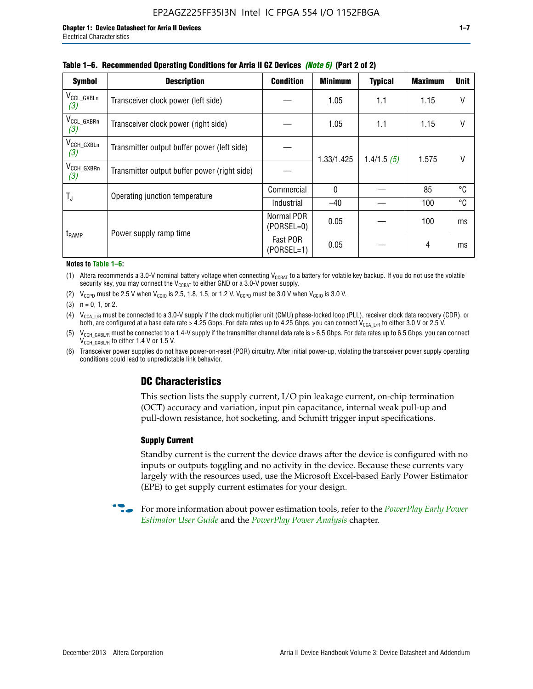| <b>Symbol</b>                 | <b>Description</b>                           | <b>Condition</b>           | <b>Minimum</b> | <b>Typical</b> | <b>Maximum</b> | <b>Unit</b> |
|-------------------------------|----------------------------------------------|----------------------------|----------------|----------------|----------------|-------------|
| $V_{CCL_GXBLn}$<br>(3)        | Transceiver clock power (left side)          |                            | 1.05           | 1.1            | 1.15           | V           |
| $V_{CCL_GXBRn}$<br>(3)        | Transceiver clock power (right side)         |                            | 1.05           | 1.1            | 1.15           |             |
| $V_{\text{CCH_GXBLn}}$<br>(3) | Transmitter output buffer power (left side)  |                            | 1.33/1.425     | 1.4/1.5(5)     | 1.575          |             |
| V <sub>CCH_GXBRn</sub><br>(3) | Transmitter output buffer power (right side) |                            |                |                |                |             |
| T,                            | Operating junction temperature               | Commercial                 | $\mathbf{0}$   |                | 85             | °C          |
|                               |                                              | Industrial                 | $-40$          |                | 100            | °C          |
| t <sub>RAMP</sub>             | Power supply ramp time                       | Normal POR<br>$(PORSEL=0)$ | 0.05           |                | 100            | ms          |
|                               |                                              | Fast POR<br>(PORSEL=1)     | 0.05           |                | 4              | ms          |

#### **Table 1–6. Recommended Operating Conditions for Arria II GZ Devices** *(Note 6)* **(Part 2 of 2)**

#### **Notes to Table 1–6:**

(1) Altera recommends a 3.0-V nominal battery voltage when connecting  $V_{CCBAT}$  to a battery for volatile key backup. If you do not use the volatile security key, you may connect the  $V_{CCBAT}$  to either GND or a 3.0-V power supply.

(2)  $V_{CCPD}$  must be 2.5 V when  $V_{CCIO}$  is 2.5, 1.8, 1.5, or 1.2 V.  $V_{CCPD}$  must be 3.0 V when  $V_{CCIO}$  is 3.0 V.

(3)  $n = 0, 1, or 2$ .

(4)  $V_{CCA~LR}$  must be connected to a 3.0-V supply if the clock multiplier unit (CMU) phase-locked loop (PLL), receiver clock data recovery (CDR), or both, are configured at a base data rate > 4.25 Gbps. For data rates up to 4.25 Gbps, you can connect V<sub>CCA L/R</sub> to either 3.0 V or 2.5 V.

(5)  $V_{\text{CCH\_GXBL/R}}$  must be connected to a 1.4-V supply if the transmitter channel data rate is > 6.5 Gbps. For data rates up to 6.5 Gbps, you can connect V<sub>CCH\_GXBL/R</sub> to either 1.4 V or 1.5 V.

(6) Transceiver power supplies do not have power-on-reset (POR) circuitry. After initial power-up, violating the transceiver power supply operating conditions could lead to unpredictable link behavior.

# **DC Characteristics**

This section lists the supply current, I/O pin leakage current, on-chip termination (OCT) accuracy and variation, input pin capacitance, internal weak pull-up and pull-down resistance, hot socketing, and Schmitt trigger input specifications.

## **Supply Current**

Standby current is the current the device draws after the device is configured with no inputs or outputs toggling and no activity in the device. Because these currents vary largely with the resources used, use the Microsoft Excel-based Early Power Estimator (EPE) to get supply current estimates for your design.

**For more information about power estimation tools, refer to the** *PowerPlay Early Power* **<b>Formation** *[Estimator User Guide](http://www.altera.com/literature/ug/ug_epe.pdf
)* and the *[PowerPlay Power Analysis](http://www.altera.com/literature/hb/qts/qts_qii53013.pdf)* chapter.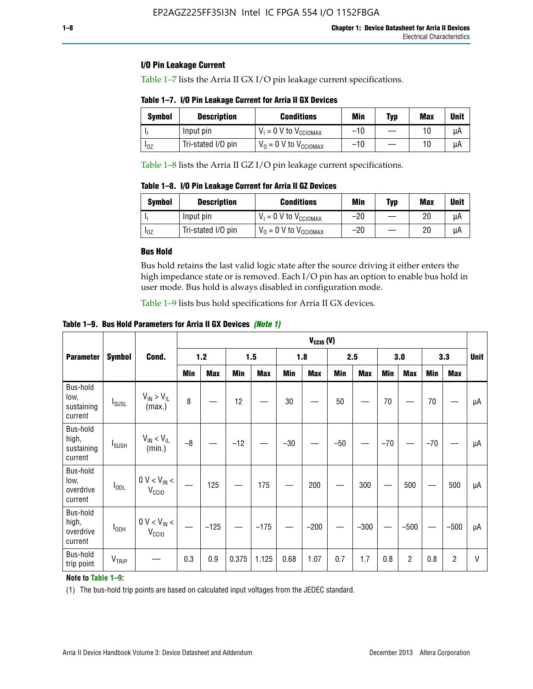## **I/O Pin Leakage Current**

Table 1–7 lists the Arria II GX I/O pin leakage current specifications.

# **Table 1–7. I/O Pin Leakage Current for Arria II GX Devices**

| Symbol   | <b>Description</b> | <b>Conditions</b>                   | <b>Min</b> | <b>Typ</b> | <b>Max</b> | <b>Unit</b> |
|----------|--------------------|-------------------------------------|------------|------------|------------|-------------|
|          | Input pin          | $V_1 = 0$ V to $V_{\text{CCIOMAX}}$ | $-10$      |            |            | uА          |
| $I_{0Z}$ | Tri-stated I/O pin | $V_0 = 0$ V to $V_{\text{CCIOMAX}}$ | $-10$      |            | 10         | uА          |

Table 1–8 lists the Arria II GZ I/O pin leakage current specifications.

**Table 1–8. I/O Pin Leakage Current for Arria II GZ Devices**

| Symbol | <b>Description</b> | <b>Conditions</b>                   | Min   | Typ | Max | Unit |
|--------|--------------------|-------------------------------------|-------|-----|-----|------|
|        | Input pin          | $V_1 = 0$ V to $V_{\text{CCIOMAX}}$ | $-20$ |     | 20  | uА   |
| 10Z    | Tri-stated I/O pin | $V_0 = 0$ V to $V_{\text{CCIOMAX}}$ | $-20$ |     | 20  | μA   |

# **Bus Hold**

Bus hold retains the last valid logic state after the source driving it either enters the high impedance state or is removed. Each I/O pin has an option to enable bus hold in user mode. Bus hold is always disabled in configuration mode.

Table 1–9 lists bus hold specifications for Arria II GX devices.

**Table 1–9. Bus Hold Parameters for Arria II GX Devices** *(Note 1)*

|                                            |                          |                                       |      |            |       |            |       | $V_{CClO}$ (V) |       |            |       |                |       |                |              |
|--------------------------------------------|--------------------------|---------------------------------------|------|------------|-------|------------|-------|----------------|-------|------------|-------|----------------|-------|----------------|--------------|
| <b>Parameter</b>                           | <b>Symbol</b>            | Cond.                                 |      | $1.2$      |       | 1.5        |       | 1.8            |       | 2.5        |       | 3.0            |       | 3.3            | <b>Unit</b>  |
|                                            |                          |                                       | Min  | <b>Max</b> | Min   | <b>Max</b> | Min   | <b>Max</b>     | Min   | <b>Max</b> | Min   | <b>Max</b>     | Min   | <b>Max</b>     |              |
| Bus-hold<br>low,<br>sustaining<br>current  | <b>I</b> <sub>SUSL</sub> | $V_{IN}$ > $V_{IL}$<br>(max.)         | 8    |            | 12    |            | 30    |                | 50    |            | 70    |                | 70    |                | μA           |
| Bus-hold<br>high,<br>sustaining<br>current | <b>I</b> <sub>SUSH</sub> | $V_{IN}$ < $V_{IL}$<br>(min.)         | $-8$ |            | $-12$ |            | $-30$ |                | $-50$ |            | $-70$ |                | $-70$ |                | μA           |
| Bus-hold<br>low,<br>overdrive<br>current   | $I_{ODL}$                | $0 V < V_{IN} <$<br>V <sub>CCIO</sub> |      | 125        |       | 175        |       | 200            |       | 300        |       | 500            |       | 500            | μA           |
| Bus-hold<br>high,<br>overdrive<br>current  | $I_{ODH}$                | $0 V < V_{IN}$ <<br>V <sub>CCIO</sub> |      | $-125$     |       | $-175$     |       | $-200$         |       | $-300$     |       | $-500$         |       | $-500$         | μA           |
| Bus-hold<br>trip point                     | VTRIP                    |                                       | 0.3  | 0.9        | 0.375 | 1.125      | 0.68  | 1.07           | 0.7   | 1.7        | 0.8   | $\overline{c}$ | 0.8   | $\overline{c}$ | $\mathsf{V}$ |

## **Note to Table 1–9:**

(1) The bus-hold trip points are based on calculated input voltages from the JEDEC standard.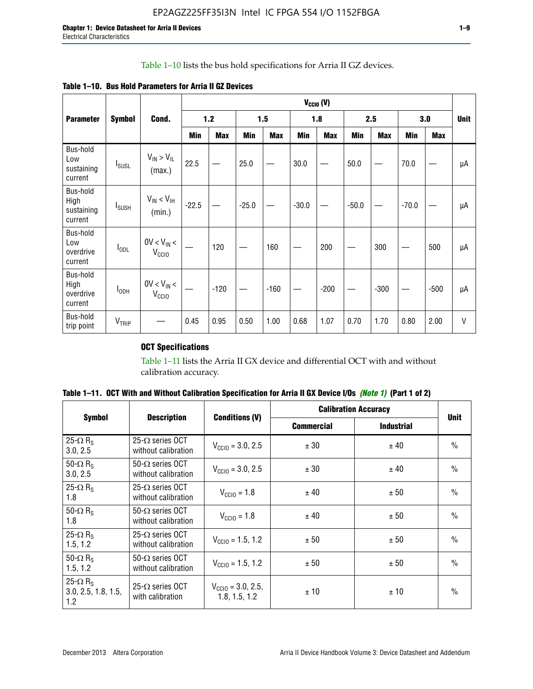# Table 1–10 lists the bus hold specifications for Arria II GZ devices.

|  |  | Table 1–10. Bus Hold Parameters for Arria II GZ Devices |
|--|--|---------------------------------------------------------|
|--|--|---------------------------------------------------------|

|                                           |                   |                                    |         |            |         |            |         | $V_{CClO}$ (V) |         |            |         |            |             |
|-------------------------------------------|-------------------|------------------------------------|---------|------------|---------|------------|---------|----------------|---------|------------|---------|------------|-------------|
| <b>Parameter</b>                          | <b>Symbol</b>     | Cond.                              |         | 1.2        |         | 1.5        |         | 1.8            |         | 2.5        |         | 3.0        | <b>Unit</b> |
|                                           |                   |                                    | Min     | <b>Max</b> | Min     | <b>Max</b> | Min     | <b>Max</b>     | Min     | <b>Max</b> | Min     | <b>Max</b> |             |
| Bus-hold<br>Low<br>sustaining<br>current  | $I_{SUSL}$        | $V_{IN} > V_{IL}$<br>(max.)        | 22.5    |            | 25.0    |            | 30.0    |                | 50.0    |            | 70.0    |            | μA          |
| Bus-hold<br>High<br>sustaining<br>current | $I_{SUSH}$        | $V_{IN}$ < $V_{IH}$<br>(min.)      | $-22.5$ |            | $-25.0$ |            | $-30.0$ |                | $-50.0$ |            | $-70.0$ |            | μA          |
| Bus-hold<br>Low<br>overdrive<br>current   | $I_{ODL}$         | $0V < V_{IN}$<br>V <sub>CCIO</sub> |         | 120        |         | 160        |         | 200            |         | 300        |         | 500        | μA          |
| Bus-hold<br>High<br>overdrive<br>current  | $I_{ODH}$         | $0V < V_{IN}$<br>V <sub>CCIO</sub> |         | $-120$     |         | $-160$     |         | $-200$         |         | $-300$     |         | $-500$     | μA          |
| Bus-hold<br>trip point                    | V <sub>TRIP</sub> |                                    | 0.45    | 0.95       | 0.50    | 1.00       | 0.68    | 1.07           | 0.70    | 1.70       | 0.80    | 2.00       | V           |

# **OCT Specifications**

Table 1–11 lists the Arria II GX device and differential OCT with and without calibration accuracy.

|                                                           |                                                 |                                                |                   | <b>Calibration Accuracy</b> | <b>Unit</b><br>$\frac{0}{0}$<br>$\frac{0}{0}$<br>$\frac{0}{0}$<br>$\frac{0}{0}$<br>$\frac{0}{0}$<br>$\frac{0}{0}$ |
|-----------------------------------------------------------|-------------------------------------------------|------------------------------------------------|-------------------|-----------------------------|-------------------------------------------------------------------------------------------------------------------|
| <b>Symbol</b>                                             | <b>Description</b>                              | <b>Conditions (V)</b>                          | <b>Commercial</b> | <b>Industrial</b>           |                                                                                                                   |
| 25- $\Omega$ R <sub>s</sub><br>3.0, 2.5                   | 25- $\Omega$ series OCT<br>without calibration  | $V_{\text{CC10}} = 3.0, 2.5$                   | ± 30              | ± 40                        |                                                                                                                   |
| 50- $\Omega$ R <sub>s</sub><br>3.0, 2.5                   | $50-\Omega$ series OCT<br>without calibration   | $V_{\text{CC10}} = 3.0, 2.5$                   | ± 30              | ± 40                        |                                                                                                                   |
| 25- $\Omega$ R <sub>S</sub><br>1.8                        | 25- $\Omega$ series OCT<br>without calibration  | $V_{\text{CCI0}} = 1.8$                        | ± 40              | ± 50                        |                                                                                                                   |
| 50- $\Omega$ R <sub>s</sub><br>1.8                        | $50-\Omega$ series OCT<br>without calibration   | $V_{\text{CC10}} = 1.8$                        | ± 40              | ± 50                        |                                                                                                                   |
| 25- $\Omega$ R <sub>s</sub><br>1.5, 1.2                   | 25- $\Omega$ series OCT<br>without calibration  | $V_{CCD} = 1.5, 1.2$                           | ± 50              | ± 50                        |                                                                                                                   |
| 50- $\Omega$ R <sub>s</sub><br>1.5, 1.2                   | $50 - \Omega$ series OCT<br>without calibration | $V_{\text{CC10}} = 1.5, 1.2$                   | ± 50              | ± 50                        |                                                                                                                   |
| 25- $\Omega$ R <sub>S</sub><br>3.0, 2.5, 1.8, 1.5,<br>1.2 | 25- $\Omega$ series OCT<br>with calibration     | $V_{\text{CC10}} = 3.0, 2.5,$<br>1.8, 1.5, 1.2 | ±10               | ± 10                        | $\frac{0}{0}$                                                                                                     |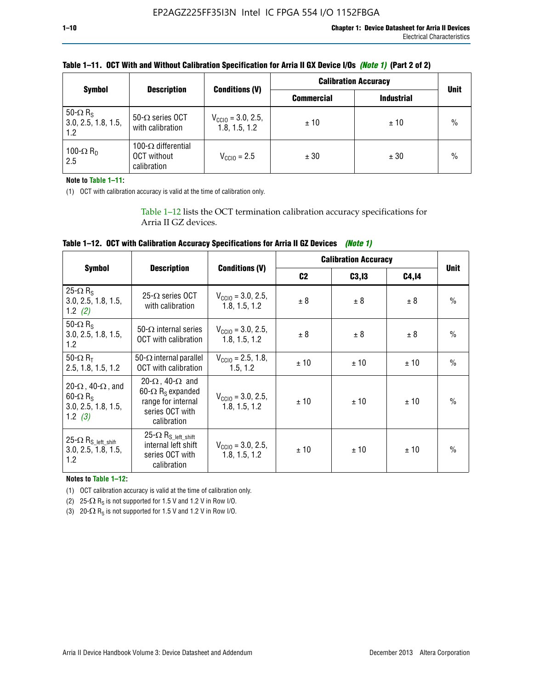|                                                           |                                                                 |                                                | <b>Calibration Accuracy</b> |                   |               |
|-----------------------------------------------------------|-----------------------------------------------------------------|------------------------------------------------|-----------------------------|-------------------|---------------|
| <b>Symbol</b>                                             | <b>Description</b>                                              | <b>Conditions (V)</b>                          | <b>Commercial</b>           | <b>Industrial</b> | <b>Unit</b>   |
| 50- $\Omega$ R <sub>S</sub><br>3.0, 2.5, 1.8, 1.5,<br>1.2 | 50- $\Omega$ series OCT<br>with calibration                     | $V_{\text{CC10}} = 3.0, 2.5,$<br>1.8, 1.5, 1.2 | ±10                         | ± 10              | $\frac{0}{0}$ |
| 100- $\Omega$ R <sub>D</sub><br>2.5                       | 100- $\Omega$ differential<br><b>OCT</b> without<br>calibration | $V_{\text{CC10}} = 2.5$                        | ± 30                        | ± 30              | $\frac{0}{0}$ |

# **Table 1–11. OCT With and Without Calibration Specification for Arria II GX Device I/Os** *(Note 1)* **(Part 2 of 2)**

**Note to Table 1–11:**

(1) OCT with calibration accuracy is valid at the time of calibration only.

Table 1–12 lists the OCT termination calibration accuracy specifications for Arria II GZ devices.

| Table 1–12. OCT with Calibration Accuracy Specifications for Arria II GZ Devices (Note 1) |  |  |  |  |
|-------------------------------------------------------------------------------------------|--|--|--|--|
|-------------------------------------------------------------------------------------------|--|--|--|--|

|                                                                                                       |                                                                                                                                 |                                                |                | <b>Calibration Accuracy</b> |        | <b>Unit</b><br>$\frac{0}{0}$<br>$\frac{0}{0}$<br>$\frac{0}{0}$ |
|-------------------------------------------------------------------------------------------------------|---------------------------------------------------------------------------------------------------------------------------------|------------------------------------------------|----------------|-----------------------------|--------|----------------------------------------------------------------|
| <b>Symbol</b>                                                                                         | <b>Description</b>                                                                                                              | <b>Conditions (V)</b>                          | C <sub>2</sub> | C3, I3                      | C4, 14 |                                                                |
| 25- $\Omega$ R <sub>S</sub><br>3.0, 2.5, 1.8, 1.5,<br>1.2 $(2)$                                       | 25- $\Omega$ series OCT<br>with calibration                                                                                     | $V_{\text{CC10}} = 3.0, 2.5,$<br>1.8, 1.5, 1.2 | ± 8            | ± 8                         | ± 8    |                                                                |
| $50 - \Omega$ R <sub>s</sub><br>3.0, 2.5, 1.8, 1.5,<br>1.2                                            | 50- $\Omega$ internal series<br>OCT with calibration                                                                            | $V_{\text{CC10}} = 3.0, 2.5,$<br>1.8, 1.5, 1.2 | ± 8            | ± 8                         | ± 8    |                                                                |
| 50- $\Omega$ R <sub>T</sub><br>2.5, 1.8, 1.5, 1.2                                                     | 50- $\Omega$ internal parallel<br>OCT with calibration                                                                          | $V_{CClO} = 2.5, 1.8,$<br>1.5.1.2              | ±10            | ± 10                        | ± 10   |                                                                |
| 20- $\Omega$ , 40- $\Omega$ , and<br>$60 - \Omega$ R <sub>S</sub><br>3.0, 2.5, 1.8, 1.5,<br>1.2 $(3)$ | 20- $\Omega$ , 40- $\Omega$ and<br>60- $\Omega$ R <sub>s</sub> expanded<br>range for internal<br>series OCT with<br>calibration | $V_{\text{CC10}} = 3.0, 2.5,$<br>1.8, 1.5, 1.2 | ±10            | ± 10                        | ± 10   | $\frac{0}{0}$                                                  |
| $25-\Omega R_{S\_left\_shift}$<br>3.0, 2.5, 1.8, 1.5,<br>1.2                                          | 25- $\Omega$ R <sub>S_left_shift</sub><br>internal left shift<br>series OCT with<br>calibration                                 | $V_{\text{CC10}} = 3.0, 2.5,$<br>1.8, 1.5, 1.2 | ±10            | ± 10                        | ± 10   | $\frac{0}{0}$                                                  |

**Notes to Table 1–12:**

(1) OCT calibration accuracy is valid at the time of calibration only.

(2) 25- $\Omega$  R<sub>S</sub> is not supported for 1.5 V and 1.2 V in Row I/O.

(3)  $20-\Omega$  R<sub>S</sub> is not supported for 1.5 V and 1.2 V in Row I/O.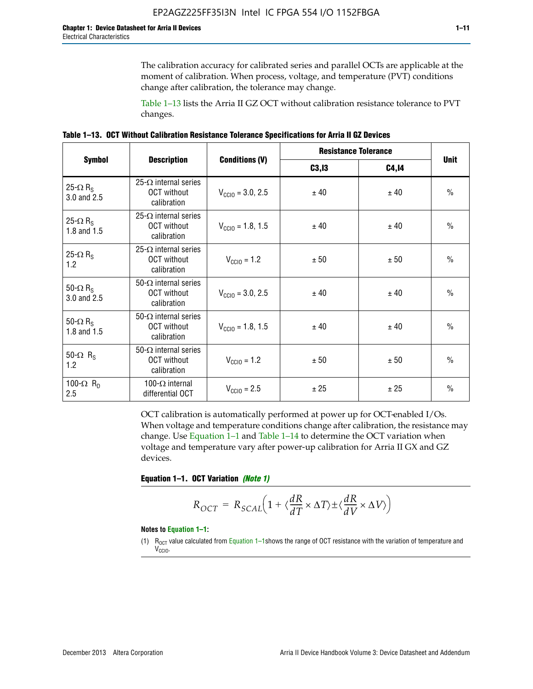The calibration accuracy for calibrated series and parallel OCTs are applicable at the moment of calibration. When process, voltage, and temperature (PVT) conditions change after calibration, the tolerance may change.

Table 1–13 lists the Arria II GZ OCT without calibration resistance tolerance to PVT changes.

|  | Table 1–13. OCT Without Calibration Resistance Tolerance Specifications for Arria II GZ Devices |  |  |
|--|-------------------------------------------------------------------------------------------------|--|--|
|--|-------------------------------------------------------------------------------------------------|--|--|

|                                            |                                                                   |                              | <b>Resistance Tolerance</b> |              | <b>Unit</b>   |
|--------------------------------------------|-------------------------------------------------------------------|------------------------------|-----------------------------|--------------|---------------|
| <b>Symbol</b>                              | <b>Description</b>                                                | <b>Conditions (V)</b>        | C3, I3                      | <b>C4,14</b> |               |
| 25- $\Omega$ R <sub>S</sub><br>3.0 and 2.5 | $25-\Omega$ internal series<br><b>OCT</b> without<br>calibration  | $V_{\text{CGI0}} = 3.0, 2.5$ | ± 40                        | ± 40         | $\frac{0}{0}$ |
| 25- $\Omega$ R <sub>S</sub><br>1.8 and 1.5 | 25- $\Omega$ internal series<br><b>OCT</b> without<br>calibration | $V_{\text{CC10}} = 1.8, 1.5$ | ± 40                        | ± 40         | $\frac{0}{0}$ |
| 25- $\Omega$ R <sub>S</sub><br>1.2         | 25- $\Omega$ internal series<br><b>OCT</b> without<br>calibration | $V_{\text{CC10}} = 1.2$      | ± 50                        | ± 50         | $\frac{0}{0}$ |
| 50- $\Omega$ R <sub>s</sub><br>3.0 and 2.5 | $50-\Omega$ internal series<br><b>OCT</b> without<br>calibration  | $V_{\text{CC10}} = 3.0, 2.5$ | ± 40                        | ± 40         | $\frac{0}{0}$ |
| 50- $\Omega$ R <sub>S</sub><br>1.8 and 1.5 | 50- $\Omega$ internal series<br><b>OCT</b> without<br>calibration | $V_{\text{CC10}} = 1.8, 1.5$ | ± 40                        | ± 40         | $\frac{0}{0}$ |
| 50- $\Omega$ R <sub>s</sub><br>1.2         | 50- $\Omega$ internal series<br><b>OCT</b> without<br>calibration | $V_{\text{CC10}} = 1.2$      | ± 50                        | ± 50         | $\frac{0}{0}$ |
| 100- $\Omega$ R <sub>n</sub><br>2.5        | 100- $\Omega$ internal<br>differential OCT                        | $V_{\text{CC10}} = 2.5$      | ± 25                        | ± 25         | $\frac{0}{0}$ |

OCT calibration is automatically performed at power up for OCT-enabled I/Os. When voltage and temperature conditions change after calibration, the resistance may change. Use Equation 1–1 and Table 1–14 to determine the OCT variation when voltage and temperature vary after power-up calibration for Arria II GX and GZ devices.

**Equation 1–1. OCT Variation** *(Note 1)*

$$
R_{OCT} = R_{SCAL} \Big( 1 + \langle \frac{dR}{dT} \times \Delta T \rangle \pm \langle \frac{dR}{dV} \times \Delta V \rangle \Big)
$$

#### **Notes to Equation 1–1:**

(1)  $R_{OCT}$  value calculated from Equation 1–1shows the range of OCT resistance with the variation of temperature and V<sub>CCIO</sub>.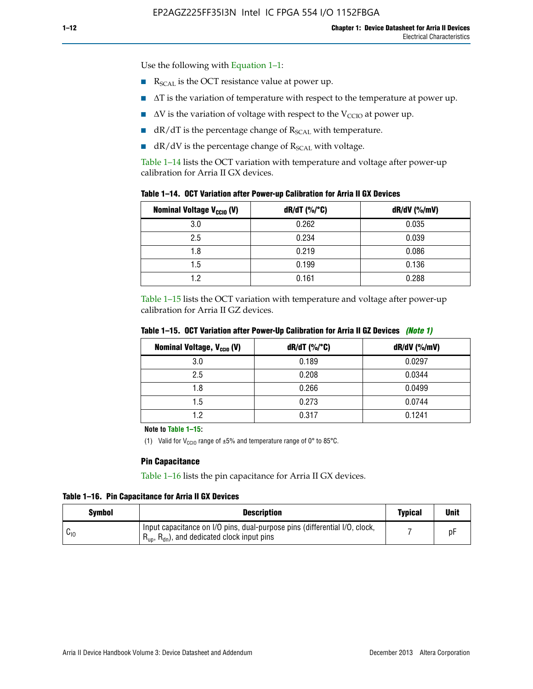Use the following with Equation 1–1:

- $\blacksquare$  R<sub>SCAL</sub> is the OCT resistance value at power up.
- $\blacksquare$   $\Delta T$  is the variation of temperature with respect to the temperature at power up.
- $\blacksquare$   $\Delta V$  is the variation of voltage with respect to the V<sub>CCIO</sub> at power up.
- $\blacksquare$  dR/dT is the percentage change of  $R_{\text{SCAL}}$  with temperature.
- $\blacksquare$  dR/dV is the percentage change of R<sub>SCAL</sub> with voltage.

Table 1–14 lists the OCT variation with temperature and voltage after power-up calibration for Arria II GX devices.

| Table 1–14. OCT Variation after Power-up Calibration for Arria II GX Devices |  |
|------------------------------------------------------------------------------|--|
|------------------------------------------------------------------------------|--|

| <b>Nominal Voltage V<sub>CCIO</sub> (V)</b> | $dR/dT$ (%/°C) | $dR/dV$ (%/mV) |
|---------------------------------------------|----------------|----------------|
| 3.0                                         | 0.262          | 0.035          |
| 2.5                                         | 0.234          | 0.039          |
| 1.8                                         | 0.219          | 0.086          |
| 1.5                                         | 0.199          | 0.136          |
| 1.2                                         | 0.161          | 0.288          |

Table 1–15 lists the OCT variation with temperature and voltage after power-up calibration for Arria II GZ devices.

| <b>Nominal Voltage, V<sub>ccio</sub> (V)</b> | $dR/dT$ (%/°C) | dR/dV (%/mV) |
|----------------------------------------------|----------------|--------------|
| 3.0                                          | 0.189          | 0.0297       |
| 2.5                                          | 0.208          | 0.0344       |
| 1.8                                          | 0.266          | 0.0499       |
| 1.5                                          | 0.273          | 0.0744       |
| 19                                           | 0.317          | 0.1241       |

**Table 1–15. OCT Variation after Power-Up Calibration for Arria II GZ Devices** *(Note 1)*

**Note to Table 1–15:**

(1) Valid for V<sub>CCIO</sub> range of  $\pm 5\%$  and temperature range of 0° to 85°C.

#### **Pin Capacitance**

Table 1–16 lists the pin capacitance for Arria II GX devices.

**Table 1–16. Pin Capacitance for Arria II GX Devices**

| <b>Symbol</b> | <b>Description</b>                                                                                                                               | <b>Typical</b> | <b>Unit</b> |
|---------------|--------------------------------------------------------------------------------------------------------------------------------------------------|----------------|-------------|
| ⊍∪            | Input capacitance on I/O pins, dual-purpose pins (differential I/O, clock,<br>$R_{\text{up}}$ , $R_{\text{dn}}$ , and dedicated clock input pins |                |             |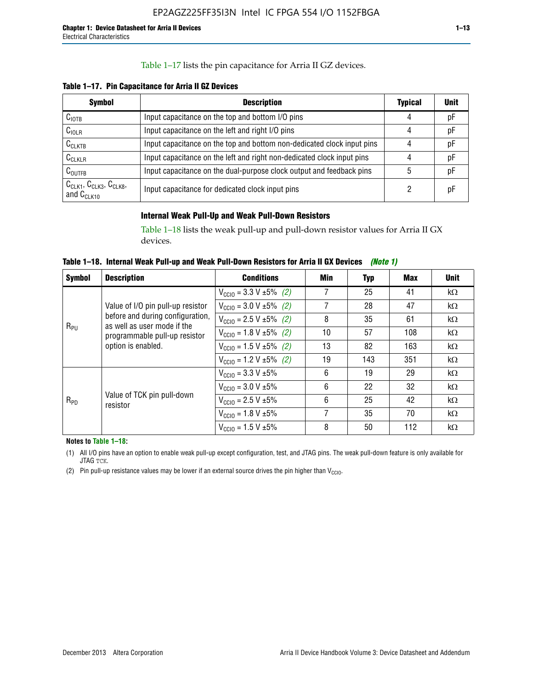## Table 1–17 lists the pin capacitance for Arria II GZ devices.

**Table 1–17. Pin Capacitance for Arria II GZ Devices** 

| <b>Symbol</b>                                    | <b>Description</b>                                                     | <b>Typical</b> | <b>Unit</b> |
|--------------------------------------------------|------------------------------------------------------------------------|----------------|-------------|
| C <sub>IOTB</sub>                                | Input capacitance on the top and bottom I/O pins                       | 4              | pF          |
| C <sub>IOLR</sub>                                | Input capacitance on the left and right I/O pins                       | 4              | pF          |
| $C_{CLKTB}$                                      | Input capacitance on the top and bottom non-dedicated clock input pins |                | рF          |
| $C_{CLKLR}$                                      | Input capacitance on the left and right non-dedicated clock input pins |                | pF          |
| $C_{\text{OUTFB}}$                               | Input capacitance on the dual-purpose clock output and feedback pins   | 5              | pF          |
| $CCLK1$ , $CCLK3$ , $CCLK8$ ,<br>and $C_{CLK10}$ | Input capacitance for dedicated clock input pins                       |                | рF          |

# **Internal Weak Pull-Up and Weak Pull-Down Resistors**

Table 1–18 lists the weak pull-up and pull-down resistor values for Arria II GX devices.

**Table 1–18. Internal Weak Pull-up and Weak Pull-Down Resistors for Arria II GX Devices** *(Note 1)* 

| <b>Symbol</b> | <b>Description</b>                                              | <b>Conditions</b>                             | Min | Typ | Max | <b>Unit</b> |
|---------------|-----------------------------------------------------------------|-----------------------------------------------|-----|-----|-----|-------------|
|               |                                                                 | $V_{\text{CC10}} = 3.3 \text{ V} \pm 5\%$ (2) | 7   | 25  | 41  | $k\Omega$   |
|               | Value of I/O pin pull-up resistor                               | $V_{\text{CC10}} = 3.0 V \pm 5\%$ (2)         | 7   | 28  | 47  | $k\Omega$   |
|               | before and during configuration,<br>as well as user mode if the | $V_{\text{CC10}} = 2.5 V \pm 5\%$ (2)         | 8   | 35  | 61  | $k\Omega$   |
| $R_{PU}$      | programmable pull-up resistor<br>option is enabled.             | $V_{\text{CC10}} = 1.8 \text{ V} \pm 5\%$ (2) | 10  | 57  | 108 | $k\Omega$   |
|               |                                                                 | $V_{\text{CC10}} = 1.5 \text{ V} \pm 5\%$ (2) | 13  | 82  | 163 | $k\Omega$   |
|               |                                                                 | $V_{\text{CC10}} = 1.2 V \pm 5\%$ (2)         | 19  | 143 | 351 | $k\Omega$   |
|               |                                                                 | $V_{\text{CC10}} = 3.3 \text{ V} \pm 5\%$     | 6   | 19  | 29  | $k\Omega$   |
|               |                                                                 | $V_{\text{CC10}} = 3.0 V \pm 5\%$             | 6   | 22  | 32  | $k\Omega$   |
| $R_{PD}$      | Value of TCK pin pull-down<br>resistor                          | $V_{\text{CC10}} = 2.5 V \pm 5\%$             | 6   | 25  | 42  | $k\Omega$   |
|               |                                                                 | $V_{\text{CC10}} = 1.8 V \pm 5\%$             | 7   | 35  | 70  | $k\Omega$   |
|               |                                                                 | $V_{\text{CC10}} = 1.5 V \pm 5\%$             | 8   | 50  | 112 | $k\Omega$   |

**Notes to Table 1–18:**

(1) All I/O pins have an option to enable weak pull-up except configuration, test, and JTAG pins. The weak pull-down feature is only available for JTAG TCK.

(2) Pin pull-up resistance values may be lower if an external source drives the pin higher than  $V_{\text{CCIO}}$ .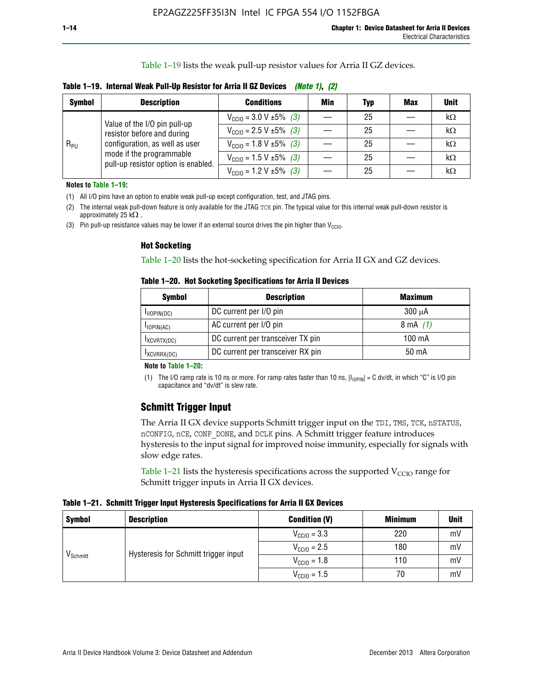Table 1–19 lists the weak pull-up resistor values for Arria II GZ devices.

**Table 1–19. Internal Weak Pull-Up Resistor for Arria II GZ Devices** *(Note 1)***,** *(2)*

| <b>Symbol</b> | <b>Description</b>                                                                                                                                              | <b>Conditions</b>                              | Min | <b>Typ</b> | <b>Max</b> | <b>Unit</b> |
|---------------|-----------------------------------------------------------------------------------------------------------------------------------------------------------------|------------------------------------------------|-----|------------|------------|-------------|
| $R_{PU}$      | Value of the I/O pin pull-up<br>resistor before and during<br>configuration, as well as user<br>mode if the programmable<br>pull-up resistor option is enabled. | $V_{\text{CC10}} = 3.0 V \pm 5\%$ (3)          |     | 25         |            | kΩ          |
|               |                                                                                                                                                                 | $V_{\text{CC10}} = 2.5 V \pm 5\%$ (3)          |     | 25         |            | kΩ          |
|               |                                                                                                                                                                 | $V_{\text{CC10}} = 1.8 \text{ V} \pm 5\%$ (3)  |     | 25         |            | kΩ          |
|               |                                                                                                                                                                 | $V_{\text{CC10}} = 1.5 \text{ V} \pm 5\%$ (3)  |     | 25         |            | $k\Omega$   |
|               |                                                                                                                                                                 | $V_{\text{CC10}} = 1.2 \text{ V } \pm 5\%$ (3) |     | 25         |            | kΩ          |

**Notes to Table 1–19:**

(1) All I/O pins have an option to enable weak pull-up except configuration, test, and JTAG pins.

(2) The internal weak pull-down feature is only available for the JTAG TCK pin. The typical value for this internal weak pull-down resistor is approximately 25 k $\Omega$ .

(3) Pin pull-up resistance values may be lower if an external source drives the pin higher than  $V_{\text{CCIO}}$ .

#### **Hot Socketing**

Table 1–20 lists the hot-socketing specification for Arria II GX and GZ devices.

**Table 1–20. Hot Socketing Specifications for Arria II Devices** 

| <b>Symbol</b>    | <b>Description</b>                | <b>Maximum</b>     |
|------------------|-----------------------------------|--------------------|
| $I_{IIOPIN(DC)}$ | DC current per I/O pin            | $300 \mu A$        |
| $I$ IOPIN(AC)    | AC current per I/O pin            | $8 \text{ mA}$ (1) |
| IXCVRTX(DC)      | DC current per transceiver TX pin | 100 mA             |
| IXCVRRX(DC)      | DC current per transceiver RX pin | $50 \text{ mA}$    |

#### **Note to Table 1–20:**

(1) The I/O ramp rate is 10 ns or more. For ramp rates faster than 10 ns,  $|I_{10\text{PIN}}| = C$  dv/dt, in which "C" is I/O pin capacitance and "dv/dt" is slew rate.

# **Schmitt Trigger Input**

The Arria II GX device supports Schmitt trigger input on the TDI, TMS, TCK, nSTATUS, nCONFIG, nCE, CONF\_DONE, and DCLK pins. A Schmitt trigger feature introduces hysteresis to the input signal for improved noise immunity, especially for signals with slow edge rates.

Table 1–21 lists the hysteresis specifications across the supported  $V<sub>CCIO</sub>$  range for Schmitt trigger inputs in Arria II GX devices.

**Table 1–21. Schmitt Trigger Input Hysteresis Specifications for Arria II GX Devices**

| <b>Symbol</b>        | <b>Description</b>                   | <b>Condition (V)</b>    | <b>Minimum</b> | <b>Unit</b> |
|----------------------|--------------------------------------|-------------------------|----------------|-------------|
|                      |                                      | $V_{\text{CGI0}} = 3.3$ | 220            | mV          |
|                      | Hysteresis for Schmitt trigger input | $V_{\text{CCIO}} = 2.5$ | 180            | mV          |
| V <sub>Schmitt</sub> |                                      | $V_{\text{CCIO}} = 1.8$ | 110            | mV          |
|                      |                                      | $V_{\text{CCIO}} = 1.5$ | 70             | mV          |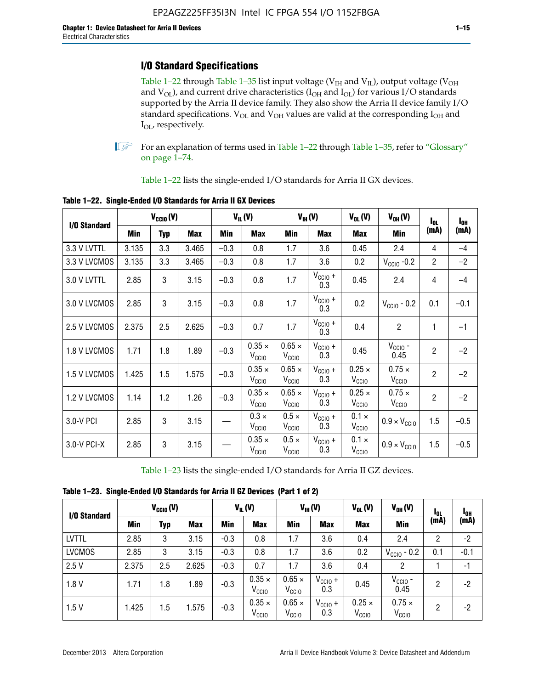# **I/O Standard Specifications**

Table 1–22 through Table 1–35 list input voltage ( $V_{IH}$  and  $V_{IL}$ ), output voltage ( $V_{OH}$ and  $V_{OL}$ ), and current drive characteristics ( $I_{OH}$  and  $I_{OL}$ ) for various I/O standards supported by the Arria II device family. They also show the Arria II device family I/O standard specifications.  $V_{OL}$  and  $V_{OH}$  values are valid at the corresponding  $I_{OH}$  and I<sub>OL</sub>, respectively.

**1.** For an explanation of terms used in Table 1–22 through Table 1–35, refer to "Glossary" on page 1–74.

Table 1–22 lists the single-ended I/O standards for Arria II GX devices.

| I/O Standard | $V_{\text{CCIO}}(V)$ |     | $V_{IL}(V)$ |        | $V_{IH}(V)$                        |                                    | $V_{OL}(V)$         | $V_{OH} (V)$                       | l <sub>ol.</sub>                   | $I_{0H}$       |        |
|--------------|----------------------|-----|-------------|--------|------------------------------------|------------------------------------|---------------------|------------------------------------|------------------------------------|----------------|--------|
|              | Min                  | Typ | <b>Max</b>  | Min    | <b>Max</b>                         | Min                                | <b>Max</b>          | <b>Max</b>                         | Min                                | (mA)           | (mA)   |
| 3.3 V LVTTL  | 3.135                | 3.3 | 3.465       | $-0.3$ | 0.8                                | 1.7                                | 3.6                 | 0.45                               | 2.4                                | 4              | $-4$   |
| 3.3 V LVCMOS | 3.135                | 3.3 | 3.465       | $-0.3$ | 0.8                                | 1.7                                | 3.6                 | 0.2                                | $V_{\text{CCIO}}$ -0.2             | $\overline{2}$ | $-2$   |
| 3.0 V LVTTL  | 2.85                 | 3   | 3.15        | $-0.3$ | 0.8                                | 1.7                                | $V_{CC10} +$<br>0.3 | 0.45                               | 2.4                                | 4              | $-4$   |
| 3.0 V LVCMOS | 2.85                 | 3   | 3.15        | $-0.3$ | 0.8                                | 1.7                                | $V_{CCIO} +$<br>0.3 | 0.2                                | $V_{CGI0} - 0.2$                   | 0.1            | $-0.1$ |
| 2.5 V LVCMOS | 2.375                | 2.5 | 2.625       | $-0.3$ | 0.7                                | 1.7                                | $V_{CCIO} +$<br>0.3 | 0.4                                | $\overline{c}$                     | 1              | $-1$   |
| 1.8 V LVCMOS | 1.71                 | 1.8 | 1.89        | $-0.3$ | $0.35 \times$<br>V <sub>CCIO</sub> | $0.65 \times$<br>V <sub>CCIO</sub> | $V_{CC10} +$<br>0.3 | 0.45                               | $V_{CCIO}$ -<br>0.45               | $\overline{2}$ | $-2$   |
| 1.5 V LVCMOS | 1.425                | 1.5 | 1.575       | $-0.3$ | $0.35 \times$<br>V <sub>CCIO</sub> | $0.65 \times$<br>$V_{\rm CClO}$    | $V_{CC10} +$<br>0.3 | $0.25 \times$<br>V <sub>CCIO</sub> | $0.75 \times$<br>V <sub>CCIO</sub> | $\overline{2}$ | $-2$   |
| 1.2 V LVCMOS | 1.14                 | 1.2 | 1.26        | $-0.3$ | $0.35 \times$<br>V <sub>CCIO</sub> | $0.65 \times$<br>V <sub>CCIO</sub> | $V_{CC10} +$<br>0.3 | $0.25 \times$<br>V <sub>CCIO</sub> | $0.75 \times$<br>V <sub>CCIO</sub> | $\overline{2}$ | $-2$   |
| 3.0-V PCI    | 2.85                 | 3   | 3.15        |        | $0.3 \times$<br>V <sub>CCIO</sub>  | $0.5 \times$<br>V <sub>CCIO</sub>  | $V_{CC10} +$<br>0.3 | $0.1 \times$<br>V <sub>CCIO</sub>  | $0.9 \times V_{\text{CC10}}$       | 1.5            | $-0.5$ |
| 3.0-V PCI-X  | 2.85                 | 3   | 3.15        |        | $0.35 \times$<br>V <sub>CCIO</sub> | $0.5 \times$<br>$V_{\rm CClO}$     | $V_{CC10} +$<br>0.3 | $0.1 \times$<br>V <sub>CCIO</sub>  | $0.9 \times V_{\text{CC10}}$       | 1.5            | $-0.5$ |

**Table 1–22. Single-Ended I/O Standards for Arria II GX Devices**

Table 1–23 lists the single-ended I/O standards for Arria II GZ devices.

|  |  |  | Table 1-23. Single-Ended I/O Standards for Arria II GZ Devices (Part 1 of 2) |  |
|--|--|--|------------------------------------------------------------------------------|--|
|--|--|--|------------------------------------------------------------------------------|--|

| I/O Standard  | $V_{\text{CCIO}}(V)$ |     | $V_{IL}(V)$ |            | $V_{IH} (V)$                       |                                    | $V_{OL}(V)$                | $V_{OH} (V)$                       | l <sub>ol</sub>                    | 1 <sub>0H</sub> |        |
|---------------|----------------------|-----|-------------|------------|------------------------------------|------------------------------------|----------------------------|------------------------------------|------------------------------------|-----------------|--------|
|               | Min                  | Typ | <b>Max</b>  | <b>Min</b> | <b>Max</b>                         | Min                                | <b>Max</b>                 | <b>Max</b>                         | Min                                | (mA)            | (mA)   |
| <b>LVTTL</b>  | 2.85                 | 3   | 3.15        | $-0.3$     | 0.8                                | 1.7                                | 3.6                        | 0.4                                | 2.4                                | 2               | $-2$   |
| <b>LVCMOS</b> | 2.85                 | 3   | 3.15        | $-0.3$     | 0.8                                | 1.7                                | 3.6                        | 0.2                                | $V_{\text{CCIO}}$ - 0.2            | 0.1             | $-0.1$ |
| 2.5V          | 2.375                | 2.5 | 2.625       | $-0.3$     | 0.7                                | 1.7                                | 3.6                        | 0.4                                | 2                                  |                 | $-1$   |
| 1.8V          | 1.71                 | 1.8 | 1.89        | $-0.3$     | $0.35 \times$<br>V <sub>CCIO</sub> | $0.65 \times$<br>V <sub>CCIO</sub> | $V_{\text{CC1O}} +$<br>0.3 | 0.45                               | $V_{CGIO}$ -<br>0.45               | 2               | -2     |
| 1.5V          | 1.425                | 1.5 | .575        | $-0.3$     | $0.35 \times$<br>V <sub>CCIO</sub> | $0.65 \times$<br>V <sub>CCIO</sub> | $V_{\text{CC10}} +$<br>0.3 | $0.25 \times$<br>V <sub>CCIO</sub> | $0.75 \times$<br>V <sub>CCIO</sub> | 2               | -2     |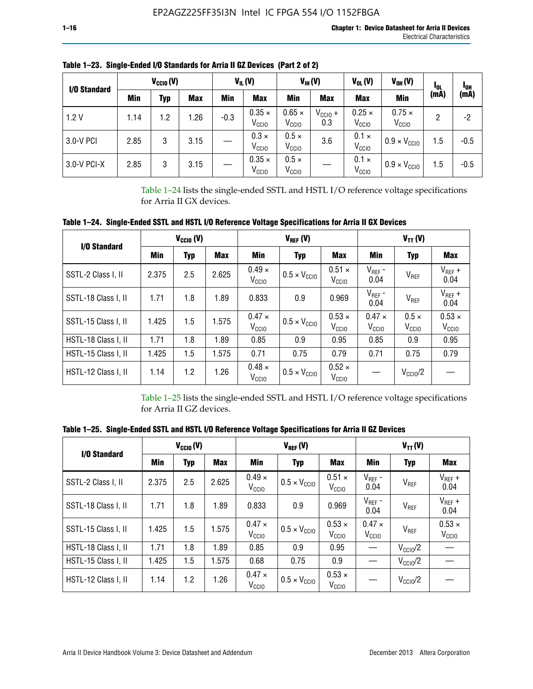| I/O Standard |      | $V_{\text{CCIO}}(V)$ |            |        | $V_{IL}(V)$                        |                                    | $V_{IH} (V)$        | $V_{OL}(V)$                        | $V_{OH} (V)$                       | IOL  | <b>POH</b> |
|--------------|------|----------------------|------------|--------|------------------------------------|------------------------------------|---------------------|------------------------------------|------------------------------------|------|------------|
|              | Min  | Typ                  | <b>Max</b> | Min    | <b>Max</b>                         | Min                                | <b>Max</b>          | <b>Max</b>                         | Min                                | (mA) | (mA)       |
| 1.2V         | 1.14 | 1.2                  | .26        | $-0.3$ | $0.35 \times$<br>V <sub>CCIO</sub> | $0.65 \times$<br>V <sub>CCIO</sub> | $V_{CC10}$ +<br>0.3 | $0.25 \times$<br>V <sub>CCIO</sub> | $0.75 \times$<br>V <sub>CCIO</sub> | 2    | -2         |
| 3.0-V PCI    | 2.85 | 3                    | 3.15       |        | $0.3 \times$<br>V <sub>CCIO</sub>  | $0.5 \times$<br>V <sub>CCIO</sub>  | 3.6                 | $0.1 \times$<br>V <sub>CCIO</sub>  | $0.9 \times V_{\text{CC10}}$       | 1.5  | $-0.5$     |
| 3.0-V PCI-X  | 2.85 | 3                    | 3.15       |        | $0.35 \times$<br>V <sub>CCIO</sub> | $0.5 \times$<br>$V_{\rm CClO}$     |                     | $0.1 \times$<br>V <sub>CCIO</sub>  | $0.9 \times V_{\text{CC10}}$       | 1.5  | $-0.5$     |

**Table 1–23. Single-Ended I/O Standards for Arria II GZ Devices (Part 2 of 2)**

Table 1–24 lists the single-ended SSTL and HSTL I/O reference voltage specifications for Arria II GX devices.

**Table 1–24. Single-Ended SSTL and HSTL I/O Reference Voltage Specifications for Arria II GX Devices**

| I/O Standard        |       | $V_{CGI0} (V)$ |            |                                    | $V_{REF}(V)$                 |                                    | $V_{TT} (V)$                    |                                   |                                    |  |
|---------------------|-------|----------------|------------|------------------------------------|------------------------------|------------------------------------|---------------------------------|-----------------------------------|------------------------------------|--|
|                     | Min   | <b>Typ</b>     | <b>Max</b> | Min                                | <b>Typ</b>                   | Max                                | Min                             | <b>Typ</b>                        | <b>Max</b>                         |  |
| SSTL-2 Class I, II  | 2.375 | 2.5            | 2.625      | $0.49 \times$<br>V <sub>CCIO</sub> | $0.5 \times V_{\text{CCIO}}$ | $0.51 \times$<br>V <sub>CCIO</sub> | $V_{REF}$ -<br>0.04             | $V_{REF}$                         | $V_{REF}$ +<br>0.04                |  |
| SSTL-18 Class I, II | 1.71  | 1.8            | 1.89       | 0.833                              | 0.9                          | 0.969                              | $V_{REF}$ -<br>0.04             | V <sub>REF</sub>                  | $V_{REF}$ +<br>0.04                |  |
| SSTL-15 Class I, II | 1.425 | 1.5            | 1.575      | $0.47 \times$<br>V <sub>CCIO</sub> | $0.5 \times V_{\text{CC10}}$ | $0.53 \times$<br>V <sub>CCIO</sub> | $0.47 \times$<br>$V_{\rm CClO}$ | $0.5 \times$<br>V <sub>CCIO</sub> | $0.53 \times$<br>V <sub>CCIO</sub> |  |
| HSTL-18 Class I, II | 1.71  | 1.8            | 1.89       | 0.85                               | 0.9                          | 0.95                               | 0.85                            | 0.9                               | 0.95                               |  |
| HSTL-15 Class I, II | 1.425 | 1.5            | 1.575      | 0.71                               | 0.75                         | 0.79                               | 0.71                            | 0.75                              | 0.79                               |  |
| HSTL-12 Class I, II | 1.14  | 1.2            | 1.26       | $0.48 \times$<br>V <sub>CCIO</sub> | $0.5 \times V_{\text{CC10}}$ | $0.52 \times$<br>V <sub>CCIO</sub> |                                 | $V_{\text{CClO}}/2$               |                                    |  |

Table 1–25 lists the single-ended SSTL and HSTL I/O reference voltage specifications for Arria II GZ devices.

**Table 1–25. Single-Ended SSTL and HSTL I/O Reference Voltage Specifications for Arria II GZ Devices** 

| I/O Standard        |       | $V_{\text{CCIO}}(V)$ |            |                                    | $V_{REF}(V)$                 |                                    |                                    | $V_{TT}(V)$         |                                    |
|---------------------|-------|----------------------|------------|------------------------------------|------------------------------|------------------------------------|------------------------------------|---------------------|------------------------------------|
|                     | Min   | <b>Typ</b>           | <b>Max</b> | Min                                | <b>Typ</b>                   | Max                                | Min                                | Typ                 | Max                                |
| SSTL-2 Class I. II  | 2.375 | 2.5                  | 2.625      | $0.49 \times$<br>V <sub>CCD</sub>  | $0.5 \times V_{\text{CC10}}$ | $0.51 \times$<br>V <sub>CCIO</sub> | $V_{REF}$ -<br>0.04                | V <sub>REF</sub>    | $V_{REF}$ +<br>0.04                |
| SSTL-18 Class I, II | 1.71  | 1.8                  | 1.89       | 0.833                              | 0.9                          | 0.969                              | $V_{REF}$ -<br>0.04                | V <sub>REF</sub>    | $V_{REF}$ +<br>0.04                |
| SSTL-15 Class I, II | 1.425 | 1.5                  | 1.575      | $0.47 \times$<br>V <sub>CCIO</sub> | $0.5 \times V_{\text{CCIO}}$ | $0.53 \times$<br>V <sub>CCIO</sub> | $0.47 \times$<br>V <sub>CCIO</sub> | V <sub>REF</sub>    | $0.53 \times$<br>V <sub>CCIO</sub> |
| HSTL-18 Class I, II | 1.71  | 1.8                  | 1.89       | 0.85                               | 0.9                          | 0.95                               |                                    | $V_{\rm CClO}/2$    |                                    |
| HSTL-15 Class I, II | 1.425 | 1.5                  | 1.575      | 0.68                               | 0.75                         | 0.9                                |                                    | $V_{\rm CC10}$ /2   |                                    |
| HSTL-12 Class I, II | 1.14  | 1.2                  | 1.26       | $0.47 \times$<br>V <sub>CCIO</sub> | $0.5 \times V_{\text{CCIO}}$ | $0.53 \times$<br>V <sub>CCIO</sub> |                                    | $V_{\text{CC10}}/2$ |                                    |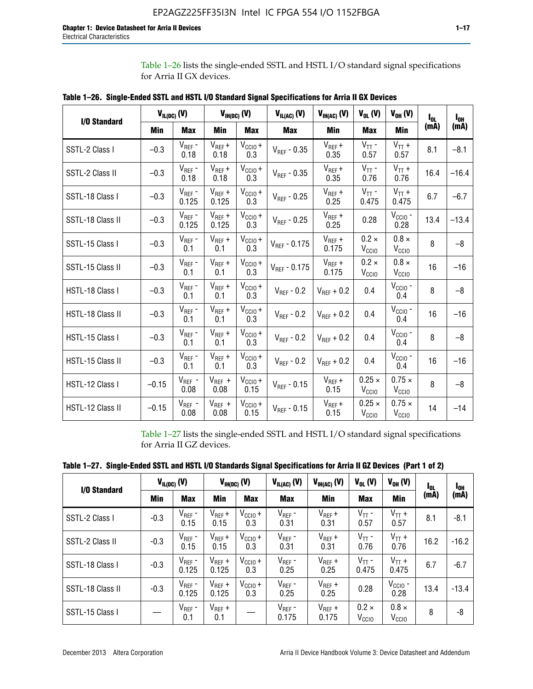Table 1–26 lists the single-ended SSTL and HSTL I/O standard signal specifications for Arria II GX devices.

|                  | $V_{IL(DC)}(V)$ |                      |                      | $V_{IH(DC)}(V)$             | $V_{IL(AC)}$ (V)  | $V_{IH(AC)}$ (V)     | $V_{OL}$ (V)                       | $V_{OH} (V)$                       | l <sub>ol</sub> | $I_{0H}$ |
|------------------|-----------------|----------------------|----------------------|-----------------------------|-------------------|----------------------|------------------------------------|------------------------------------|-----------------|----------|
| I/O Standard     | <b>Min</b>      | <b>Max</b>           | <b>Min</b>           | <b>Max</b>                  | <b>Max</b>        | Min                  | <b>Max</b>                         | <b>Min</b>                         | (mA)            | (mA)     |
| SSTL-2 Class I   | $-0.3$          | $V_{REF}$ -<br>0.18  | $V_{REF} +$<br>0.18  | $V_{\text{CCIO}} +$<br>0.3  | $V_{REF} - 0.35$  | $V_{REF} +$<br>0.35  | $V_{TT}$ -<br>0.57                 | $V_{TT}$ +<br>0.57                 | 8.1             | $-8.1$   |
| SSTL-2 Class II  | $-0.3$          | $V_{REF}$ -<br>0.18  | $V_{REF} +$<br>0.18  | $V_{CCIO} +$<br>0.3         | $V_{REF}$ - 0.35  | $V_{REF} +$<br>0.35  | $V_{TT}$ -<br>0.76                 | $V_{TT}$ +<br>0.76                 | 16.4            | $-16.4$  |
| SSTL-18 Class I  | $-0.3$          | $V_{REF}$ -<br>0.125 | $V_{REF}$ +<br>0.125 | $V_{\text{CC1O}} +$<br>0.3  | $V_{REF}$ - 0.25  | $V_{REF}$ +<br>0.25  | $V_{TT}$ -<br>0.475                | $V_{TT}$ +<br>0.475                | 6.7             | $-6.7$   |
| SSTL-18 Class II | $-0.3$          | $V_{REF}$ -<br>0.125 | $V_{REF}$ +<br>0.125 | $V_{\text{CC1O}} +$<br>0.3  | $V_{REF}$ - 0.25  | $V_{REF}$ +<br>0.25  | 0.28                               | $V_{CGIO}$ -<br>0.28               | 13.4            | $-13.4$  |
| SSTL-15 Class I  | $-0.3$          | $V_{REF}$ -<br>0.1   | $V_{REF}$ +<br>0.1   | $V_{\text{CCIO}} +$<br>0.3  | $V_{REF} - 0.175$ | $V_{REF}$ +<br>0.175 | $0.2 \times$<br>V <sub>CCIO</sub>  | $0.8 \times$<br>V <sub>CCIO</sub>  | 8               | $-8$     |
| SSTL-15 Class II | $-0.3$          | $V_{REF}$ -<br>0.1   | $V_{REF}$ +<br>0.1   | $V_{CCIO} +$<br>0.3         | $V_{REF}$ - 0.175 | $V_{REF}$ +<br>0.175 | $0.2 \times$<br>V <sub>CCIO</sub>  | $0.8 \times$<br>V <sub>CCIO</sub>  | 16              | $-16$    |
| HSTL-18 Class I  | $-0.3$          | $V_{REF}$ -<br>0.1   | $V_{REF}$ +<br>0.1   | $V_{\text{CCIO}} +$<br>0.3  | $V_{REF} - 0.2$   | $V_{REF}$ + 0.2      | 0.4                                | $V_{CGIO}$ -<br>0.4                | 8               | $-8$     |
| HSTL-18 Class II | $-0.3$          | $V_{REF}$ -<br>0.1   | $V_{REF}$ +<br>0.1   | $V_{\text{CC1O}} +$<br>0.3  | $V_{REF}$ - 0.2   | $V_{RFF}$ + 0.2      | 0.4                                | $V_{\text{CCIO}}$ -<br>0.4         | 16              | $-16$    |
| HSTL-15 Class I  | $-0.3$          | $V_{REF}$ -<br>0.1   | $V_{REF}$ +<br>0.1   | $V_{\text{CCIO}} +$<br>0.3  | $V_{REF}$ - 0.2   | $V_{REF}$ + 0.2      | 0.4                                | $V_{\text{CCIO}}$ -<br>0.4         | 8               | $-8$     |
| HSTL-15 Class II | $-0.3$          | $V_{REF}$ -<br>0.1   | $V_{REF}$ +<br>0.1   | $V_{\text{CCIO}} +$<br>0.3  | $V_{REF}$ - 0.2   | $V_{REF}$ + 0.2      | 0.4                                | $V_{CCIO}$ -<br>0.4                | 16              | $-16$    |
| HSTL-12 Class I  | $-0.15$         | $V_{REF}$ -<br>0.08  | $V_{REF}$ +<br>0.08  | $V_{\text{CCIO}} +$<br>0.15 | $V_{REF}$ - 0.15  | $V_{REF} +$<br>0.15  | $0.25 \times$<br>V <sub>CCIO</sub> | $0.75 \times$<br>$V_{\text{CCIO}}$ | 8               | $-8$     |
| HSTL-12 Class II | $-0.15$         | $V_{REF}$ -<br>0.08  | $V_{REF}$ +<br>0.08  | $V_{\text{CCIO}} +$<br>0.15 | $V_{REF}$ - 0.15  | $V_{REF} +$<br>0.15  | $0.25 \times$<br>V <sub>CCIO</sub> | $0.75 \times$<br>V <sub>CCIO</sub> | 14              | $-14$    |

**Table 1–26. Single-Ended SSTL and HSTL I/O Standard Signal Specifications for Arria II GX Devices** 

Table 1–27 lists the single-ended SSTL and HSTL I/O standard signal specifications for Arria II GZ devices.

| I/O Standard     |        | $V_{IL(DC)}$ (V)     |                      | $V_{IH(DC)}$ (V)           | $V_{IL(AC)}$ (V)     | $V_{IH(AC)}(V)$      | $V_{OL}$ (V)                      | $V_{OH} (V)$                   | l <sub>OL</sub> | 1 <sub>0H</sub> |
|------------------|--------|----------------------|----------------------|----------------------------|----------------------|----------------------|-----------------------------------|--------------------------------|-----------------|-----------------|
|                  | Min    | <b>Max</b>           | <b>Min</b>           | <b>Max</b>                 | <b>Max</b>           | Min                  | <b>Max</b>                        | Min                            | (mA)            | (mA)            |
| SSTL-2 Class I   | $-0.3$ | $V_{REF}$ -<br>0.15  | $V_{REF} +$<br>0.15  | $V_{CCIO} +$<br>0.3        | $V_{REF}$ -<br>0.31  | $V_{REF} +$<br>0.31  | $V_{TT}$ -<br>0.57                | $V_{TT}$ +<br>0.57             | 8.1             | $-8.1$          |
| SSTL-2 Class II  | $-0.3$ | $V_{REF}$ -<br>0.15  | $V_{REF} +$<br>0.15  | $V_{\text{CC1O}} +$<br>0.3 | $V_{REF}$ -<br>0.31  | $V_{REF} +$<br>0.31  | $V_{TT}$ -<br>0.76                | $V_{TT}$ +<br>0.76             | 16.2            | $-16.2$         |
| SSTL-18 Class I  | $-0.3$ | $V_{REF}$ -<br>0.125 | $V_{REF}$ +<br>0.125 | $V_{\text{CC1O}} +$<br>0.3 | $V_{REF}$ -<br>0.25  | $V_{REF}$ +<br>0.25  | $V_{TT}$ -<br>0.475               | $V_{TT}$ +<br>0.475            | 6.7             | $-6.7$          |
| SSTL-18 Class II | $-0.3$ | $V_{REF}$ -<br>0.125 | $V_{REF}$ +<br>0.125 | $V_{\text{CC1O}} +$<br>0.3 | $V_{REF}$ -<br>0.25  | $V_{REF}$ +<br>0.25  | 0.28                              | $V_{\rm CCIO}$ -<br>0.28       | 13.4            | $-13.4$         |
| SSTL-15 Class I  |        | $V_{REF}$ -<br>0.1   | $V_{REF}$ +<br>0.1   |                            | $V_{REF}$ -<br>0.175 | $V_{REF}$ +<br>0.175 | $0.2 \times$<br>V <sub>CCIO</sub> | $0.8 \times$<br>$V_{\rm CClO}$ | 8               | -8              |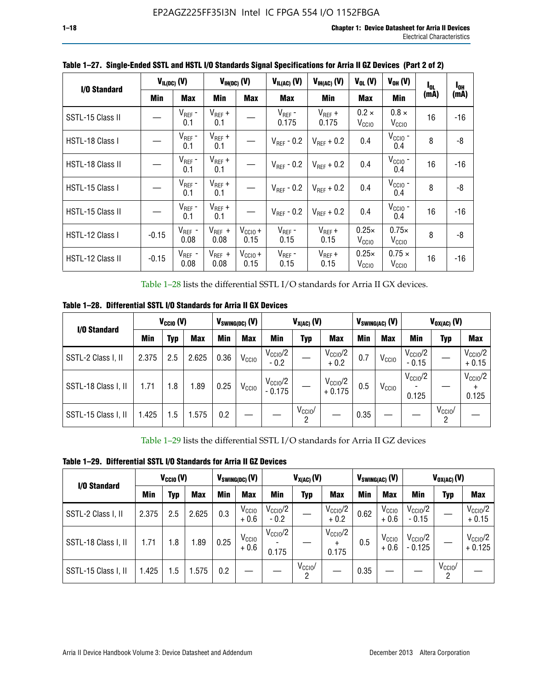| I/O Standard     |            | $V_{IL(DC)}$ (V)    |                     | $V_{IH(DC)}$ (V)            | $V_{IL(AC)}$ (V)       | $V_{IH(AC)}(V)$        | $V_{OL}$ (V)                      | $V_{OH} (V)$                    | $I_{0L}$ | $I_{0H}$ |
|------------------|------------|---------------------|---------------------|-----------------------------|------------------------|------------------------|-----------------------------------|---------------------------------|----------|----------|
|                  | <b>Min</b> | <b>Max</b>          | Min                 | <b>Max</b>                  | <b>Max</b>             | Min                    | <b>Max</b>                        | <b>Min</b>                      | (mA)     | (mA)     |
| SSTL-15 Class II |            | $V_{REF}$ -<br>0.1  | $V_{REF}$ +<br>0.1  |                             | $V_{REF}$ -<br>0.175   | $V_{REF}$ +<br>0.175   | $0.2 \times$<br>V <sub>CCIO</sub> | $0.8 \times$<br>$V_{\rm CClO}$  | 16       | $-16$    |
| HSTL-18 Class I  |            | $V_{REF}$ -<br>0.1  | $V_{REF}$ +<br>0.1  |                             | $V_{\text{RFF}}$ - 0.2 | $V_{RFF}$ + 0.2        | 0.4                               | $V_{CGIO}$ -<br>0.4             | 8        | -8       |
| HSTL-18 Class II |            | $V_{REF}$ -<br>0.1  | $V_{REF}$ +<br>0.1  |                             | $V_{\text{RFF}}$ - 0.2 | $V_{\text{RFF}} + 0.2$ | 0.4                               | $V_{CCIO}$ -<br>0.4             | 16       | $-16$    |
| HSTL-15 Class I  |            | $V_{REF}$ -<br>0.1  | $V_{REF}$ +<br>0.1  |                             | $V_{\text{RFF}}$ - 0.2 | $V_{RFF}$ + 0.2        | 0.4                               | $V_{CGIO}$ -<br>0.4             | 8        | -8       |
| HSTL-15 Class II |            | $V_{REF}$ -<br>0.1  | $V_{REF}$ +<br>0.1  |                             | $V_{\text{RFF}}$ - 0.2 | $V_{RFF}$ + 0.2        | 0.4                               | $V_{CCIO}$ -<br>0.4             | 16       | -16      |
| HSTL-12 Class I  | $-0.15$    | $V_{REF}$ -<br>0.08 | $V_{REF}$ +<br>0.08 | $V_{CCIO} +$<br>0.15        | $V_{REF}$ -<br>0.15    | $V_{REF} +$<br>0.15    | $0.25\times$<br>V <sub>CCIO</sub> | $0.75\times$<br>$V_{\rm CClO}$  | 8        | -8       |
| HSTL-12 Class II | $-0.15$    | $V_{REF}$ -<br>0.08 | $V_{REF}$ +<br>0.08 | $V_{\text{CCIO}} +$<br>0.15 | $V_{REF}$ -<br>0.15    | $V_{REF}$ +<br>0.15    | $0.25\times$<br>V <sub>CCIO</sub> | $0.75 \times$<br>$V_{\rm CClO}$ | 16       | -16      |

**Table 1–27. Single-Ended SSTL and HSTL I/O Standards Signal Specifications for Arria II GZ Devices (Part 2 of 2)**

Table 1–28 lists the differential SSTL I/O standards for Arria II GX devices.

**Table 1–28. Differential SSTL I/O Standards for Arria II GX Devices**

| I/O Standard        |       | $V_{\text{CCIO}}(V)$ |            |      | $V_{SWING(DC)}$ (V) |                                 | $V_{X(AC)}(V)$  |                                 |            | $V_{SWING(AC)}$ (V) | $V_{OX(AC)}$ (V)             |                         |                                |
|---------------------|-------|----------------------|------------|------|---------------------|---------------------------------|-----------------|---------------------------------|------------|---------------------|------------------------------|-------------------------|--------------------------------|
|                     | Min   | Typ                  | <b>Max</b> | Min  | <b>Max</b>          | Min                             | Typ             | <b>Max</b>                      | <b>Min</b> | <b>Max</b>          | Min                          | Typ                     | <b>Max</b>                     |
| SSTL-2 Class I, II  | 2.375 | 2.5                  | 2.625      | 0.36 | V <sub>CCIO</sub>   | $V_{\rm CClO}/2$<br>$-0.2$      |                 | $V_{\rm CClO}/2$<br>$+0.2$      | 0.7        | V <sub>CCIO</sub>   | $V_{\rm CClO}/2$<br>$-0.15$  |                         | $V_{\text{CCIO}}/2$<br>$+0.15$ |
| SSTL-18 Class I, II | 1.71  | 1.8                  | 1.89       | 0.25 | V <sub>CCIO</sub>   | $V_{\text{CC10}}/2$<br>$-0.175$ |                 | $V_{\text{CC10}}/2$<br>$+0.175$ | 0.5        | V <sub>CCIO</sub>   | $V_{\text{CC10}}/2$<br>0.125 |                         | $V_{\text{CCIO}}/2$<br>0.125   |
| SSTL-15 Class I, II | 1.425 | 1.5                  | .575       | 0.2  |                     |                                 | $V_{CClO}$<br>2 |                                 | 0.35       |                     |                              | $V_{\text{CCIO}}/$<br>റ |                                |

Table 1–29 lists the differential SSTL I/O standards for Arria II GZ devices

**Table 1–29. Differential SSTL I/O Standards for Arria II GZ Devices**

| I/O Standard        |       | $V_{\text{CCIO}}(V)$ |            |      | $V_{SWING(DC)}(V)$          | $V_{X(AC)}(V)$                |                     |                                   |      | $V_{SWING(AC)}$ (V)         | $V_{OX(AC)}(V)$                |                 |                                 |
|---------------------|-------|----------------------|------------|------|-----------------------------|-------------------------------|---------------------|-----------------------------------|------|-----------------------------|--------------------------------|-----------------|---------------------------------|
|                     | Min   | Typ                  | <b>Max</b> | Min  | <b>Max</b>                  | Min                           | Typ                 | <b>Max</b>                        | Min  | <b>Max</b>                  | Min                            | Typ             | <b>Max</b>                      |
| SSTL-2 Class I, II  | 2.375 | 2.5                  | 2.625      | 0.3  | V <sub>CCIO</sub><br>$+0.6$ | $V_{\text{CC1O}}/2$<br>$-0.2$ |                     | $V_{\text{CCIO}}/2$<br>$+0.2$     | 0.62 | V <sub>CCIO</sub><br>$+0.6$ | $V_{\text{CC10}}/2$<br>$-0.15$ |                 | $V_{\text{CC10}}/2$<br>$+0.15$  |
| SSTL-18 Class I, II | 1.71  | 1.8                  | 1.89       | 0.25 | V <sub>CCIO</sub><br>$+0.6$ | $V_{\text{CCIO}}/2$<br>0.175  |                     | $V_{\text{CCIO}}/2$<br>÷<br>0.175 | 0.5  | V <sub>CCIO</sub><br>$+0.6$ | $V_{\text{CC10}}/2$<br>- 0.125 |                 | $V_{\text{CC10}}/2$<br>$+0.125$ |
| SSTL-15 Class I, II | 1.425 | 1.5                  | .575       | 0.2  |                             |                               | $V_{\rm CCIO}$<br>2 |                                   | 0.35 |                             |                                | $V_{CClO}$<br>2 |                                 |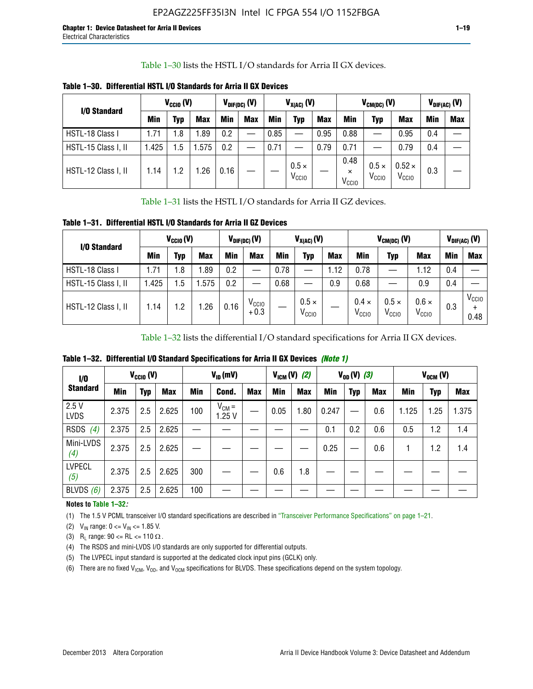Table 1–30 lists the HSTL I/O standards for Arria II GX devices.

| I/O Standard        |            | $V_{CClO} (V)$ |            |            | $V_{\text{DIF(DC)}}$ (V) | $V_{X(AC)}(V)$ |                                   |            | $V_{CM(DC)}(V)$                       |                                |                                    | $V_{DIF(AC)}(V)$ |     |
|---------------------|------------|----------------|------------|------------|--------------------------|----------------|-----------------------------------|------------|---------------------------------------|--------------------------------|------------------------------------|------------------|-----|
|                     | <b>Min</b> | Typ            | <b>Max</b> | <b>Min</b> | <b>Max</b>               | <b>Min</b>     | Typ                               | <b>Max</b> | Min                                   | Typ                            | <b>Max</b>                         | Min              | Max |
| HSTL-18 Class I     | 1.71       | 1.8            | l.89       | 0.2        |                          | 0.85           |                                   | 0.95       | 0.88                                  | --                             | 0.95                               | 0.4              |     |
| HSTL-15 Class I, II | 1.425      | 1.5            | .575       | 0.2        | --                       | 0.71           |                                   | 0.79       | 0.71                                  |                                | 0.79                               | 0.4              |     |
| HSTL-12 Class I, II | 1.14       | 1.2            | .26        | 0.16       |                          |                | $0.5 \times$<br>V <sub>CCIO</sub> |            | 0.48<br>$\times$<br>V <sub>CCIO</sub> | $0.5 \times$<br>$V_{\rm CCIO}$ | $0.52 \times$<br>V <sub>CCIO</sub> | 0.3              |     |

**Table 1–30. Differential HSTL I/O Standards for Arria II GX Devices**

Table 1–31 lists the HSTL I/O standards for Arria II GZ devices.

**Table 1–31. Differential HSTL I/O Standards for Arria II GZ Devices**

| I/O Standard        |       | $V_{\text{CCIO}}(V)$ |            |            | $V_{\text{DIF(DC)}}(V)$     |      | $V_{X(AC)}(V)$                    |            | $V_{CM(DC)}$ (V)                  | $V_{DIF(AC)}$ (V)                 |                                   |     |                           |
|---------------------|-------|----------------------|------------|------------|-----------------------------|------|-----------------------------------|------------|-----------------------------------|-----------------------------------|-----------------------------------|-----|---------------------------|
|                     | Min   | Typ                  | <b>Max</b> | <b>Min</b> | <b>Max</b>                  | Min  | Typ                               | <b>Max</b> | <b>Min</b>                        | Typ                               | <b>Max</b>                        | Min | <b>Max</b>                |
| HSTL-18 Class I     | 71، ، | 1.8                  | .89        | 0.2        | —                           | 0.78 |                                   | 1.12       | 0.78                              |                                   | 1.12                              | 0.4 |                           |
| HSTL-15 Class I, II | .425  | $1.5\,$              | .575       | 0.2        | —                           | 0.68 |                                   | 0.9        | 0.68                              |                                   | 0.9                               | 0.4 |                           |
| HSTL-12 Class I, II | l.14  | 1.2                  | .26        | 0.16       | V <sub>CCIO</sub><br>$+0.3$ |      | $0.5 \times$<br>V <sub>CCIO</sub> |            | $0.4 \times$<br>V <sub>CCIO</sub> | $0.5 \times$<br>V <sub>CCIO</sub> | $0.6 \times$<br>V <sub>CCIO</sub> | 0.3 | V <sub>CCIO</sub><br>0.48 |

Table 1–32 lists the differential I/O standard specifications for Arria II GX devices.

**Table 1–32. Differential I/O Standard Specifications for Arria II GX Devices** *(Note 1)*

| I/O                  |       | $V_{CGI0} (V)$ |            |     | $V_{ID}$ (mV)       |            |      | $V_{IGM} (V)$ (2) |       | $V_{OD} (V)$ (3) |            |       | $V_{OCM}$ (V) |            |
|----------------------|-------|----------------|------------|-----|---------------------|------------|------|-------------------|-------|------------------|------------|-------|---------------|------------|
| <b>Standard</b>      | Min   | Typ            | <b>Max</b> | Min | Cond.               | <b>Max</b> | Min  | <b>Max</b>        | Min   | <b>Typ</b>       | <b>Max</b> | Min   | Typ           | <b>Max</b> |
| 2.5V<br><b>LVDS</b>  | 2.375 | 2.5            | 2.625      | 100 | $V_{CM} =$<br>1.25V |            | 0.05 | 1.80              | 0.247 |                  | 0.6        | 1.125 | 1.25          | 1.375      |
| <b>RSDS</b><br>(4)   | 2.375 | 2.5            | 2.625      |     |                     |            |      |                   | 0.1   | 0.2              | 0.6        | 0.5   | 1.2           | 1.4        |
| Mini-LVDS<br>(4)     | 2.375 | 2.5            | 2.625      |     |                     |            |      |                   | 0.25  |                  | 0.6        |       | 1.2           | 1.4        |
| <b>LVPECL</b><br>(5) | 2.375 | 2.5            | 2.625      | 300 |                     |            | 0.6  | 1.8               |       |                  |            |       |               |            |
| BLVDS $(6)$          | 2.375 | 2.5            | 2.625      | 100 |                     |            |      |                   |       |                  |            |       |               |            |

## **Notes to Table 1–32***:*

(1) The 1.5 V PCML transceiver I/O standard specifications are described in "Transceiver Performance Specifications" on page 1–21.

(2)  $V_{IN}$  range:  $0 \le V_{IN} \le 1.85$  V.

(3) R<sub>L</sub> range:  $90 \leq R$ L  $\leq 110 \Omega$ .

- (4) The RSDS and mini-LVDS I/O standards are only supported for differential outputs.
- (5) The LVPECL input standard is supported at the dedicated clock input pins (GCLK) only.
- (6) There are no fixed  $V_{ICM}$ ,  $V_{OD}$ , and  $V_{OCM}$  specifications for BLVDS. These specifications depend on the system topology.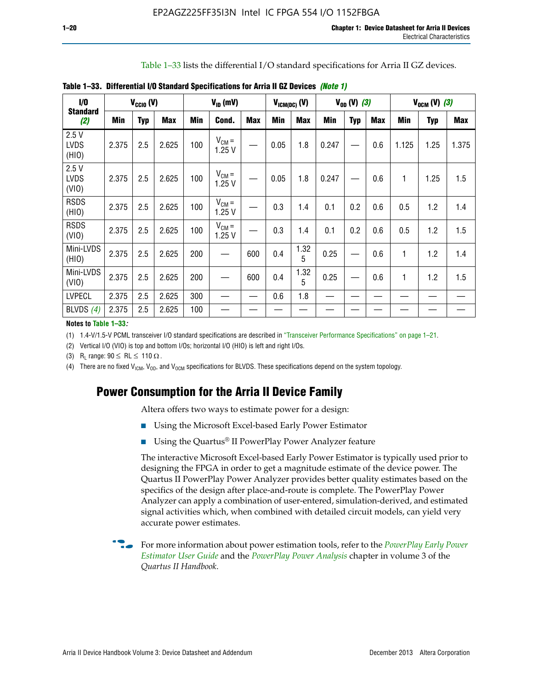Table 1–33 lists the differential I/O standard specifications for Arria II GZ devices.

| $\dot{v}$                    |       | $V_{\text{CCIO}}(V)$ |            |     | $V_{ID}$ (mV)       |            |            | $V_{ICM(DC)}(V)$ |            | $V_{OD} (V) (3)$ |            |       | $V_{OCM} (V) (3)$ |            |
|------------------------------|-------|----------------------|------------|-----|---------------------|------------|------------|------------------|------------|------------------|------------|-------|-------------------|------------|
| <b>Standard</b><br>(2)       | Min   | <b>Typ</b>           | <b>Max</b> | Min | Cond.               | <b>Max</b> | <b>Min</b> | <b>Max</b>       | <b>Min</b> | <b>Typ</b>       | <b>Max</b> | Min   | Typ               | <b>Max</b> |
| 2.5V<br><b>LVDS</b><br>(HIO) | 2.375 | 2.5                  | 2.625      | 100 | $V_{CM} =$<br>1.25V |            | 0.05       | 1.8              | 0.247      |                  | 0.6        | 1.125 | 1.25              | 1.375      |
| 2.5V<br><b>LVDS</b><br>(VIO) | 2.375 | 2.5                  | 2.625      | 100 | $V_{CM} =$<br>1.25V |            | 0.05       | 1.8              | 0.247      |                  | 0.6        | 1     | 1.25              | 1.5        |
| <b>RSDS</b><br>(HIO)         | 2.375 | 2.5                  | 2.625      | 100 | $V_{CM} =$<br>1.25V |            | 0.3        | 1.4              | 0.1        | 0.2              | 0.6        | 0.5   | 1.2               | 1.4        |
| <b>RSDS</b><br>(VIO)         | 2.375 | 2.5                  | 2.625      | 100 | $V_{CM} =$<br>1.25V |            | 0.3        | 1.4              | 0.1        | 0.2              | 0.6        | 0.5   | 1.2               | 1.5        |
| Mini-LVDS<br>(HIO)           | 2.375 | 2.5                  | 2.625      | 200 | —                   | 600        | 0.4        | 1.32<br>5        | 0.25       |                  | 0.6        | 1     | 1.2               | 1.4        |
| Mini-LVDS<br>(VIO)           | 2.375 | 2.5                  | 2.625      | 200 |                     | 600        | 0.4        | 1.32<br>5        | 0.25       |                  | 0.6        | 1     | 1.2               | 1.5        |
| <b>LVPECL</b>                | 2.375 | 2.5                  | 2.625      | 300 |                     |            | 0.6        | 1.8              |            |                  |            |       |                   |            |
| BLVDS $(4)$                  | 2.375 | 2.5                  | 2.625      | 100 |                     |            |            |                  |            |                  |            |       |                   |            |

**Table 1–33. Differential I/O Standard Specifications for Arria II GZ Devices** *(Note 1)*

#### **Notes to Table 1–33***:*

(1) 1.4-V/1.5-V PCML transceiver I/O standard specifications are described in "Transceiver Performance Specifications" on page 1–21.

(2) Vertical I/O (VIO) is top and bottom I/Os; horizontal I/O (HIO) is left and right I/Os.

(3) R<sub>l</sub> range:  $90 \leq R L \leq 110 \Omega$ .

(4) There are no fixed  $V_{IGM}$ ,  $V_{OD}$ , and  $V_{OCM}$  specifications for BLVDS. These specifications depend on the system topology.

# **Power Consumption for the Arria II Device Family**

Altera offers two ways to estimate power for a design:

- Using the Microsoft Excel-based Early Power Estimator
- Using the Quartus<sup>®</sup> II PowerPlay Power Analyzer feature

The interactive Microsoft Excel-based Early Power Estimator is typically used prior to designing the FPGA in order to get a magnitude estimate of the device power. The Quartus II PowerPlay Power Analyzer provides better quality estimates based on the specifics of the design after place-and-route is complete. The PowerPlay Power Analyzer can apply a combination of user-entered, simulation-derived, and estimated signal activities which, when combined with detailed circuit models, can yield very accurate power estimates.

f For more information about power estimation tools, refer to the *[PowerPlay Early Power](http://www.altera.com/literature/ug/ug_epe.pdf?GSA_pos=5&WT.oss_r=1&WT.oss=powerplay early power estimator)  [Estimator User Guide](http://www.altera.com/literature/ug/ug_epe.pdf?GSA_pos=5&WT.oss_r=1&WT.oss=powerplay early power estimator)* and the *[PowerPlay Power Analysis](http://www.altera.com/literature/hb/qts/qts_qii53013.pdf)* chapter in volume 3 of the *Quartus II Handbook*.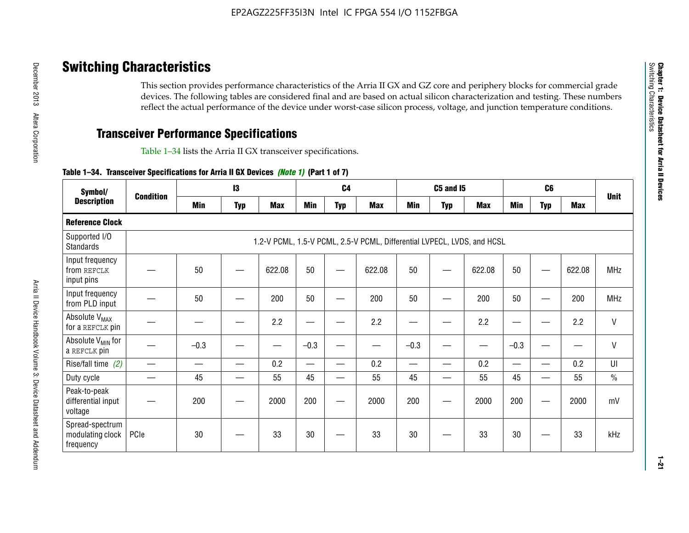# **Switching Characteristics**

This section provides performance characteristics of the Arria II GX and GZ core and periphery blocks for commercial grade devices. The following tables are considered final and are based on actual silicon characterization and testing. These numbers reflect the actual performance of the device under worst-case silicon process, voltage, and junction temperature conditions.

# **Transceiver Performance Specifications**

Table 1–34 lists the Arria II GX transceiver specifications.

## **Table 1–34. Transceiver Specifications for Arria II GX Devices** *(Note 1)* **(Part 1 of 7)**

| Symbol/                                          |                  |            | 13         |            |                          | C <sub>4</sub> |                                                                         |                          | <b>C5 and 15</b> |            |                                           | C <sub>6</sub> |            |               |
|--------------------------------------------------|------------------|------------|------------|------------|--------------------------|----------------|-------------------------------------------------------------------------|--------------------------|------------------|------------|-------------------------------------------|----------------|------------|---------------|
| <b>Description</b>                               | <b>Condition</b> | <b>Min</b> | <b>Typ</b> | <b>Max</b> | <b>Min</b>               | <b>Typ</b>     | <b>Max</b>                                                              | <b>Min</b>               | <b>Typ</b>       | <b>Max</b> | <b>Min</b>                                | <b>Typ</b>     | <b>Max</b> | <b>Unit</b>   |
| <b>Reference Clock</b>                           |                  |            |            |            |                          |                |                                                                         |                          |                  |            |                                           |                |            |               |
| Supported I/O<br><b>Standards</b>                |                  |            |            |            |                          |                | 1.2-V PCML, 1.5-V PCML, 2.5-V PCML, Differential LVPECL, LVDS, and HCSL |                          |                  |            |                                           |                |            |               |
| Input frequency<br>from REFCLK<br>input pins     |                  | 50         |            | 622.08     | 50                       |                | 622.08                                                                  | 50                       |                  | 622.08     | 50                                        |                | 622.08     | <b>MHz</b>    |
| Input frequency<br>from PLD input                |                  | 50         |            | 200        | 50                       |                | 200                                                                     | 50                       |                  | 200        | 50                                        |                | 200        | <b>MHz</b>    |
| Absolute V <sub>MAX</sub><br>for a REFCLK pin    |                  |            |            | 2.2        | —                        |                | 2.2                                                                     | ٠                        | —                | 2.2        | —                                         |                | 2.2        | $\mathsf{V}$  |
| Absolute V <sub>MIN</sub> for<br>a REFCLK pin    |                  | $-0.3$     |            |            | $-0.3$                   |                |                                                                         | $-0.3$                   |                  |            | $-0.3$                                    |                | —<br>——    | $\mathsf{V}$  |
| Rise/fall time (2)                               |                  |            |            | 0.2        | $\overline{\phantom{0}}$ |                | 0.2                                                                     | $\overline{\phantom{0}}$ |                  | 0.2        | $\qquad \qquad \overline{\qquad \qquad }$ |                | 0.2        | UI            |
| Duty cycle                                       |                  | 45         |            | 55         | 45                       | —              | 55                                                                      | 45                       | —                | 55         | 45                                        |                | 55         | $\frac{0}{0}$ |
| Peak-to-peak<br>differential input<br>voltage    |                  | 200        |            | 2000       | 200                      | __             | 2000                                                                    | 200                      | —                | 2000       | 200                                       |                | 2000       | mV            |
| Spread-spectrum<br>modulating clock<br>frequency | PCIe             | 30         |            | 33         | 30                       |                | 33                                                                      | 30                       |                  | 33         | 30                                        |                | 33         | kHz           |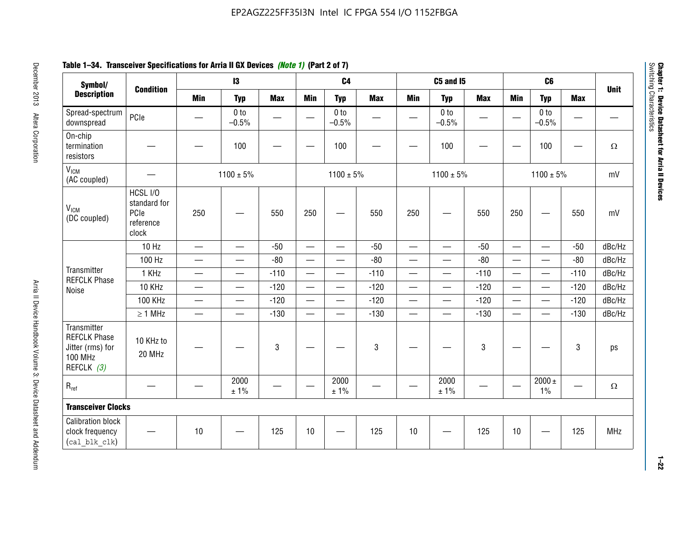# **Table 1–34. Transceiver Specifications for Arria II GX Devices** *(Note 1)* **(Part 2 of 7)**

| Symbol/                                                                                |                                                        |                               | $\mathbf{13}$              |                          |                          | C <sub>4</sub>             |            |                          | C5 and I5                         |            |                          | C <sub>6</sub>             |            |             |
|----------------------------------------------------------------------------------------|--------------------------------------------------------|-------------------------------|----------------------------|--------------------------|--------------------------|----------------------------|------------|--------------------------|-----------------------------------|------------|--------------------------|----------------------------|------------|-------------|
| <b>Description</b>                                                                     | <b>Condition</b>                                       | <b>Min</b>                    | <b>Typ</b>                 | <b>Max</b>               | <b>Min</b>               | <b>Typ</b>                 | <b>Max</b> | <b>Min</b>               | <b>Typ</b>                        | <b>Max</b> | <b>Min</b>               | <b>Typ</b>                 | <b>Max</b> | <b>Unit</b> |
| Spread-spectrum<br>downspread                                                          | PCIe                                                   |                               | 0 <sub>to</sub><br>$-0.5%$ | $\overline{\phantom{0}}$ |                          | 0 <sub>to</sub><br>$-0.5%$ |            |                          | 0 <sub>to</sub><br>$-0.5%$        |            |                          | 0 <sub>to</sub><br>$-0.5%$ |            |             |
| On-chip<br>termination<br>resistors                                                    |                                                        |                               | 100                        | —                        |                          | 100                        |            |                          | 100                               |            |                          | 100                        | —          | $\Omega$    |
| V <sub>ICM</sub><br>(AC coupled)                                                       |                                                        |                               | $1100 \pm 5\%$             |                          |                          | $1100 \pm 5\%$             |            |                          | $1100 \pm 5\%$                    |            |                          | $1100 \pm 5\%$             |            | mV          |
| V <sub>ICM</sub><br>(DC coupled)                                                       | HCSL I/O<br>standard for<br>PCIe<br>reference<br>clock | 250                           |                            | 550                      | 250                      | $\hspace{0.05cm}$          | 550        | 250                      | —                                 | 550        | 250                      | —                          | 550        | mV          |
|                                                                                        | 10 Hz                                                  | $\overline{\phantom{0}}$      | $\overline{\phantom{0}}$   | $-50$                    | $\equiv$                 |                            | $-50$      | $\qquad \qquad$          | $\equiv$                          | $-50$      | $\overline{\phantom{0}}$ |                            | $-50$      | dBc/Hz      |
|                                                                                        | 100 Hz                                                 | $\overline{\phantom{0}}$      | $\overline{\phantom{0}}$   | $-80$                    | $\overline{\phantom{0}}$ | $\overline{\phantom{0}}$   | $-80$      | $\overline{\phantom{0}}$ |                                   | $-80$      | $\overline{\phantom{0}}$ | $\overline{\phantom{0}}$   | $-80$      | dBc/Hz      |
| Transmitter<br><b>REFCLK Phase</b>                                                     | 1 KHz                                                  | —                             | $\overline{\phantom{0}}$   | $-110$                   |                          | $\hspace{0.05cm}$          | $-110$     | $\overline{\phantom{0}}$ | $\qquad \qquad \qquad$            | $-110$     |                          | $\overline{\phantom{0}}$   | $-110$     | dBc/Hz      |
| Noise                                                                                  | 10 KHz                                                 | $\overbrace{\phantom{aaaaa}}$ | $\overline{\phantom{0}}$   | $-120$                   | $\overline{\phantom{m}}$ | $\overline{\phantom{0}}$   | $-120$     | $\overline{\phantom{0}}$ | $\overbrace{\phantom{123221111}}$ | $-120$     |                          |                            | $-120$     | dBc/Hz      |
|                                                                                        | <b>100 KHz</b>                                         | $\overline{\phantom{0}}$      | $\equiv$                   | $-120$                   |                          | $\equiv$                   | $-120$     | $\overline{\phantom{0}}$ | $\overline{\phantom{0}}$          | $-120$     | $\equiv$                 | $\overline{\phantom{0}}$   | $-120$     | dBc/Hz      |
|                                                                                        | $\geq 1$ MHz                                           | $\overline{\phantom{0}}$      | $\overline{\phantom{0}}$   | $-130$                   |                          | $\overline{\phantom{m}}$   | $-130$     | $\overline{\phantom{0}}$ | $\qquad \qquad$                   | $-130$     | $\overline{\phantom{0}}$ | $\equiv$                   | $-130$     | dBc/Hz      |
| Transmitter<br><b>REFCLK Phase</b><br>Jitter (rms) for<br><b>100 MHz</b><br>REFCLK (3) | 10 KHz to<br>20 MHz                                    |                               |                            | $\mathbf 3$              |                          |                            | 3          |                          |                                   | 3          |                          |                            | 3          | ps          |
| $R_{ref}$                                                                              |                                                        |                               | 2000<br>± 1%               |                          | $\hspace{0.05cm}$        | 2000<br>± 1%               |            |                          | 2000<br>± 1%                      |            |                          | $2000 \pm$<br>$1\%$        |            | $\Omega$    |
| <b>Transceiver Clocks</b>                                                              |                                                        |                               |                            |                          |                          |                            |            |                          |                                   |            |                          |                            |            |             |
| <b>Calibration block</b><br>clock frequency<br>(cal blk clk)                           |                                                        | 10                            |                            | 125                      | 10                       |                            | 125        | 10                       |                                   | 125        | 10                       |                            | 125        | MHz         |

December 2013 Altera Corporation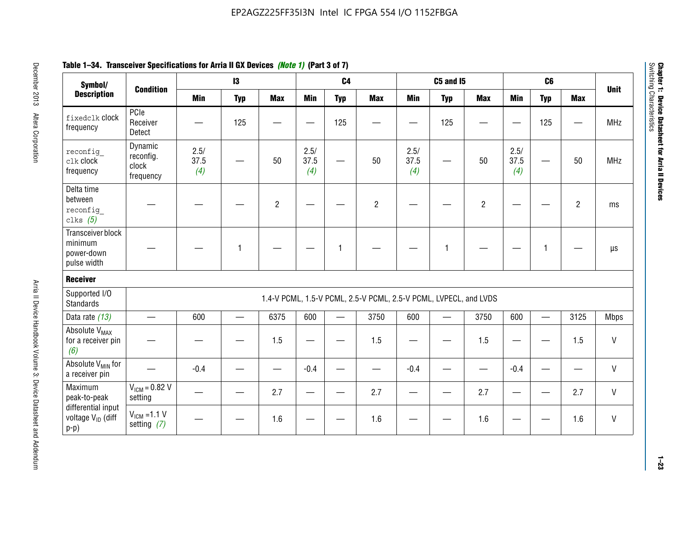| Table 1–34. Transceiver Specifications for Arria II GX Devices <i>(Note 1)</i> (Part 3 of 7) |  |
|----------------------------------------------------------------------------------------------|--|
|----------------------------------------------------------------------------------------------|--|

| Symbol/                                                       |                                            |                     | $\mathbf{13}$ |                |                     | C <sub>4</sub> |                                                                  |                     | <b>C5 and 15</b> |                |                     | C6           |                |              |
|---------------------------------------------------------------|--------------------------------------------|---------------------|---------------|----------------|---------------------|----------------|------------------------------------------------------------------|---------------------|------------------|----------------|---------------------|--------------|----------------|--------------|
| <b>Description</b>                                            | <b>Condition</b>                           | <b>Min</b>          | <b>Typ</b>    | <b>Max</b>     | <b>Min</b>          | <b>Typ</b>     | <b>Max</b>                                                       | <b>Min</b>          | <b>Typ</b>       | <b>Max</b>     | <b>Min</b>          | <b>Typ</b>   | <b>Max</b>     | <b>Unit</b>  |
| fixedclk Clock<br>frequency                                   | PCIe<br>Receiver<br>Detect                 |                     | 125           |                |                     | 125            |                                                                  |                     | 125              |                |                     | 125          |                | <b>MHz</b>   |
| reconfig<br>clk clock<br>frequency                            | Dynamic<br>reconfig.<br>clock<br>frequency | 2.5/<br>37.5<br>(4) |               | 50             | 2.5/<br>37.5<br>(4) | <u>—</u>       | 50                                                               | 2.5/<br>37.5<br>(4) | —                | 50             | 2.5/<br>37.5<br>(4) |              | 50             | <b>MHz</b>   |
| Delta time<br>between<br>reconfig<br>clks $(5)$               |                                            |                     |               | $\overline{c}$ |                     |                | $\overline{2}$                                                   |                     |                  | $\overline{2}$ |                     |              | $\overline{2}$ | ms           |
| Transceiver block<br>minimum<br>power-down<br>pulse width     |                                            |                     | 1             |                |                     | 1              |                                                                  |                     | $\mathbf{1}$     |                |                     | $\mathbf{1}$ |                | $\mu s$      |
| <b>Receiver</b>                                               |                                            |                     |               |                |                     |                |                                                                  |                     |                  |                |                     |              |                |              |
| Supported I/O<br><b>Standards</b>                             |                                            |                     |               |                |                     |                | 1.4-V PCML, 1.5-V PCML, 2.5-V PCML, 2.5-V PCML, LVPECL, and LVDS |                     |                  |                |                     |              |                |              |
| Data rate (13)                                                | $\qquad \qquad$                            | 600                 |               | 6375           | 600                 |                | 3750                                                             | 600                 |                  | 3750           | 600                 | $\equiv$     | 3125           | <b>Mbps</b>  |
| Absolute V <sub>MAX</sub><br>for a receiver pin<br>(6)        |                                            |                     |               | 1.5            | e e                 |                | 1.5                                                              |                     |                  | 1.5            | —                   |              | 1.5            | V            |
| Absolute V <sub>MIN</sub> for<br>a receiver pin               |                                            | $-0.4$              |               |                | $-0.4$              |                |                                                                  | $-0.4$              |                  |                | $-0.4$              |              |                | $\mathsf{V}$ |
| Maximum<br>peak-to-peak                                       | $VICM = 0.82 V$<br>setting                 |                     |               | 2.7            |                     |                | 2.7                                                              |                     |                  | 2.7            |                     |              | 2.7            | V            |
| differential input<br>voltage V <sub>ID</sub> (diff<br>$p-p)$ | $V_{IGM} = 1.1 V$<br>setting $(7)$         |                     |               | 1.6            |                     |                | 1.6                                                              |                     |                  | 1.6            |                     |              | 1.6            | V            |

**Chapter 1: Device Datasheet for Arria II Devices**

Chapter 1: Device Datasheet for Arria II Devices<br>Switching Characteristics

Switching Characteristics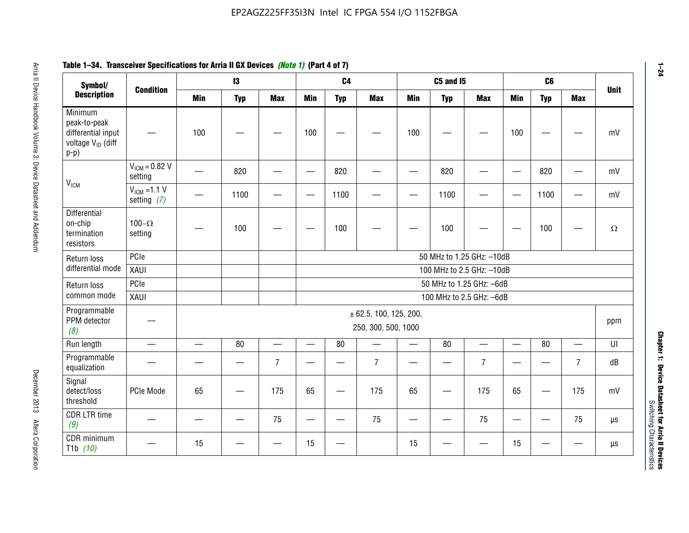#### **Arris 2: Device Handbook Volume 3: Device Datasheet Addents Device Datasheet Addents December 2013 Altera Corporation Minimum peaks-to-peak differential input voltage Video Minimum peaks-to-peak diff particular and the V<sub>ICM</sub>**  $V_{ICM} = 0.82 V$ setting | 一 | 820 | 一 | ― | 820 | 一 | ― | 820 | ― | ― | 820 | ― | mV  $V_{ICM}$  =1.1 V setting *(7)* | - | 1100 | - | - | 1100 | - | - | 1100 | - | - | 1100 | - | mV **Differential** on-chip termination resistors100– $\Omega$ setting | — | 100 | — | — | 100 | — | — | 100 | — | — | 100 | —  $\Omega$ Return loss differential mode PCIee | | | | 50 MHz to 1.25 GHz: –10dB XAUI 100 MHz to 2.5 GHz: –10dB Return loss common modePCIe 50 MHz to 1.25 GHz: –6dBXAUI 100 MHz to 2.5 GHz: –6dB Programmable PPM detector *(8)* —± 62.5, 100, 125, 200, 250, 300, 500, 1000 ppm Run length | ― | ― | 80 | ― | 80 | ― | 80 | ― | UI Programmable -rogrammasic | — | — | — | 7 |— | – | 7 |— | – | 7 |— | – | 7 | dB<br>equalization | — | — | — | 7 |— | 7 | — | 7 | — | 7 | — | 7 | dB Signal detect/loss thresholdPCIe Mode | 65 | — | 175 | 65 | — | 175 | 65 | — | 175 | 65 | — | 175 | mV CDR LTR time *(9)* – | – | – | <sup>75</sup> | – | <sup>75</sup> | – | <sup>75</sup> | – | <sup>75</sup> | – | <sup>75</sup> | – | <sup>75</sup> | <sup>18</sup> CDR minimum T1b *(10)* — <sup>15</sup> — — <sup>15</sup> — <sup>15</sup> — — <sup>15</sup> — — µs **Symbol/ Description Condition I3 C4 C5 and I5 C6UnitMin Typ Max Min Typ Max Min Typ Max Min Typ Max**

# **Table 1–34. Transceiver Specifications for Arria II GX Devices** *(Note 1)* **(Part 4 of 7)**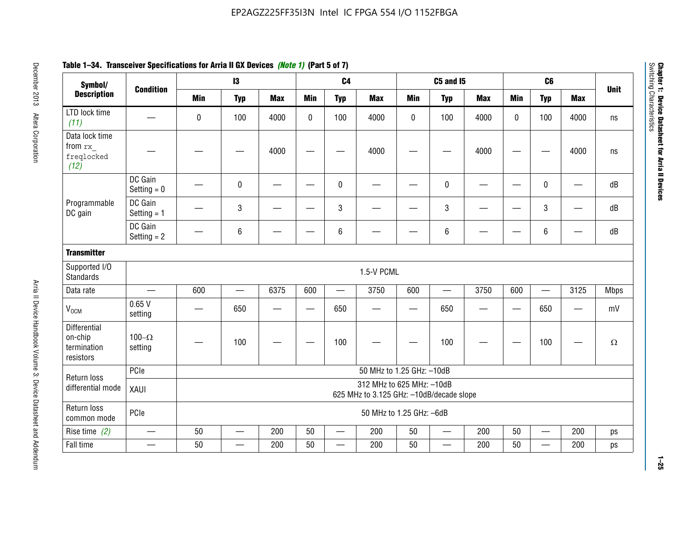| Symbol/                                                    |                                  |            | $\mathbf{13}$   |            |              | C <sub>4</sub>           |                                                                       |             | <b>C5 and 15</b>         |            |            | C <sub>6</sub>           |                          |             |
|------------------------------------------------------------|----------------------------------|------------|-----------------|------------|--------------|--------------------------|-----------------------------------------------------------------------|-------------|--------------------------|------------|------------|--------------------------|--------------------------|-------------|
| <b>Description</b>                                         | <b>Condition</b>                 | <b>Min</b> | <b>Typ</b>      | <b>Max</b> | <b>Min</b>   | <b>Typ</b>               | <b>Max</b>                                                            | <b>Min</b>  | <b>Typ</b>               | <b>Max</b> | <b>Min</b> | <b>Typ</b>               | <b>Max</b>               | <b>Unit</b> |
| LTD lock time<br>(11)                                      |                                  | 0          | 100             | 4000       | $\mathbf{0}$ | 100                      | 4000                                                                  | $\mathbf 0$ | 100                      | 4000       | $\Omega$   | 100                      | 4000                     | ns          |
| Data lock time<br>from rx<br>freqlocked<br>(12)            |                                  |            |                 | 4000       |              |                          | 4000                                                                  |             |                          | 4000       |            |                          | 4000                     | ns          |
|                                                            | DC Gain<br>Setting $= 0$         |            | $\pmb{0}$       |            |              | $\mathbf 0$              |                                                                       |             | 0                        |            |            | $\pmb{0}$                | $\overline{\phantom{0}}$ | dB          |
| Programmable<br>DC gain                                    | DC Gain<br>Setting $= 1$         |            | 3               |            |              | $\mathbf{3}$             |                                                                       |             | 3                        |            |            | 3                        |                          | dB          |
|                                                            | DC Gain<br>Setting $= 2$         |            | 6               |            |              | $\,6\,$                  |                                                                       |             | 6                        |            |            | $\,6\,$                  |                          | dB          |
| <b>Transmitter</b>                                         |                                  |            |                 |            |              |                          |                                                                       |             |                          |            |            |                          |                          |             |
| Supported I/O<br><b>Standards</b>                          |                                  |            |                 |            |              |                          | 1.5-V PCML                                                            |             |                          |            |            |                          |                          |             |
| Data rate                                                  | $\overbrace{\phantom{12322111}}$ | 600        | $\qquad \qquad$ | 6375       | 600          |                          | 3750                                                                  | 600         |                          | 3750       | 600        | $\qquad \qquad$          | 3125                     | <b>Mbps</b> |
| V <sub>OCM</sub>                                           | 0.65V<br>setting                 |            | 650             |            | —            | 650                      |                                                                       | —           | 650                      |            |            | 650                      |                          | mV          |
| <b>Differential</b><br>on-chip<br>termination<br>resistors | 100 $-\Omega$<br>setting         |            | 100             |            |              | 100                      |                                                                       |             | 100                      |            |            | 100                      |                          | $\Omega$    |
| Return loss                                                | PCIe                             |            |                 |            |              |                          | 50 MHz to 1.25 GHz: -10dB                                             |             |                          |            |            |                          |                          |             |
| differential mode                                          | XAUI                             |            |                 |            |              |                          | 312 MHz to 625 MHz: -10dB<br>625 MHz to 3.125 GHz: -10dB/decade slope |             |                          |            |            |                          |                          |             |
| Return loss<br>common mode                                 | PCIe                             |            |                 |            |              |                          | 50 MHz to 1.25 GHz: -6dB                                              |             |                          |            |            |                          |                          |             |
| Rise time $(2)$                                            |                                  | 50         |                 | 200        | 50           |                          | 200                                                                   | 50          | <u>—</u>                 | 200        | 50         | $\overline{\phantom{a}}$ | 200                      | ps          |
| Fall time                                                  | $\qquad \qquad$                  | 50         | —               | 200        | 50           | $\overline{\phantom{0}}$ | 200                                                                   | 50          | $\overline{\phantom{0}}$ | 200        | 50         | $\overline{\phantom{0}}$ | 200                      | ps          |

# **Table 1–34. Transceiver Specifications for Arria II GX Devices** *(Note 1)* **(Part 5 of 7)**

**Chapter 1: Device Datasheet for Arria II Devices**

Chapter 1: Device Datasheet for Arria II Devices<br>Switching Characteristics

Switching Characteristics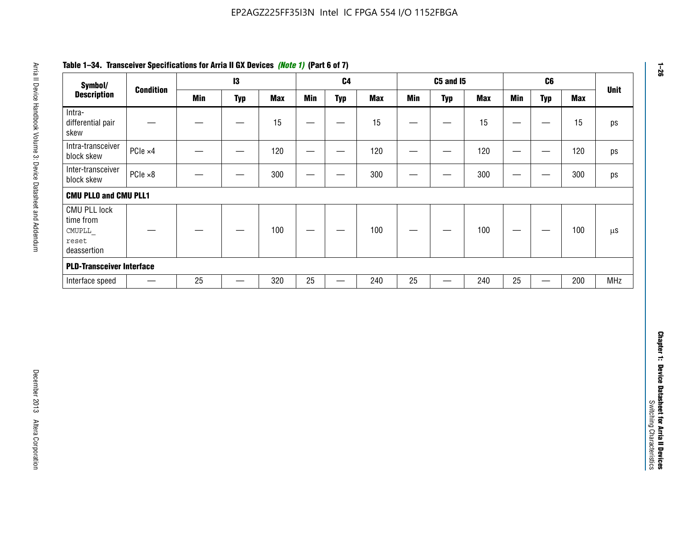| Symbol/                                                            |                          |            | $\mathbf{I}3$     |            |                 | C <sub>4</sub>                   |            |                                | <b>C5 and 15</b>              |            |                                  | C6                                |            | <b>Unit</b>   |
|--------------------------------------------------------------------|--------------------------|------------|-------------------|------------|-----------------|----------------------------------|------------|--------------------------------|-------------------------------|------------|----------------------------------|-----------------------------------|------------|---------------|
| <b>Description</b>                                                 | <b>Condition</b>         | <b>Min</b> | <b>Typ</b>        | <b>Max</b> | <b>Min</b>      | <b>Typ</b>                       | <b>Max</b> | <b>Min</b>                     | <b>Typ</b>                    | <b>Max</b> | <b>Min</b>                       | <b>Typ</b>                        | <b>Max</b> |               |
| Intra-<br>differential pair<br>skew                                |                          |            | $\qquad \qquad$   | 15         |                 | —                                | 15         | $\overline{\phantom{0}}$       | $\qquad \qquad$               | 15         | —                                | $\overbrace{\phantom{123221111}}$ | 15         | ps            |
| Intra-transceiver<br>block skew                                    | PCle ×4                  |            |                   | 120        | $\qquad \qquad$ | $\hspace{0.05cm}$                | 120        | $\qquad \qquad \longleftarrow$ | $\overbrace{\phantom{aaaaa}}$ | 120        | $\overline{\phantom{m}}$         | $\hspace{0.05cm}$                 | 120        | ps            |
| Inter-transceiver<br>block skew                                    | PCle ×8                  |            | -                 | 300        | —               | -                                | 300        | -                              | —                             | 300        | $\overline{\phantom{0}}$         | —                                 | 300        | ps            |
| <b>CMU PLLO and CMU PLL1</b>                                       |                          |            |                   |            |                 |                                  |            |                                |                               |            |                                  |                                   |            |               |
| <b>CMU PLL lock</b><br>time from<br>CMUPLL<br>reset<br>deassertion |                          |            |                   | 100        |                 |                                  | 100        |                                |                               | 100        | $\overbrace{\phantom{12322111}}$ | —                                 | 100        | $\mu\text{S}$ |
| <b>PLD-Transceiver Interface</b>                                   |                          |            |                   |            |                 |                                  |            |                                |                               |            |                                  |                                   |            |               |
| Interface speed                                                    | $\overline{\phantom{m}}$ | 25         | $\qquad \qquad -$ | 320        | $25\,$          | $\overbrace{\phantom{12322111}}$ | 240        | 25                             | $\overline{\phantom{0}}$      | 240        | 25                               | $\overbrace{\phantom{12322111}}$  | 200        | MHz           |
|                                                                    |                          |            |                   |            |                 |                                  |            |                                |                               |            |                                  |                                   |            |               |
|                                                                    |                          |            |                   |            |                 |                                  |            |                                |                               |            |                                  |                                   |            |               |
|                                                                    |                          |            |                   |            |                 |                                  |            |                                |                               |            |                                  |                                   |            |               |

# **Table 1–34. Transceiver Specifications for Arria II GX Devices** *(Note 1)* **(Part 6 of 7)**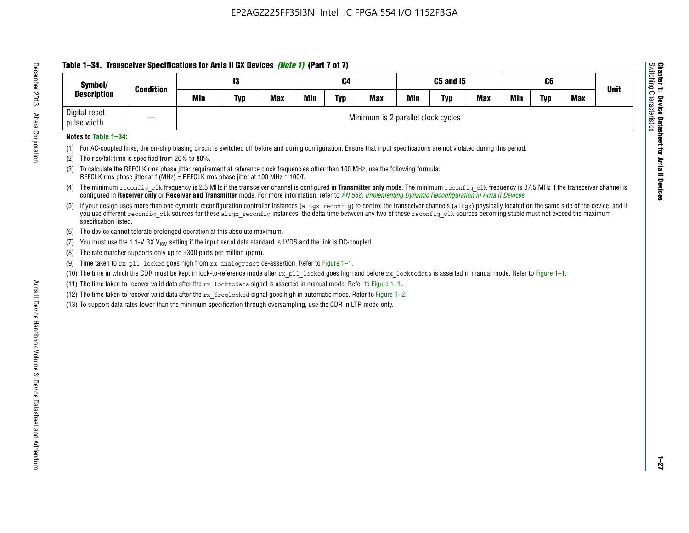# **Table 1–34. Transceiver Specifications for Arria II GX Devices** *(Note 1)* **(Part 7 of 7)**

| Symbol/                      |                  |     | 13         |            |            | C4         |                                    |            | C5 and I5  |            |            | C6         |            |             |
|------------------------------|------------------|-----|------------|------------|------------|------------|------------------------------------|------------|------------|------------|------------|------------|------------|-------------|
| <b>Description</b>           | <b>Condition</b> | Min | <b>Typ</b> | <b>Max</b> | <b>Min</b> | <b>Typ</b> | <b>Max</b>                         | <b>Min</b> | <b>Typ</b> | <b>Max</b> | <b>Min</b> | <b>Typ</b> | <b>Max</b> | <b>Unit</b> |
| Digital reset<br>pulse width |                  |     |            |            |            |            | Minimum is 2 parallel clock cycles |            |            |            |            |            |            |             |

## **Notes to Table 1–34:**

- (1) For AC-coupled links, the on-chip biasing circuit is switched off before and during configuration. Ensure that input specifications are not violated during this period.
- (2) The rise/fall time is specified from 20% to 80%.
- (3) To calculate the REFCLK rms phase jitter requirement at reference clock frequencies other than 100 MHz, use the following formula: REFCLK rms phase jitter at f (MHz) = REFCLK rms phase jitter at 100 MHz \* 100/f.
- (4) The minimum reconfig clk frequency is 2.5 MHz if the transceiver channel is configured in **Transmitter only** mode. The minimum reconfig clk frequency is 37.5 MHz if the transceiver channel is configured in **Receiver only** or **Receiver and Transmitter** mode. For more information, refer to *AN [558: Implementing Dynamic Reconfiguration in Arria II Devices](www.altera.com/literature/hb/arria-ii-gx/an558.pdf)*.
- (5) If your design uses more than one dynamic reconfiguration controller instances (altgx reconfig) to control the transceiver channels (altgx) physically located on the same side of the device, and if you use different reconfig clk sources for these altgx reconfig instances, the delta time between any two of these reconfig clk sources becoming stable must not exceed the maximum specification listed.
- (6) The device cannot tolerate prolonged operation at this absolute maximum.
- (7) You must use the 1.1-V RX  $V_{ICM}$  setting if the input serial data standard is LVDS and the link is DC-coupled.
- (8) The rate matcher supports only up to  $\pm 300$  parts per million (ppm).
- (9) Time taken to rx\_pll\_locked goes high from rx\_analogreset de-assertion. Refer to Figure 1–1.
- (10) The time in which the CDR must be kept in lock-to-reference mode after  $rx$  pll locked goes high and before  $rx$  locktodata is asserted in manual mode. Refer to Figure 1–1.
- (11) The time taken to recover valid data after the  $rx$  locktodata signal is asserted in manual mode. Refer to Figure 1–1.
- (12) The time taken to recover valid data after the  $rx$  freqlocked signal goes high in automatic mode. Refer to Figure 1–2.
- (13) To support data rates lower than the minimum specification through oversampling, use the CDR in LTR mode only.

**Chapter 1: Device Datasheet for Arria II Devices**

**Device Datasheet for Arria II Devices** 

Switching Characteristics

Chapter 1: Device Datas<br>Switching Characteristics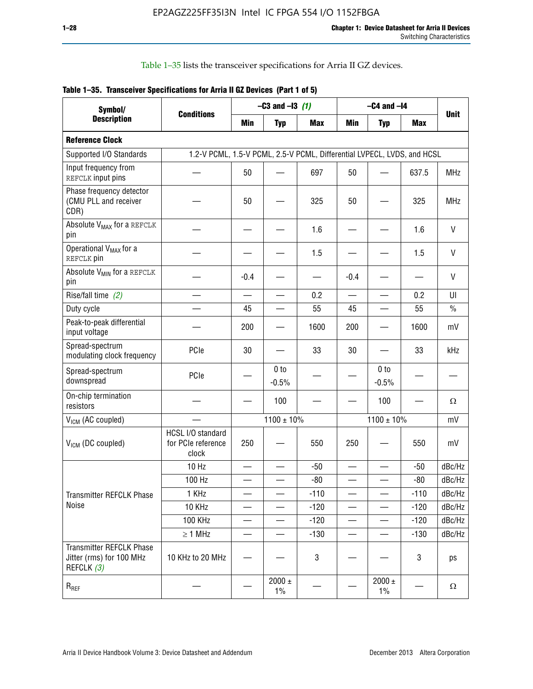Table 1–35 lists the transceiver specifications for Arria II GZ devices.

|  | Table 1-35. Transceiver Specifications for Arria II GZ Devices (Part 1 of 5) |  |
|--|------------------------------------------------------------------------------|--|
|  |                                                                              |  |

| Symbol/                                                                   |                                                                         |            | $-C3$ and $-13$ (1)        |            |            | $-C4$ and $-I4$            |            |             |
|---------------------------------------------------------------------------|-------------------------------------------------------------------------|------------|----------------------------|------------|------------|----------------------------|------------|-------------|
| <b>Description</b>                                                        | <b>Conditions</b>                                                       | <b>Min</b> | <b>Typ</b>                 | <b>Max</b> | <b>Min</b> | <b>Typ</b>                 | <b>Max</b> | <b>Unit</b> |
| <b>Reference Clock</b>                                                    |                                                                         |            |                            |            |            |                            |            |             |
| Supported I/O Standards                                                   | 1.2-V PCML, 1.5-V PCML, 2.5-V PCML, Differential LVPECL, LVDS, and HCSL |            |                            |            |            |                            |            |             |
| Input frequency from<br>REFCLK input pins                                 |                                                                         | 50         |                            | 697        | 50         |                            | 637.5      | <b>MHz</b>  |
| Phase frequency detector<br>(CMU PLL and receiver<br>CDR)                 |                                                                         | 50         |                            | 325        | 50         |                            | 325        | <b>MHz</b>  |
| Absolute V <sub>MAX</sub> for a REFCLK<br>pin                             |                                                                         |            |                            | 1.6        |            |                            | 1.6        | V           |
| Operational V <sub>MAX</sub> for a<br>REFCLK pin                          |                                                                         |            |                            | 1.5        |            |                            | 1.5        | V           |
| Absolute V <sub>MIN</sub> for a REFCLK<br>pin                             |                                                                         | $-0.4$     |                            |            | $-0.4$     |                            |            | V           |
| Rise/fall time (2)                                                        |                                                                         |            |                            | 0.2        |            |                            | 0.2        | UI          |
| Duty cycle                                                                |                                                                         | 45         |                            | 55         | 45         |                            | 55         | $\%$        |
| Peak-to-peak differential<br>input voltage                                |                                                                         | 200        |                            | 1600       | 200        |                            | 1600       | mV          |
| Spread-spectrum<br>modulating clock frequency                             | PCIe                                                                    | 30         |                            | 33         | 30         |                            | 33         | kHz         |
| Spread-spectrum<br>downspread                                             | PCIe                                                                    |            | 0 <sub>to</sub><br>$-0.5%$ |            |            | 0 <sub>to</sub><br>$-0.5%$ |            |             |
| On-chip termination<br>resistors                                          |                                                                         |            | 100                        |            |            | 100                        |            | Ω           |
| $V_{IGM}$ (AC coupled)                                                    |                                                                         |            | $1100 \pm 10\%$            |            |            | $1100 \pm 10\%$            |            | mV          |
| $V_{ICM}$ (DC coupled)                                                    | HCSL I/O standard<br>for PCIe reference<br>clock                        | 250        |                            | 550        | 250        |                            | 550        | mV          |
|                                                                           | 10 Hz                                                                   |            |                            | $-50$      |            |                            | $-50$      | dBc/Hz      |
|                                                                           | 100 Hz                                                                  |            |                            | $-80$      |            |                            | $-80$      | dBc/Hz      |
| Transmitter REFCLK Phase                                                  | 1 KHz                                                                   |            |                            | $-110$     |            |                            | $-110$     | dBc/Hz      |
| Noise                                                                     | 10 KHz                                                                  |            |                            | $-120$     |            |                            | $-120$     | dBc/Hz      |
|                                                                           | 100 KHz                                                                 |            |                            | $-120$     |            |                            | $-120$     | dBc/Hz      |
|                                                                           | $\geq 1$ MHz                                                            |            |                            | $-130$     |            |                            | $-130$     | dBc/Hz      |
| <b>Transmitter REFCLK Phase</b><br>Jitter (rms) for 100 MHz<br>REFCLK (3) | 10 KHz to 20 MHz                                                        |            |                            | 3          |            |                            | 3          | ps          |
| $R_{REF}$                                                                 |                                                                         |            | $2000 \pm$<br>$1\%$        |            |            | 2000 $\pm$<br>$1\%$        |            | $\Omega$    |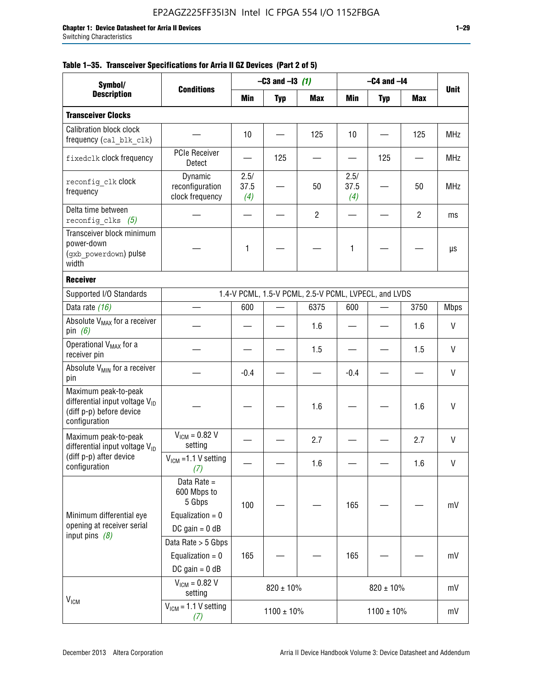|  |  | Table 1–35. Transceiver Specifications for Arria II GZ Devices (Part 2 of 5) |  |  |  |
|--|--|------------------------------------------------------------------------------|--|--|--|
|--|--|------------------------------------------------------------------------------|--|--|--|

| Symbol/                                                                                                         |                                                                                |                     | $-C3$ and $-13$ (1) |                                                      |                     | $-C4$ and $-I4$ |                |              |
|-----------------------------------------------------------------------------------------------------------------|--------------------------------------------------------------------------------|---------------------|---------------------|------------------------------------------------------|---------------------|-----------------|----------------|--------------|
| <b>Description</b>                                                                                              | <b>Conditions</b>                                                              | Min                 | <b>Typ</b>          | <b>Max</b>                                           | Min                 | <b>Typ</b>      | Max            | <b>Unit</b>  |
| <b>Transceiver Clocks</b>                                                                                       |                                                                                |                     |                     |                                                      |                     |                 |                |              |
| Calibration block clock<br>frequency (cal blk clk)                                                              |                                                                                | 10                  |                     | 125                                                  | 10                  |                 | 125            | <b>MHz</b>   |
| fixedclk clock frequency                                                                                        | <b>PCIe Receiver</b><br>Detect                                                 |                     | 125                 |                                                      |                     | 125             |                | <b>MHz</b>   |
| reconfig clk Clock<br>frequency                                                                                 | Dynamic<br>reconfiguration<br>clock frequency                                  | 2.5/<br>37.5<br>(4) |                     | 50                                                   | 2.5/<br>37.5<br>(4) |                 | 50             | <b>MHz</b>   |
| Delta time between<br>reconfig clks $(5)$                                                                       |                                                                                |                     |                     | $\overline{2}$                                       |                     |                 | $\overline{2}$ | ms           |
| Transceiver block minimum<br>power-down<br>(gxb_powerdown) pulse<br>width                                       |                                                                                | 1                   |                     |                                                      | 1                   |                 |                | μs           |
| <b>Receiver</b>                                                                                                 |                                                                                |                     |                     |                                                      |                     |                 |                |              |
| Supported I/O Standards                                                                                         |                                                                                |                     |                     | 1.4-V PCML, 1.5-V PCML, 2.5-V PCML, LVPECL, and LVDS |                     |                 |                |              |
| Data rate (16)                                                                                                  |                                                                                | 600                 |                     | 6375                                                 | 600                 |                 | 3750           | <b>Mbps</b>  |
| Absolute V <sub>MAX</sub> for a receiver<br>pin $(6)$                                                           |                                                                                |                     |                     | 1.6                                                  |                     |                 | 1.6            | V            |
| Operational V <sub>MAX</sub> for a<br>receiver pin                                                              |                                                                                |                     |                     | 1.5                                                  |                     |                 | 1.5            | $\mathsf{V}$ |
| Absolute V <sub>MIN</sub> for a receiver<br>pin                                                                 |                                                                                | $-0.4$              |                     |                                                      | $-0.4$              |                 |                | V            |
| Maximum peak-to-peak<br>differential input voltage V <sub>ID</sub><br>(diff p-p) before device<br>configuration |                                                                                |                     |                     | 1.6                                                  |                     |                 | 1.6            | $\mathsf{V}$ |
| Maximum peak-to-peak<br>differential input voltage $V_{\text{ID}}$                                              | $V_{IGM} = 0.82 V$<br>setting                                                  |                     |                     | 2.7                                                  |                     |                 | 2.7            | V            |
| (diff p-p) after device<br>configuration                                                                        | $VICM = 1.1 V setting$<br>(7)                                                  |                     |                     | 1.6                                                  |                     |                 | 1.6            | V            |
| Minimum differential eye<br>opening at receiver serial                                                          | Data Rate =<br>600 Mbps to<br>5 Gbps<br>Equalization = $0$<br>DC gain = $0$ dB | 100                 |                     |                                                      | 165                 |                 |                | mV           |
| input pins $(8)$                                                                                                | Data Rate > 5 Gbps<br>Equalization = $0$<br>DC gain = $0$ dB                   | 165                 |                     |                                                      | 165                 |                 |                | mV           |
| $V_{IGM}$                                                                                                       | $V_{IGM} = 0.82 V$<br>setting                                                  |                     | $820 \pm 10\%$      |                                                      |                     | $820 \pm 10\%$  |                | mV           |
|                                                                                                                 | $VICM = 1.1 V setting$<br>(7)                                                  |                     | $1100 \pm 10\%$     |                                                      |                     | $1100 \pm 10\%$ |                | mV           |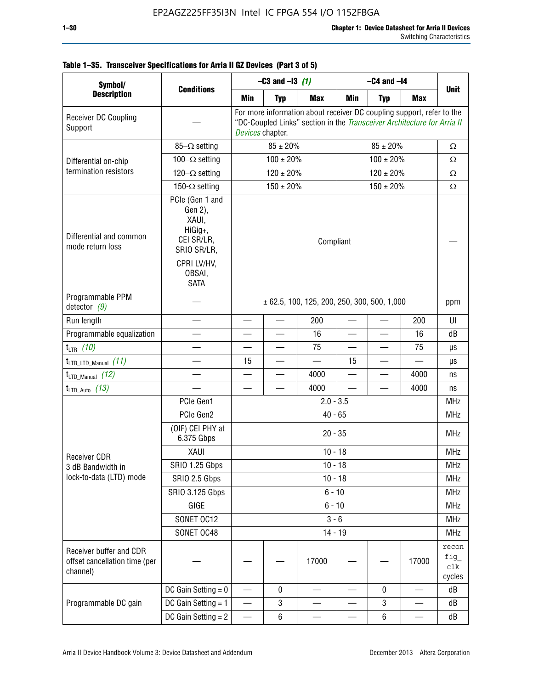| Symbol/                                                              |                                                                             |                                                 | $-C3$ and $-13$ (1)      |                                                                                                                                                  | $-C4$ and $-I4$          |                          |                               |                               |
|----------------------------------------------------------------------|-----------------------------------------------------------------------------|-------------------------------------------------|--------------------------|--------------------------------------------------------------------------------------------------------------------------------------------------|--------------------------|--------------------------|-------------------------------|-------------------------------|
| <b>Description</b>                                                   | <b>Conditions</b>                                                           | Min                                             | <b>Typ</b>               | <b>Max</b>                                                                                                                                       | Min                      | <b>Typ</b>               | <b>Max</b>                    | <b>Unit</b>                   |
| Receiver DC Coupling<br>Support                                      |                                                                             | Devices chapter.                                |                          | For more information about receiver DC coupling support, refer to the<br>"DC-Coupled Links" section in the Transceiver Architecture for Arria II |                          |                          |                               |                               |
|                                                                      | $85-\Omega$ setting                                                         |                                                 | $85 \pm 20\%$            |                                                                                                                                                  |                          | $85 \pm 20\%$            |                               | $\Omega$                      |
| Differential on-chip                                                 | 100 $-\Omega$ setting                                                       |                                                 | $100 \pm 20\%$           |                                                                                                                                                  |                          | $100 \pm 20\%$           |                               | $\Omega$                      |
| termination resistors                                                | $120-\Omega$ setting                                                        |                                                 | $120 \pm 20\%$           |                                                                                                                                                  |                          | $120 \pm 20\%$           |                               | $\Omega$                      |
|                                                                      | 150- $\Omega$ setting                                                       | $150 \pm 20\%$<br>$150 \pm 20\%$                |                          |                                                                                                                                                  |                          |                          |                               | $\Omega$                      |
| Differential and common<br>mode return loss                          | PCIe (Gen 1 and<br>Gen 2),<br>XAUI,<br>HiGig+,<br>CEI SR/LR,<br>SRIO SR/LR, | Compliant                                       |                          |                                                                                                                                                  |                          |                          |                               |                               |
|                                                                      | CPRI LV/HV.<br>OBSAI,<br><b>SATA</b>                                        |                                                 |                          |                                                                                                                                                  |                          |                          |                               |                               |
| Programmable PPM<br>detector $(9)$                                   |                                                                             | $\pm$ 62.5, 100, 125, 200, 250, 300, 500, 1,000 |                          |                                                                                                                                                  |                          |                          |                               | ppm                           |
| Run length                                                           |                                                                             |                                                 | $\overline{\phantom{0}}$ | 200                                                                                                                                              |                          |                          | 200                           | UI                            |
| Programmable equalization                                            |                                                                             |                                                 |                          | 16                                                                                                                                               |                          |                          | 16                            | dB                            |
| $t_{LTR}$ (10)                                                       |                                                                             | $\qquad \qquad$                                 | $\overline{\phantom{0}}$ | 75                                                                                                                                               | $\overline{\phantom{0}}$ | $\overline{\phantom{0}}$ | 75                            | μs                            |
| $t_{\text{LTR\_LTD\_Manual}}$ (11)                                   |                                                                             | 15                                              |                          | $\overline{\phantom{0}}$                                                                                                                         | 15                       | $\overline{\phantom{0}}$ | $\equiv$                      | μs                            |
| $t_{LTD\_Manual}$ (12)                                               |                                                                             |                                                 |                          | 4000                                                                                                                                             |                          |                          | 4000                          | ns                            |
| $t_{LTD\_Auto}$ (13)                                                 |                                                                             |                                                 |                          | 4000                                                                                                                                             | $\overline{\phantom{0}}$ |                          | 4000                          | ns                            |
|                                                                      | PCIe Gen1                                                                   | $2.0 - 3.5$                                     |                          |                                                                                                                                                  |                          |                          |                               |                               |
|                                                                      | PCIe Gen2                                                                   |                                                 |                          | $40 - 65$                                                                                                                                        |                          |                          |                               | <b>MHz</b>                    |
|                                                                      | (OIF) CEI PHY at<br>6.375 Gbps                                              | $20 - 35$                                       |                          |                                                                                                                                                  |                          |                          |                               |                               |
| <b>Receiver CDR</b>                                                  | XAUI                                                                        |                                                 |                          | $10 - 18$                                                                                                                                        |                          |                          |                               | <b>MHz</b>                    |
| 3 dB Bandwidth in                                                    | <b>SRIO 1.25 Gbps</b>                                                       |                                                 |                          | $10 - 18$                                                                                                                                        |                          |                          |                               | <b>MHz</b>                    |
| lock-to-data (LTD) mode                                              | SRIO 2.5 Gbps                                                               |                                                 |                          | $10 - 18$                                                                                                                                        |                          |                          |                               | <b>MHz</b>                    |
|                                                                      | SRIO 3.125 Gbps                                                             |                                                 |                          | $6 - 10$                                                                                                                                         |                          |                          |                               | MHz                           |
|                                                                      | GIGE                                                                        |                                                 |                          | $6 - 10$                                                                                                                                         |                          |                          |                               | <b>MHz</b>                    |
|                                                                      | SONET OC12                                                                  |                                                 |                          | $3 - 6$                                                                                                                                          |                          |                          |                               | <b>MHz</b>                    |
|                                                                      | SONET OC48                                                                  |                                                 |                          | $14 - 19$                                                                                                                                        |                          |                          |                               | <b>MHz</b>                    |
| Receiver buffer and CDR<br>offset cancellation time (per<br>channel) |                                                                             |                                                 |                          | 17000                                                                                                                                            |                          |                          | 17000                         | recon<br>fig<br>clk<br>cycles |
|                                                                      | DC Gain Setting $= 0$                                                       |                                                 | 0                        |                                                                                                                                                  |                          | $\mathbf 0$              |                               | dB                            |
| Programmable DC gain                                                 | DC Gain Setting $= 1$                                                       | —                                               | 3                        |                                                                                                                                                  |                          | 3                        |                               | dB                            |
|                                                                      | DC Gain Setting $= 2$                                                       | $\overbrace{\phantom{aaaaa}}$                   | 6                        |                                                                                                                                                  | —                        | $\,6$                    | $\overbrace{\phantom{13333}}$ | dB                            |

# **Table 1–35. Transceiver Specifications for Arria II GZ Devices (Part 3 of 5)**

T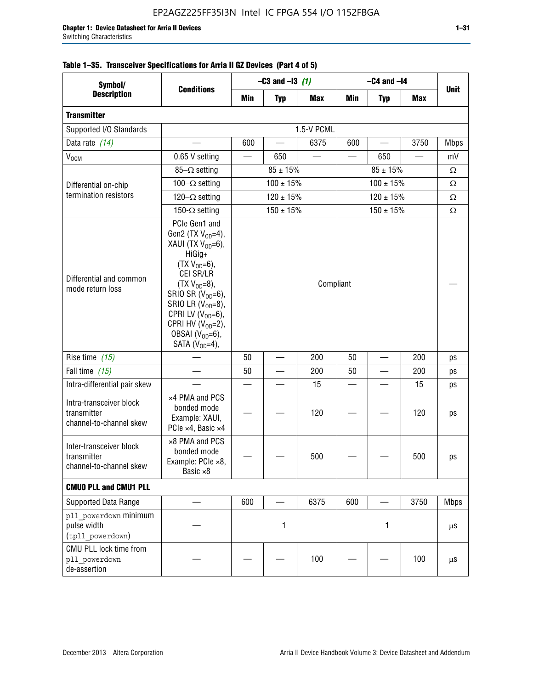| Symbol/                                                           | <b>Conditions</b>                                                                                                                                                                                                                                                                            | $-C3$ and $-13$ (1)           |                |            | $-C4$ and $-I4$          |                |            |             |
|-------------------------------------------------------------------|----------------------------------------------------------------------------------------------------------------------------------------------------------------------------------------------------------------------------------------------------------------------------------------------|-------------------------------|----------------|------------|--------------------------|----------------|------------|-------------|
| <b>Description</b>                                                |                                                                                                                                                                                                                                                                                              | Min                           | <b>Typ</b>     | <b>Max</b> | Min                      | <b>Typ</b>     | <b>Max</b> | <b>Unit</b> |
| <b>Transmitter</b>                                                |                                                                                                                                                                                                                                                                                              |                               |                |            |                          |                |            |             |
| Supported I/O Standards                                           |                                                                                                                                                                                                                                                                                              | 1.5-V PCML                    |                |            |                          |                |            |             |
| Data rate (14)                                                    |                                                                                                                                                                                                                                                                                              | 600                           |                | 6375       | 600                      |                | 3750       | <b>Mbps</b> |
| V <sub>OCM</sub>                                                  | 0.65 V setting                                                                                                                                                                                                                                                                               |                               | 650            |            |                          | 650            |            | mV          |
|                                                                   | 85- $\Omega$ setting                                                                                                                                                                                                                                                                         | $85 \pm 15\%$<br>$85 \pm 15%$ |                |            |                          |                | Ω          |             |
| Differential on-chip                                              | 100 $-\Omega$ setting                                                                                                                                                                                                                                                                        |                               | $100 \pm 15\%$ |            | $100 \pm 15%$            |                |            | Ω           |
| termination resistors                                             | 120 $-\Omega$ setting                                                                                                                                                                                                                                                                        |                               | $120 \pm 15%$  |            | $120 \pm 15\%$           |                |            | Ω           |
|                                                                   | 150- $\Omega$ setting                                                                                                                                                                                                                                                                        |                               | $150 \pm 15\%$ |            |                          | $150 \pm 15\%$ |            | Ω           |
| Differential and common<br>mode return loss                       | PCIe Gen1 and<br>Gen2 (TX $V_{OD} = 4$ ),<br>XAUI (TX $V_{OD} = 6$ ),<br>HiGig+<br>$(TX V_{OD} = 6)$ ,<br>CEI SR/LR<br>$(TX V_{OD} = 8),$<br>SRIO SR $(V_{OD}=6)$ ,<br>SRIO LR $(V_{OD} = 8)$ ,<br>CPRI LV $(V_{OD}=6)$ ,<br>CPRI HV $(V_{OD}=2)$ ,<br>OBSAI $(VOD=6)$ ,<br>SATA $(VOD=4)$ , | Compliant                     |                |            |                          |                |            |             |
| Rise time (15)                                                    |                                                                                                                                                                                                                                                                                              | 50                            |                | 200        | 50                       |                | 200        | ps          |
| Fall time $(15)$                                                  |                                                                                                                                                                                                                                                                                              | 50                            |                | 200        | 50                       |                | 200        | ps          |
| Intra-differential pair skew                                      |                                                                                                                                                                                                                                                                                              |                               |                | 15         | $\overline{\phantom{a}}$ |                | 15         | ps          |
| Intra-transceiver block<br>transmitter<br>channel-to-channel skew | x4 PMA and PCS<br>bonded mode<br>Example: XAUI,<br>PCIe ×4, Basic ×4                                                                                                                                                                                                                         |                               |                | 120        |                          |                | 120        | ps          |
| Inter-transceiver block<br>transmitter<br>channel-to-channel skew | ×8 PMA and PCS<br>bonded mode<br>Example: PCle ×8,<br>Basic ×8                                                                                                                                                                                                                               |                               |                | 500        |                          |                | 500        | ps          |
| <b>CMUO PLL and CMU1 PLL</b>                                      |                                                                                                                                                                                                                                                                                              |                               |                |            |                          |                |            |             |
| Supported Data Range                                              |                                                                                                                                                                                                                                                                                              | 600                           |                | 6375       | 600                      |                | 3750       | <b>Mbps</b> |
| pll powerdown minimum<br>pulse width<br>(tpll_powerdown)          |                                                                                                                                                                                                                                                                                              | 1<br>1                        |                |            |                          | μS             |            |             |
| CMU PLL lock time from<br>pll powerdown<br>de-assertion           |                                                                                                                                                                                                                                                                                              |                               |                | 100        |                          |                | 100        | μS          |

# **Table 1–35. Transceiver Specifications for Arria II GZ Devices (Part 4 of 5)**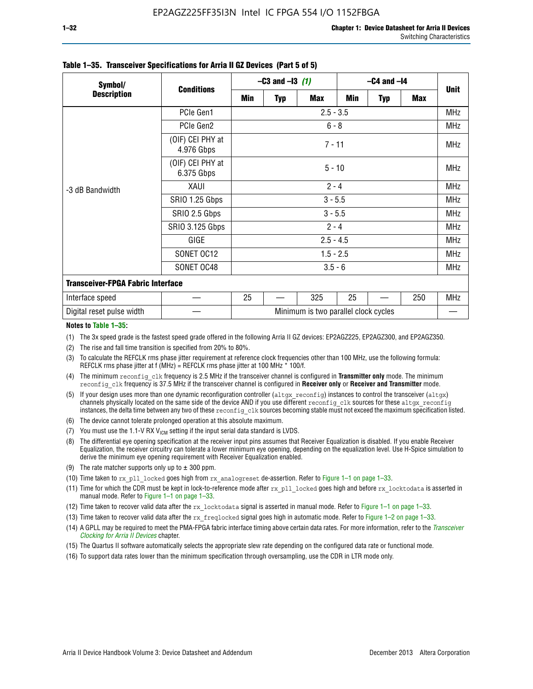| Symbol/                                  | <b>Conditions</b>              | $-C3$ and $-13$ (1)                  |            |            | $-C4$ and $-I4$ |            |     |             |  |
|------------------------------------------|--------------------------------|--------------------------------------|------------|------------|-----------------|------------|-----|-------------|--|
| <b>Description</b>                       |                                | Min                                  | <b>Typ</b> | <b>Max</b> | Min             | <b>Typ</b> | Max | <b>Unit</b> |  |
| -3 dB Bandwidth                          | PCIe Gen1                      | $2.5 - 3.5$                          |            |            |                 |            |     |             |  |
|                                          | PCIe Gen2                      | $6 - 8$                              |            |            |                 |            |     |             |  |
|                                          | (OIF) CEI PHY at<br>4.976 Gbps | $7 - 11$                             |            |            |                 |            |     |             |  |
|                                          | (OIF) CEI PHY at<br>6.375 Gbps | $5 - 10$                             |            |            |                 |            |     |             |  |
|                                          | XAUI                           | $2 - 4$                              |            |            |                 |            |     |             |  |
|                                          | SRIO 1.25 Gbps                 | $3 - 5.5$                            |            |            |                 |            |     |             |  |
|                                          | SRIO 2.5 Gbps                  | $3 - 5.5$                            |            |            |                 |            |     |             |  |
|                                          | <b>SRIO 3.125 Gbps</b>         | $2 - 4$                              |            |            |                 |            |     |             |  |
|                                          | GIGE                           | $2.5 - 4.5$                          |            |            |                 |            |     |             |  |
|                                          | SONET OC12                     | $1.5 - 2.5$                          |            |            |                 |            |     |             |  |
|                                          | SONET OC48                     | $3.5 - 6$                            |            |            |                 |            |     |             |  |
| <b>Transceiver-FPGA Fabric Interface</b> |                                |                                      |            |            |                 |            |     |             |  |
| Interface speed                          |                                | 25                                   |            | 325        | 25              |            | 250 | MHz         |  |
| Digital reset pulse width                |                                | Minimum is two parallel clock cycles |            |            |                 |            |     |             |  |

#### **Table 1–35. Transceiver Specifications for Arria II GZ Devices (Part 5 of 5)**

#### **Notes to Table 1–35:**

(1) The 3x speed grade is the fastest speed grade offered in the following Arria II GZ devices: EP2AGZ225, EP2AGZ300, and EP2AGZ350.

- (2) The rise and fall time transition is specified from 20% to 80%.
- (3) To calculate the REFCLK rms phase jitter requirement at reference clock frequencies other than 100 MHz, use the following formula: REFCLK rms phase jitter at f (MHz) = REFCLK rms phase jitter at 100 MHz  $*$  100/f.
- (4) The minimum reconfig clk frequency is 2.5 MHz if the transceiver channel is configured in **Transmitter only** mode. The minimum reconfig\_clk frequency is 37.5 MHz if the transceiver channel is configured in **Receiver only** or **Receiver and Transmitter** mode.
- (5) If your design uses more than one dynamic reconfiguration controller (altgx reconfig) instances to control the transceiver (altgx) channels physically located on the same side of the device AND if you use different reconfig clk sources for these altgx reconfig instances, the delta time between any two of these reconfig clk sources becoming stable must not exceed the maximum specification listed.
- (6) The device cannot tolerate prolonged operation at this absolute maximum.
- (7) You must use the 1.1-V RX  $V_{ICM}$  setting if the input serial data standard is LVDS.
- (8) The differential eye opening specification at the receiver input pins assumes that Receiver Equalization is disabled. If you enable Receiver Equalization, the receiver circuitry can tolerate a lower minimum eye opening, depending on the equalization level. Use H-Spice simulation to derive the minimum eye opening requirement with Receiver Equalization enabled.
- (9) The rate matcher supports only up to  $\pm$  300 ppm.
- (10) Time taken to rx\_pll\_locked goes high from rx\_analogreset de-assertion. Refer to Figure 1–1 on page 1–33.
- (11) Time for which the CDR must be kept in lock-to-reference mode after rx pll\_locked goes high and before rx\_locktodata is asserted in manual mode. Refer to Figure 1–1 on page 1–33.
- (12) Time taken to recover valid data after the rx locktodata signal is asserted in manual mode. Refer to Figure 1–1 on page 1–33.
- (13) Time taken to recover valid data after the rx\_freqlocked signal goes high in automatic mode. Refer to Figure 1–2 on page 1–33.
- (14) A GPLL may be required to meet the PMA-FPGA fabric interface timing above certain data rates. For more information, refer to the *[Transceiver](http://www.altera.com/literature/hb/arria-ii-gx/aiigx_52002.pdf)  [Clocking for Arria II Devices](http://www.altera.com/literature/hb/arria-ii-gx/aiigx_52002.pdf)* chapter.
- (15) The Quartus II software automatically selects the appropriate slew rate depending on the configured data rate or functional mode.
- (16) To support data rates lower than the minimum specification through oversampling, use the CDR in LTR mode only.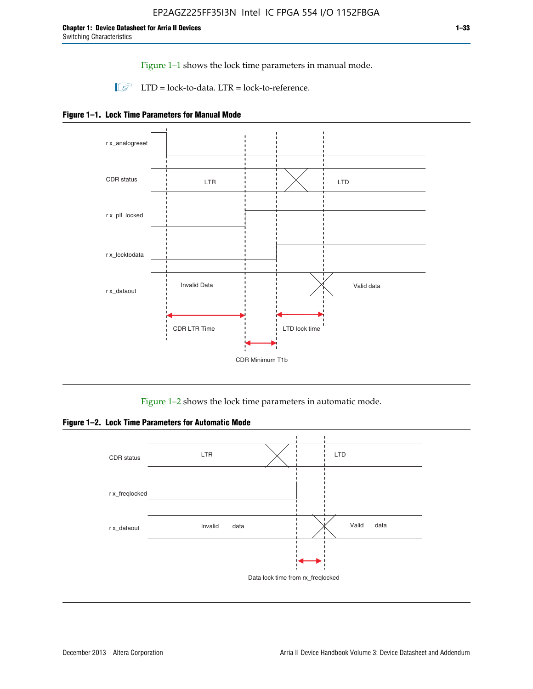Figure 1–1 shows the lock time parameters in manual mode.

 $\Box$  LTD = lock-to-data. LTR = lock-to-reference.





Figure 1–2 shows the lock time parameters in automatic mode.

**Figure 1–2. Lock Time Parameters for Automatic Mode**

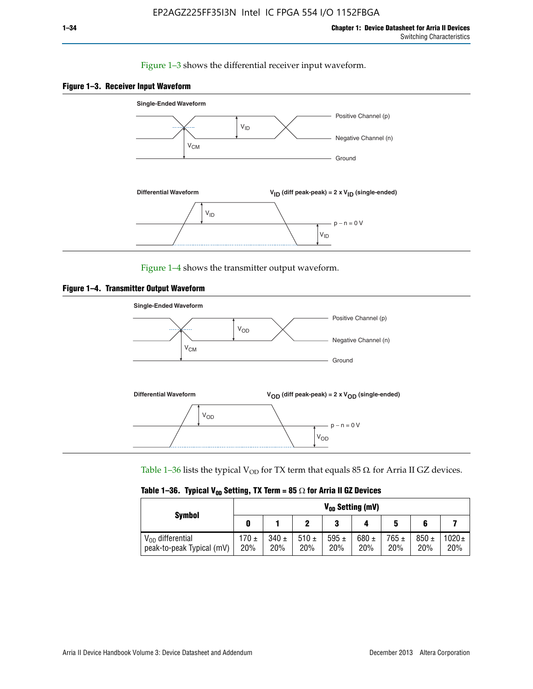#### Figure 1–3 shows the differential receiver input waveform.





Figure 1–4 shows the transmitter output waveform.





Table 1–36 lists the typical V<sub>OD</sub> for TX term that equals 85  $\Omega$  for Arria II GZ devices.

|  |  |  | Table 1–36. Typical V <sub>op</sub> Setting, TX Term = 85 $\Omega$ for Arria II GZ Devices |
|--|--|--|--------------------------------------------------------------------------------------------|
|--|--|--|--------------------------------------------------------------------------------------------|

|                                                    | $V_{0D}$ Setting (mV) |                  |                  |                  |                  |                  |                  |                   |  |  |
|----------------------------------------------------|-----------------------|------------------|------------------|------------------|------------------|------------------|------------------|-------------------|--|--|
| <b>Symbol</b>                                      |                       |                  |                  | 2<br>J           |                  | 5                |                  |                   |  |  |
| $V_{OD}$ differential<br>peak-to-peak Typical (mV) | $170 \pm$<br>20%      | $340 \pm$<br>20% | 510 $\pm$<br>20% | 595 $\pm$<br>20% | 680 $\pm$<br>20% | $765 \pm$<br>20% | $850 \pm$<br>20% | $1020 \pm$<br>20% |  |  |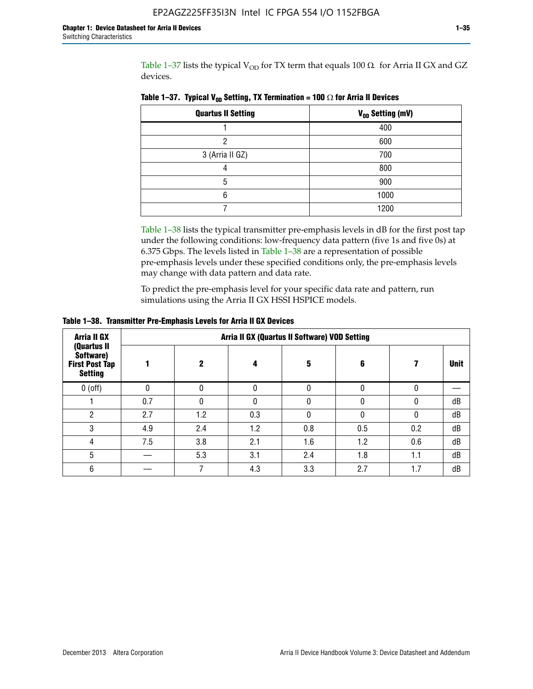Table 1-37 lists the typical  $V_{OD}$  for TX term that equals 100  $\Omega$  for Arria II GX and GZ devices.

| <b>Quartus II Setting</b> | V <sub>OD</sub> Setting (mV) |
|---------------------------|------------------------------|
|                           | 400                          |
| ი                         | 600                          |
| 3 (Arria II GZ)           | 700                          |
|                           | 800                          |
| 5                         | 900                          |
| 6                         | 1000                         |
|                           | 1200                         |

**Table 1–37. Typical V<sub>OD</sub> Setting, TX Termination = 100**  $\Omega$  for Arria II Devices

Table 1–38 lists the typical transmitter pre-emphasis levels in dB for the first post tap under the following conditions: low-frequency data pattern (five 1s and five 0s) at 6.375 Gbps. The levels listed in Table 1–38 are a representation of possible pre-emphasis levels under these specified conditions only, the pre-emphasis levels may change with data pattern and data rate.

To predict the pre-emphasis level for your specific data rate and pattern, run simulations using the Arria II GX HSSI HSPICE models.

| <b>Arria II GX</b><br>(Quartus II                    | Arria II GX (Quartus II Software) VOD Setting |     |     |     |     |     |             |  |  |  |  |
|------------------------------------------------------|-----------------------------------------------|-----|-----|-----|-----|-----|-------------|--|--|--|--|
| Software)<br><b>First Post Tap</b><br><b>Setting</b> |                                               | 2   | 4   | 5   | 6   |     | <b>Unit</b> |  |  |  |  |
| $0$ (off)                                            | 0                                             |     | U   |     |     |     |             |  |  |  |  |
|                                                      | 0.7                                           |     | U   |     |     |     | dB          |  |  |  |  |
| ŋ                                                    | 2.7                                           | 1.2 | 0.3 |     |     |     | dB          |  |  |  |  |
| 3                                                    | 4.9                                           | 2.4 | 1.2 | 0.8 | 0.5 | 0.2 | dB          |  |  |  |  |
| 4                                                    | 7.5                                           | 3.8 | 2.1 | 1.6 | 1.2 | 0.6 | dB          |  |  |  |  |
| 5                                                    |                                               | 5.3 | 3.1 | 2.4 | 1.8 | 1.1 | dB          |  |  |  |  |
| 6                                                    |                                               |     | 4.3 | 3.3 | 2.7 | 1.7 | dB          |  |  |  |  |

**Table 1–38. Transmitter Pre-Emphasis Levels for Arria II GX Devices**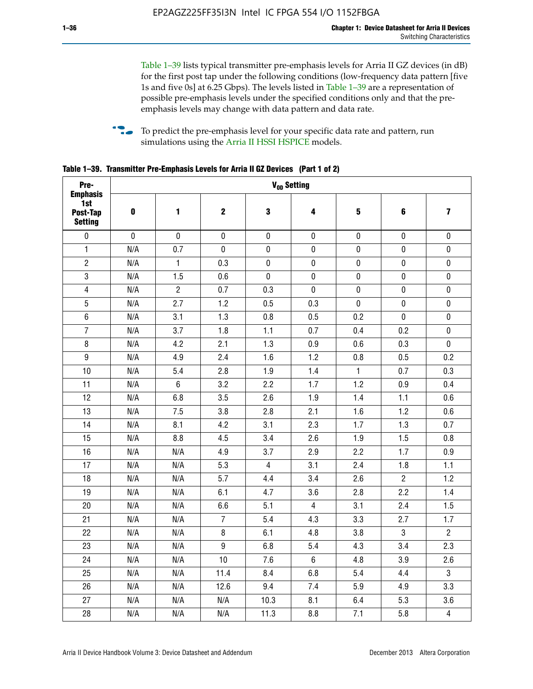Table 1–39 lists typical transmitter pre-emphasis levels for Arria II GZ devices (in dB) for the first post tap under the following conditions (low-frequency data pattern [five 1s and five 0s] at 6.25 Gbps). The levels listed in Table 1–39 are a representation of possible pre-emphasis levels under the specified conditions only and that the preemphasis levels may change with data pattern and data rate.

**follow** To predict the pre-emphasis level for your specific data rate and pattern, run simulations using the [Arria II HSSI HSPICE](http://www.altera.com/support/software/download/hspice/hsp-index.html) models.

| Pre-                                                 |           |                |                  | V <sub>OD</sub> Setting |                |                         |                |                         |
|------------------------------------------------------|-----------|----------------|------------------|-------------------------|----------------|-------------------------|----------------|-------------------------|
| <b>Emphasis</b><br>1st<br>Post-Tap<br><b>Setting</b> | $\pmb{0}$ | 1              | $\mathbf 2$      | $\mathbf 3$             | 4              | $\overline{\mathbf{5}}$ | 6              | $\overline{\mathbf{z}}$ |
| $\pmb{0}$                                            | $\pmb{0}$ | $\pmb{0}$      | $\pmb{0}$        | $\pmb{0}$               | $\pmb{0}$      | $\pmb{0}$               | $\pmb{0}$      | $\pmb{0}$               |
| $\mathbf{1}$                                         | N/A       | 0.7            | $\pmb{0}$        | $\pmb{0}$               | $\pmb{0}$      | $\pmb{0}$               | $\pmb{0}$      | $\pmb{0}$               |
| $\overline{2}$                                       | N/A       | $\mathbf{1}$   | 0.3              | $\pmb{0}$               | $\mathbf 0$    | $\mathbf 0$             | $\mathbf 0$    | $\pmb{0}$               |
| $\mathbf 3$                                          | N/A       | 1.5            | 0.6              | $\mathbf 0$             | $\pmb{0}$      | $\pmb{0}$               | $\pmb{0}$      | $\pmb{0}$               |
| $\overline{\mathbf{4}}$                              | N/A       | $\overline{2}$ | 0.7              | 0.3                     | $\pmb{0}$      | $\pmb{0}$               | $\pmb{0}$      | $\pmb{0}$               |
| $\overline{5}$                                       | N/A       | 2.7            | 1.2              | 0.5                     | 0.3            | $\pmb{0}$               | 0              | $\pmb{0}$               |
| $\,6\,$                                              | N/A       | 3.1            | 1.3              | 0.8                     | 0.5            | 0.2                     | $\mathbf 0$    | $\pmb{0}$               |
| $\overline{7}$                                       | N/A       | 3.7            | 1.8              | 1.1                     | 0.7            | 0.4                     | 0.2            | $\pmb{0}$               |
| $\bf 8$                                              | N/A       | 4.2            | 2.1              | 1.3                     | 0.9            | 0.6                     | 0.3            | $\pmb{0}$               |
| $\boldsymbol{9}$                                     | N/A       | 4.9            | 2.4              | 1.6                     | 1.2            | 0.8                     | 0.5            | 0.2                     |
| 10                                                   | N/A       | 5.4            | 2.8              | 1.9                     | 1.4            | $\mathbf{1}$            | 0.7            | 0.3                     |
| 11                                                   | N/A       | $\,6\,$        | 3.2              | 2.2                     | 1.7            | 1.2                     | 0.9            | 0.4                     |
| 12                                                   | N/A       | 6.8            | 3.5              | 2.6                     | 1.9            | 1.4                     | 1.1            | 0.6                     |
| 13                                                   | N/A       | 7.5            | 3.8              | 2.8                     | 2.1            | 1.6                     | 1.2            | 0.6                     |
| 14                                                   | N/A       | 8.1            | 4.2              | 3.1                     | 2.3            | 1.7                     | 1.3            | 0.7                     |
| 15                                                   | N/A       | 8.8            | 4.5              | 3.4                     | 2.6            | 1.9                     | 1.5            | 0.8                     |
| 16                                                   | N/A       | N/A            | 4.9              | 3.7                     | 2.9            | 2.2                     | 1.7            | 0.9                     |
| 17                                                   | N/A       | N/A            | 5.3              | $\overline{4}$          | 3.1            | 2.4                     | 1.8            | 1.1                     |
| 18                                                   | N/A       | N/A            | 5.7              | 4.4                     | 3.4            | 2.6                     | $\overline{c}$ | 1.2                     |
| 19                                                   | N/A       | N/A            | 6.1              | 4.7                     | 3.6            | 2.8                     | 2.2            | 1.4                     |
| 20                                                   | N/A       | N/A            | 6.6              | 5.1                     | 4              | 3.1                     | 2.4            | 1.5                     |
| 21                                                   | N/A       | N/A            | $\overline{7}$   | 5.4                     | 4.3            | 3.3                     | 2.7            | 1.7                     |
| 22                                                   | N/A       | N/A            | 8                | 6.1                     | 4.8            | 3.8                     | 3              | $\overline{2}$          |
| 23                                                   | N/A       | N/A            | $\boldsymbol{9}$ | 6.8                     | 5.4            | 4.3                     | 3.4            | 2.3                     |
| 24                                                   | N/A       | N/A            | 10               | 7.6                     | $6\phantom{.}$ | 4.8                     | 3.9            | 2.6                     |
| 25                                                   | N/A       | N/A            | 11.4             | 8.4                     | 6.8            | 5.4                     | 4.4            | 3                       |
| 26                                                   | N/A       | N/A            | 12.6             | 9.4                     | 7.4            | 5.9                     | 4.9            | 3.3                     |
| 27                                                   | N/A       | N/A            | N/A              | 10.3                    | 8.1            | 6.4                     | 5.3            | 3.6                     |
| 28                                                   | N/A       | N/A            | N/A              | 11.3                    | 8.8            | 7.1                     | 5.8            | $\overline{4}$          |

**Table 1–39. Transmitter Pre-Emphasis Levels for Arria II GZ Devices (Part 1 of 2)**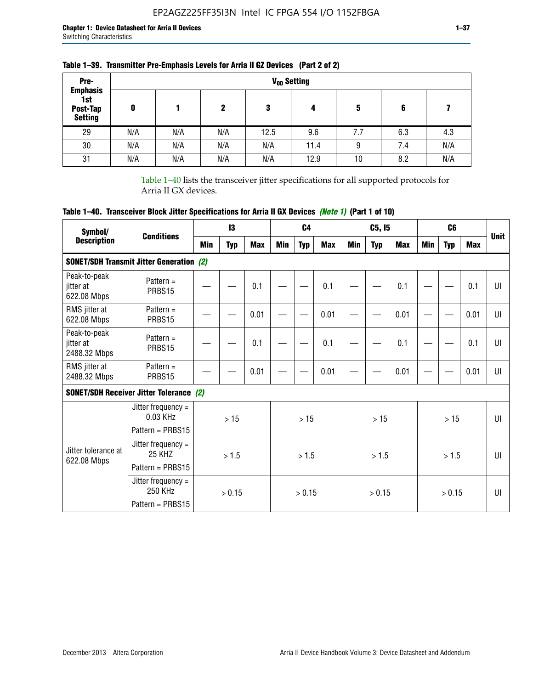| Pre-<br><b>Emphasis</b>           |     |     |     |      | V <sub>op</sub> Setting |     |     |     |
|-----------------------------------|-----|-----|-----|------|-------------------------|-----|-----|-----|
| 1st<br>Post-Tap<br><b>Setting</b> | 0   |     | 2   | 3    | 4                       | 5   | 6   |     |
| 29                                | N/A | N/A | N/A | 12.5 | 9.6                     | 7.7 | 6.3 | 4.3 |
| 30                                | N/A | N/A | N/A | N/A  | 11.4                    | 9   | 7.4 | N/A |
| 31                                | N/A | N/A | N/A | N/A  | 12.9                    | 10  | 8.2 | N/A |

### **Table 1–39. Transmitter Pre-Emphasis Levels for Arria II GZ Devices (Part 2 of 2)**

Table 1–40 lists the transceiver jitter specifications for all supported protocols for Arria II GX devices.

# **Table 1–40. Transceiver Block Jitter Specifications for Arria II GX Devices** *(Note 1)* **(Part 1 of 10)**

| Symbol/                                   | <b>Conditions</b>                                              |     | $\mathbf{13}$ |            |            | C <sub>4</sub> |            |     | C5, I5     |      |            | C <sub>6</sub> |            | <b>Unit</b>  |
|-------------------------------------------|----------------------------------------------------------------|-----|---------------|------------|------------|----------------|------------|-----|------------|------|------------|----------------|------------|--------------|
| <b>Description</b>                        |                                                                | Min | <b>Typ</b>    | <b>Max</b> | <b>Min</b> | <b>Typ</b>     | <b>Max</b> | Min | <b>Typ</b> | Max  | <b>Min</b> | <b>Typ</b>     | <b>Max</b> |              |
|                                           | <b>SONET/SDH Transmit Jitter Generation (2)</b>                |     |               |            |            |                |            |     |            |      |            |                |            |              |
| Peak-to-peak<br>jitter at<br>622.08 Mbps  | Pattern $=$<br>PRBS15                                          |     |               | 0.1        |            |                | 0.1        |     |            | 0.1  |            |                | 0.1        | UI           |
| RMS jitter at<br>622.08 Mbps              | Pattern $=$<br>PRBS15                                          |     |               | 0.01       |            |                | 0.01       |     |            | 0.01 |            |                | 0.01       | UI           |
| Peak-to-peak<br>iitter at<br>2488.32 Mbps | Pattern $=$<br>PRBS15                                          |     |               | 0.1        |            |                | 0.1        |     |            | 0.1  |            |                | 0.1        | U            |
| RMS jitter at<br>2488.32 Mbps             | Pattern $=$<br>PRBS15                                          |     |               | 0.01       |            |                | 0.01       |     |            | 0.01 |            |                | 0.01       | UI           |
|                                           | <b>SONET/SDH Receiver Jitter Tolerance (2)</b>                 |     |               |            |            |                |            |     |            |      |            |                |            |              |
|                                           | Jitter frequency $=$<br>$0.03$ KHz<br>Pattern = PRBS15         |     | >15           |            |            | >15            |            |     | >15        |      |            | >15            |            | $\mathbf{U}$ |
| Jitter tolerance at<br>622.08 Mbps        | Jitter frequency $=$<br>25 KH <sub>7</sub><br>Pattern = PRBS15 |     | > 1.5         |            |            | > 1.5          |            |     | > 1.5      |      |            | > 1.5          |            | $\mathbf{U}$ |
|                                           | Jitter frequency $=$<br>250 KHz<br>Pattern = PRBS15            |     | > 0.15        |            |            | > 0.15         |            |     | > 0.15     |      |            | > 0.15         |            | UI           |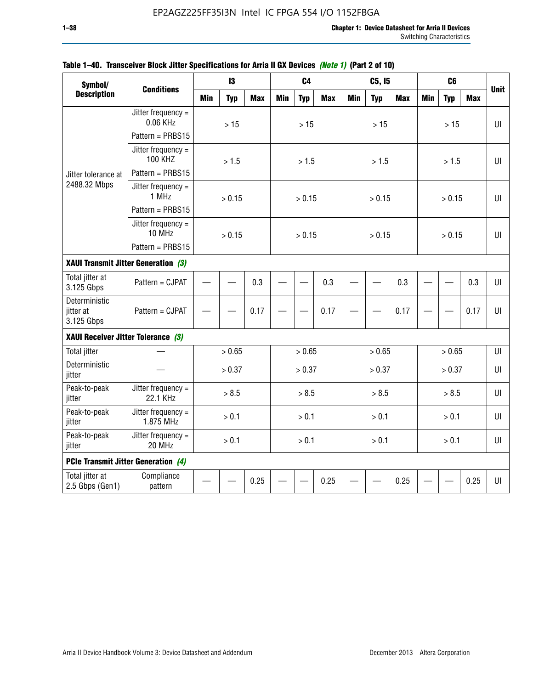| Symbol/                                    |                                        |            | 13         |            |            | C <sub>4</sub> |            |            | C5, I5     |            |            | C <sub>6</sub> |            |             |
|--------------------------------------------|----------------------------------------|------------|------------|------------|------------|----------------|------------|------------|------------|------------|------------|----------------|------------|-------------|
| <b>Description</b>                         | <b>Conditions</b>                      | <b>Min</b> | <b>Typ</b> | <b>Max</b> | <b>Min</b> | <b>Typ</b>     | <b>Max</b> | <b>Min</b> | <b>Typ</b> | <b>Max</b> | <b>Min</b> | <b>Typ</b>     | <b>Max</b> | <b>Unit</b> |
|                                            | Jitter frequency $=$<br>0.06 KHz       |            | $>15$      |            |            | $>15$          |            |            | $>15$      |            |            | $>15$          |            | UI          |
|                                            | Pattern = PRBS15                       |            |            |            |            |                |            |            |            |            |            |                |            |             |
|                                            | Jitter frequency $=$<br><b>100 KHZ</b> |            | > 1.5      |            |            | > 1.5          |            |            | > 1.5      |            |            | > 1.5          |            | UI          |
| Jitter tolerance at                        | Pattern = PRBS15                       |            |            |            |            |                |            |            |            |            |            |                |            |             |
| 2488.32 Mbps                               | Jitter frequency $=$<br>1 MHz          |            | > 0.15     |            |            | > 0.15         |            |            | > 0.15     |            |            | > 0.15         |            | UI          |
|                                            | Pattern = PRBS15                       |            |            |            |            |                |            |            |            |            |            |                |            |             |
|                                            | Jitter frequency =<br>10 MHz           |            | > 0.15     |            |            | > 0.15         |            |            | > 0.15     |            |            | > 0.15         |            | UI          |
|                                            | Pattern = PRBS15                       |            |            |            |            |                |            |            |            |            |            |                |            |             |
| XAUI Transmit Jitter Generation (3)        |                                        |            |            |            |            |                |            |            |            |            |            |                |            |             |
| Total jitter at<br>3.125 Gbps              | Pattern = CJPAT                        | 0.3        |            |            |            | 0.3            |            |            | 0.3        |            |            | 0.3            | UI         |             |
| Deterministic<br>jitter at<br>3.125 Gbps   | Pattern = CJPAT                        |            |            | 0.17       |            |                | 0.17       |            |            | 0.17       |            |                | 0.17       | U           |
| XAUI Receiver Jitter Tolerance (3)         |                                        |            |            |            |            |                |            |            |            |            |            |                |            |             |
| <b>Total jitter</b>                        |                                        |            | > 0.65     |            |            | > 0.65         |            |            | > 0.65     |            |            | > 0.65         |            | UI          |
| Deterministic<br>jitter                    |                                        |            | > 0.37     |            |            | > 0.37         |            |            | > 0.37     |            |            | > 0.37         |            | UI          |
| Peak-to-peak<br>jitter                     | Jitter frequency =<br>22.1 KHz         |            | > 8.5      |            |            | > 8.5          |            |            | > 8.5      |            |            | > 8.5          |            | $U\Gamma$   |
| Peak-to-peak<br>jitter                     | Jitter frequency $=$<br>1.875 MHz      |            | > 0.1      |            |            | > 0.1          |            |            | > 0.1      |            |            | > 0.1          |            | $U\Gamma$   |
| Peak-to-peak<br>jitter                     | Jitter frequency $=$<br>20 MHz         | > 0.1      |            |            | > 0.1      |                |            | > 0.1      |            |            | > 0.1      |                | $U\Gamma$  |             |
| <b>PCIe Transmit Jitter Generation (4)</b> |                                        |            |            |            |            |                |            |            |            |            |            |                |            |             |
| Total jitter at<br>2.5 Gbps (Gen1)         | Compliance<br>pattern                  |            |            | 0.25       |            |                | 0.25       |            |            | 0.25       |            |                | 0.25       | $U\Gamma$   |

### **Table 1–40. Transceiver Block Jitter Specifications for Arria II GX Devices** *(Note 1)* **(Part 2 of 10)**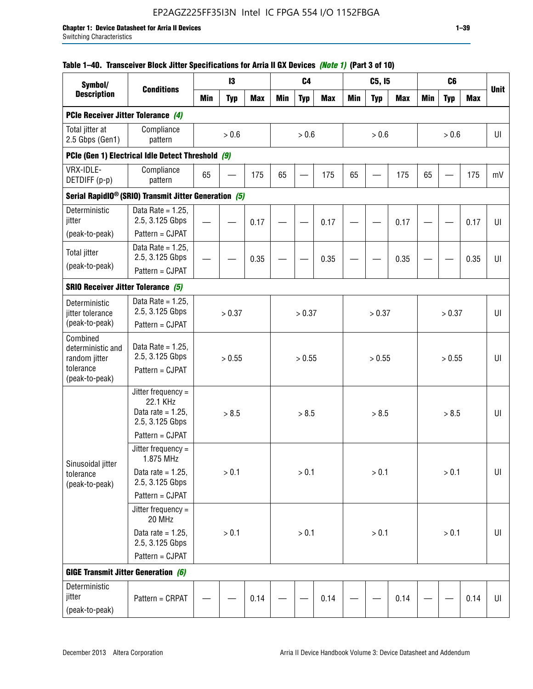|  | Table 1–40. Transceiver Block Jitter Specifications for Arria II GX Devices <i>(Note 1)</i> (Part 3 of 10) |  |
|--|------------------------------------------------------------------------------------------------------------|--|
|  |                                                                                                            |  |

| Symbol/                                                                       |                                                                           |            | 13         |            |            | C <sub>4</sub>           |            |            | C5, I5     |            |            | C <sub>6</sub> |            |             |
|-------------------------------------------------------------------------------|---------------------------------------------------------------------------|------------|------------|------------|------------|--------------------------|------------|------------|------------|------------|------------|----------------|------------|-------------|
| <b>Description</b>                                                            | <b>Conditions</b>                                                         | <b>Min</b> | <b>Typ</b> | <b>Max</b> | <b>Min</b> | <b>Typ</b>               | <b>Max</b> | <b>Min</b> | <b>Typ</b> | <b>Max</b> | <b>Min</b> | <b>Typ</b>     | <b>Max</b> | <b>Unit</b> |
| PCIe Receiver Jitter Tolerance (4)                                            |                                                                           |            |            |            |            |                          |            |            |            |            |            |                |            |             |
| Total jitter at<br>2.5 Gbps (Gen1)                                            | Compliance<br>pattern                                                     |            | > 0.6      |            |            | > 0.6                    |            |            | > 0.6      |            |            | > 0.6          |            | UI          |
|                                                                               | PCIe (Gen 1) Electrical Idle Detect Threshold (9)                         |            |            |            |            |                          |            |            |            |            |            |                |            |             |
| VRX-IDLE-<br>DETDIFF (p-p)                                                    | Compliance<br>pattern                                                     | 65         |            | 175        | 65         | $\overline{\phantom{0}}$ | 175        | 65         |            | 175        | 65         |                | 175        | mV          |
|                                                                               | Serial RapidIO <sup>®</sup> (SRIO) Transmit Jitter Generation (5)         |            |            |            |            |                          |            |            |            |            |            |                |            |             |
| Deterministic<br>jitter                                                       | Data Rate = $1.25$ ,<br>2.5, 3.125 Gbps                                   |            |            | 0.17       |            |                          | 0.17       |            |            | 0.17       |            |                | 0.17       | UI          |
| (peak-to-peak)                                                                | Pattern = CJPAT<br>Data Rate = $1.25$ ,                                   |            |            |            |            |                          |            |            |            |            |            |                |            |             |
| <b>Total jitter</b><br>(peak-to-peak)                                         | 2.5, 3.125 Gbps<br>Pattern = CJPAT                                        |            |            | 0.35       |            |                          | 0.35       |            |            | 0.35       |            |                | 0.35       | UI          |
| <b>SRIO Receiver Jitter Tolerance (5)</b>                                     |                                                                           |            |            |            |            |                          |            |            |            |            |            |                |            |             |
| Deterministic<br>jitter tolerance<br>(peak-to-peak)                           | Data Rate = $1.25$ ,<br>2.5, 3.125 Gbps<br>Pattern = CJPAT                | > 0.37     |            |            | > 0.37     |                          |            | > 0.37     |            |            | > 0.37     |                | UI         |             |
| Combined<br>deterministic and<br>random jitter<br>tolerance<br>(peak-to-peak) | Data Rate = $1.25$ ,<br>2.5, 3.125 Gbps<br>Pattern = CJPAT                | > 0.55     |            |            |            | > 0.55                   |            |            | > 0.55     |            |            | > 0.55         |            | UI          |
|                                                                               | Jitter frequency =<br>22.1 KHz<br>Data rate = $1.25$ ,<br>2.5, 3.125 Gbps |            | > 8.5      |            |            | > 8.5                    |            |            | > 8.5      |            |            | > 8.5          |            | UI          |
|                                                                               | Pattern = CJPAT<br>Jitter frequency $=$<br>1.875 MHz                      |            |            |            |            |                          |            |            |            |            |            |                |            |             |
| Sinusoidal jitter<br>tolerance<br>(peak-to-peak)                              | Data rate = $1.25$ ,<br>2.5, 3.125 Gbps                                   |            | > 0.1      |            |            | > 0.1                    |            |            | > 0.1      |            |            | > 0.1          |            | UI          |
|                                                                               | Pattern = CJPAT                                                           |            |            |            |            |                          |            |            |            |            |            |                |            |             |
|                                                                               | Jitter frequency $=$<br>20 MHz                                            |            |            |            |            |                          |            |            |            |            |            |                |            |             |
|                                                                               | Data rate = $1.25$ ,<br>2.5, 3.125 Gbps<br>Pattern = CJPAT                |            | > 0.1      |            |            | > 0.1                    |            |            | > 0.1      |            |            | > 0.1          |            | UI          |
|                                                                               |                                                                           |            |            |            |            |                          |            |            |            |            |            |                |            |             |
| <b>GIGE Transmit Jitter Generation (6)</b>                                    |                                                                           |            |            |            |            |                          |            |            |            |            |            |                |            |             |
| Deterministic<br>jitter<br>(peak-to-peak)                                     | Pattern = CRPAT                                                           |            |            | 0.14       |            |                          | 0.14       |            |            | 0.14       |            |                | 0.14       | UI          |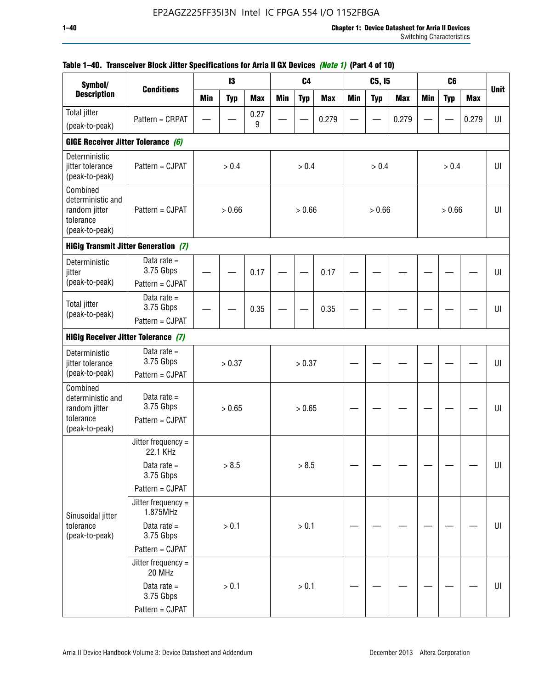| Symbol/                                                                       |                                             |            | $\mathbf{I}3$ |            |            | C <sub>4</sub> |            |            | C5, I5     |            |            | C <sub>6</sub> |            |             |
|-------------------------------------------------------------------------------|---------------------------------------------|------------|---------------|------------|------------|----------------|------------|------------|------------|------------|------------|----------------|------------|-------------|
| <b>Description</b>                                                            | <b>Conditions</b>                           | <b>Min</b> | <b>Typ</b>    | <b>Max</b> | <b>Min</b> | <b>Typ</b>     | <b>Max</b> | <b>Min</b> | <b>Typ</b> | <b>Max</b> | <b>Min</b> | <b>Typ</b>     | <b>Max</b> | <b>Unit</b> |
| <b>Total jitter</b>                                                           | Pattern = CRPAT                             |            |               | 0.27       |            |                | 0.279      |            |            | 0.279      |            |                | 0.279      | UI          |
| (peak-to-peak)                                                                |                                             |            |               | 9          |            |                |            |            |            |            |            |                |            |             |
| GIGE Receiver Jitter Tolerance (6)                                            |                                             |            |               |            |            |                |            |            |            |            |            |                |            |             |
| Deterministic<br>jitter tolerance<br>(peak-to-peak)                           | Pattern = CJPAT                             |            | > 0.4         |            |            | > 0.4          |            |            | > 0.4      |            |            | > 0.4          |            | UI          |
| Combined<br>deterministic and<br>random jitter<br>tolerance<br>(peak-to-peak) | Pattern = CJPAT                             |            | > 0.66        |            |            | > 0.66         |            |            | > 0.66     |            |            | > 0.66         |            | UI          |
|                                                                               | <b>HiGig Transmit Jitter Generation (7)</b> |            |               |            |            |                |            |            |            |            |            |                |            |             |
| Deterministic<br>jitter                                                       | Data rate $=$<br>3.75 Gbps                  |            |               | 0.17       |            |                | 0.17       |            |            |            |            |                |            | U           |
| (peak-to-peak)                                                                | Pattern = CJPAT                             |            |               |            |            |                |            |            |            |            |            |                |            |             |
| <b>Total jitter</b><br>(peak-to-peak)                                         | Data rate $=$<br>3.75 Gbps                  |            |               | 0.35       |            |                | 0.35       |            |            |            |            |                |            | U           |
| Pattern = CJPAT                                                               |                                             |            |               |            |            |                |            |            |            |            |            |                |            |             |
| <b>HiGig Receiver Jitter Tolerance (7)</b>                                    |                                             |            |               |            |            |                |            |            |            |            |            |                |            |             |
| Deterministic<br>jitter tolerance                                             | Data rate $=$<br>3.75 Gbps                  |            | > 0.37        |            |            | > 0.37         |            |            |            |            |            |                |            | UI          |
| (peak-to-peak)<br>Combined                                                    | Pattern = CJPAT                             |            |               |            |            |                |            |            |            |            |            |                |            |             |
| deterministic and<br>random jitter                                            | Data rate $=$<br>3.75 Gbps                  |            | > 0.65        |            |            | > 0.65         |            |            |            |            |            |                |            | U           |
| tolerance<br>(peak-to-peak)                                                   | Pattern = CJPAT                             |            |               |            |            |                |            |            |            |            |            |                |            |             |
|                                                                               | Jitter frequency $=$<br>22.1 KHz            |            |               |            |            |                |            |            |            |            |            |                |            |             |
|                                                                               | Data rate $=$<br>3.75 Gbps                  |            | > 8.5         |            |            | > 8.5          |            |            |            |            |            |                |            | UI          |
|                                                                               | Pattern = CJPAT                             |            |               |            |            |                |            |            |            |            |            |                |            |             |
| Sinusoidal jitter                                                             | Jitter frequency $=$<br>1.875MHz            |            |               |            |            |                |            |            |            |            |            |                |            |             |
| tolerance<br>(peak-to-peak)                                                   | Data rate $=$<br>3.75 Gbps                  |            | $> 0.1$       |            |            | $> 0.1$        |            |            |            |            |            |                |            | UI          |
|                                                                               | Pattern = CJPAT                             |            |               |            |            |                |            |            |            |            |            |                |            |             |
|                                                                               | Jitter frequency =<br>20 MHz                |            |               |            |            |                |            |            |            |            |            |                |            |             |
|                                                                               | Data rate $=$<br>3.75 Gbps                  |            | > 0.1         |            |            | > 0.1          |            |            |            |            |            |                |            | U           |
|                                                                               | Pattern = CJPAT                             |            |               |            |            |                |            |            |            |            |            |                |            |             |

## **Table 1–40. Transceiver Block Jitter Specifications for Arria II GX Devices** *(Note 1)* **(Part 4 of 10)**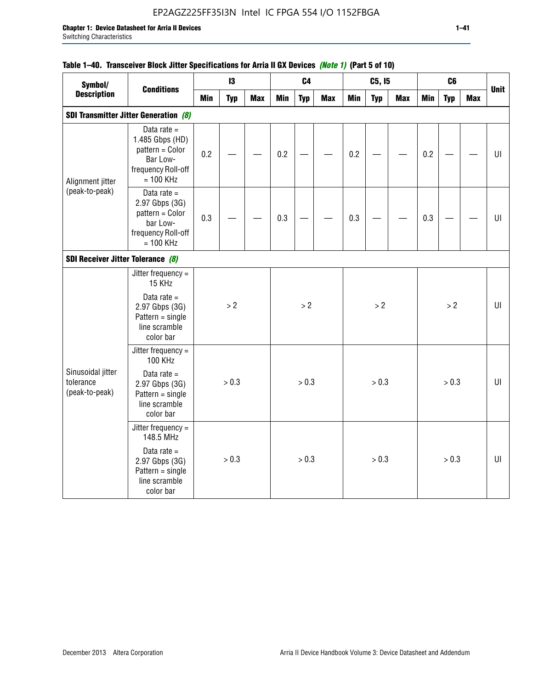## EP2AGZ225FF35I3N Intel IC FPGA 554 I/O 1152FBGA

### **Table 1–40. Transceiver Block Jitter Specifications for Arria II GX Devices** *(Note 1)* **(Part 5 of 10)**

| Symbol/                                             |                                                                                                      |            | 13         |            |            | C <sub>4</sub> |            |            | C5, I5     |            |            | C <sub>6</sub> |            |             |
|-----------------------------------------------------|------------------------------------------------------------------------------------------------------|------------|------------|------------|------------|----------------|------------|------------|------------|------------|------------|----------------|------------|-------------|
| <b>Description</b>                                  | <b>Conditions</b>                                                                                    | <b>Min</b> | <b>Typ</b> | <b>Max</b> | <b>Min</b> | <b>Typ</b>     | <b>Max</b> | <b>Min</b> | <b>Typ</b> | <b>Max</b> | <b>Min</b> | <b>Typ</b>     | <b>Max</b> | <b>Unit</b> |
|                                                     | <b>SDI Transmitter Jitter Generation (8)</b>                                                         |            |            |            |            |                |            |            |            |            |            |                |            |             |
| Alignment jitter                                    | Data rate $=$<br>1.485 Gbps (HD)<br>pattern = Color<br>Bar Low-<br>frequency Roll-off<br>$= 100$ KHz | 0.2        |            |            | 0.2        |                |            | 0.2        |            |            | 0.2        |                |            | U           |
| (peak-to-peak)<br>SDI Receiver Jitter Tolerance (8) | Data rate $=$<br>2.97 Gbps (3G)<br>pattern = Color<br>bar Low-<br>frequency Roll-off<br>$= 100$ KHz  | 0.3        |            |            | 0.3        |                |            | 0.3        |            |            | 0.3        |                |            | U           |
|                                                     |                                                                                                      |            |            |            |            |                |            |            |            |            |            |                |            |             |
|                                                     | Jitter frequency $=$<br>15 KHz<br>Data rate $=$                                                      |            |            |            |            |                |            |            |            |            |            |                |            |             |
|                                                     | 2.97 Gbps (3G)<br>$Pattern = single$<br>line scramble<br>color bar                                   |            | > 2        |            |            | > 2            |            |            | >2         |            |            | >2             |            | $U\Gamma$   |
|                                                     | Jitter frequency =<br><b>100 KHz</b>                                                                 |            |            |            |            |                |            |            |            |            |            |                |            |             |
| Sinusoidal jitter<br>tolerance<br>(peak-to-peak)    | Data rate $=$<br>2.97 Gbps (3G)<br>$Pattern = single$<br>line scramble<br>color bar                  |            | > 0.3      |            |            | > 0.3          |            |            | > 0.3      |            |            | > 0.3          |            | UI          |
|                                                     | Jitter frequency =<br>148.5 MHz                                                                      |            |            |            |            |                |            |            |            |            |            |                |            |             |
|                                                     | Data rate $=$<br>2.97 Gbps (3G)<br>$Pattern = single$<br>line scramble<br>color bar                  |            | > 0.3      |            |            | > 0.3          |            |            | > 0.3      |            |            | > 0.3          |            | UI          |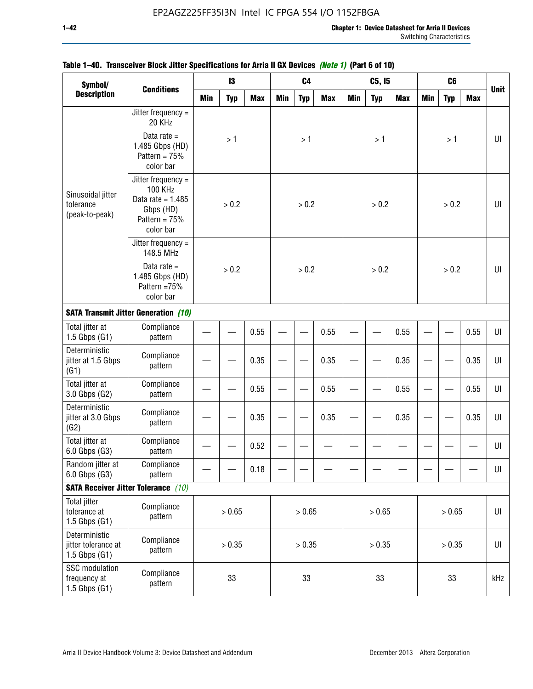| Symbol/                                                    |                                                                                                          |            | 13         |            |        | C <sub>4</sub> |            |            | C5, 15     |            |            | C <sub>6</sub> |                |                |
|------------------------------------------------------------|----------------------------------------------------------------------------------------------------------|------------|------------|------------|--------|----------------|------------|------------|------------|------------|------------|----------------|----------------|----------------|
| <b>Description</b>                                         | <b>Conditions</b>                                                                                        | <b>Min</b> | <b>Typ</b> | <b>Max</b> | Min    | <b>Typ</b>     | <b>Max</b> | <b>Min</b> | <b>Typ</b> | <b>Max</b> | <b>Min</b> | <b>Typ</b>     | <b>Max</b>     | <b>Unit</b>    |
|                                                            | Jitter frequency =<br>20 KHz                                                                             |            |            |            |        |                |            |            |            |            |            |                |                |                |
|                                                            | Data rate $=$<br>1.485 Gbps (HD)<br>Pattern = $75%$<br>color bar                                         |            | >1         |            |        | >1             |            |            | >1         |            |            | >1             |                | UI             |
| Sinusoidal jitter<br>tolerance<br>(peak-to-peak)           | Jitter frequency =<br><b>100 KHz</b><br>Data rate = $1.485$<br>Gbps (HD)<br>Pattern = $75%$<br>color bar |            | > 0.2      |            |        | > 0.2          |            |            | > 0.2      |            |            | > 0.2          |                | $U\Gamma$      |
|                                                            | Jitter frequency =<br>148.5 MHz                                                                          |            |            |            |        |                |            |            |            |            |            |                |                |                |
|                                                            | Data rate $=$<br>1.485 Gbps (HD)<br>Pattern = 75%<br>color bar                                           |            | > 0.2      |            |        | > 0.2          |            |            | > 0.2      |            |            | > 0.2          |                | UI             |
|                                                            | <b>SATA Transmit Jitter Generation (10)</b>                                                              |            |            |            |        |                |            |            |            |            |            |                |                |                |
| Total jitter at<br>$1.5$ Gbps $(G1)$                       | Compliance<br>pattern                                                                                    |            |            | 0.55       |        |                | 0.55       |            |            | 0.55       |            |                | 0.55           | UI             |
| Deterministic<br>jitter at 1.5 Gbps<br>(G1)                | Compliance<br>pattern                                                                                    |            |            | 0.35       |        |                | 0.35       |            |            | 0.35       |            |                | 0.35           | $U\Gamma$      |
| Total jitter at<br>3.0 Gbps (G2)                           | Compliance<br>pattern                                                                                    |            |            | 0.55       |        |                | 0.55       |            |            | 0.55       |            |                | 0.55           | UI             |
| Deterministic<br>jitter at 3.0 Gbps<br>(G2)                | Compliance<br>pattern                                                                                    |            |            | 0.35       |        |                | 0.35       |            |            | 0.35       |            |                | 0.35           | $U\Gamma$      |
| Total jitter at<br>6.0 Gbps (G3)                           | Compliance<br>pattern                                                                                    |            |            | 0.52       |        |                |            |            |            |            |            |                |                | UI             |
| Random jitter at<br>6.0 Gbps (G3)                          | Compliance<br>pattern                                                                                    |            |            | 0.18       |        |                |            |            |            |            |            |                |                | UI             |
|                                                            | <b>SATA Receiver Jitter Tolerance</b> (10)                                                               |            |            |            |        |                |            |            |            |            |            |                |                |                |
| <b>Total jitter</b><br>tolerance at<br>$1.5$ Gbps $(G1)$   | Compliance<br>pattern                                                                                    | > 0.65     |            |            |        | > 0.65         |            |            | > 0.65     |            |            | > 0.65         |                | $\sf{U}\sf{I}$ |
| Deterministic<br>jitter tolerance at<br>$1.5$ Gbps $(G1)$  | Compliance<br>pattern                                                                                    | > 0.35     |            |            | > 0.35 |                |            | > 0.35     |            |            | > 0.35     |                | $\sf{U}\sf{I}$ |                |
| <b>SSC</b> modulation<br>frequency at<br>$1.5$ Gbps $(G1)$ | Compliance<br>pattern                                                                                    | 33         |            |            | 33     |                |            | 33         |            |            | 33         |                | kHz            |                |

### **Table 1–40. Transceiver Block Jitter Specifications for Arria II GX Devices** *(Note 1)* **(Part 6 of 10)**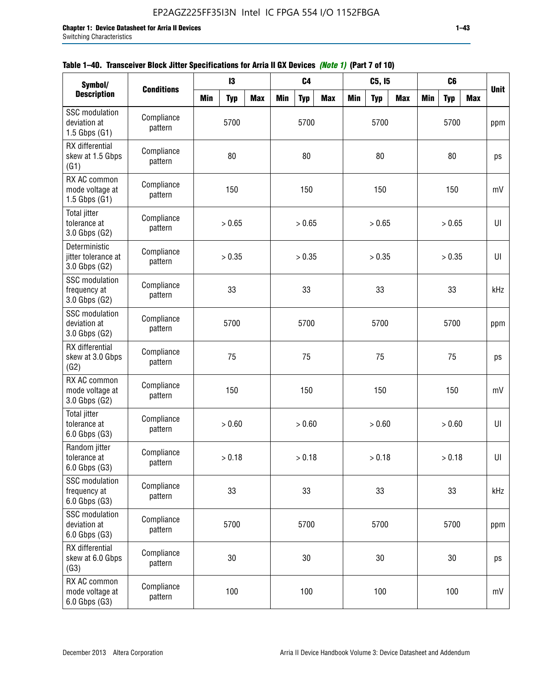| Symbol/                                                    |                       |            | 13         |            |            | C <sub>4</sub> |            |            | C5, I5     |            |            | C <sub>6</sub> |            |             |
|------------------------------------------------------------|-----------------------|------------|------------|------------|------------|----------------|------------|------------|------------|------------|------------|----------------|------------|-------------|
| <b>Description</b>                                         | <b>Conditions</b>     | <b>Min</b> | <b>Typ</b> | <b>Max</b> | <b>Min</b> | <b>Typ</b>     | <b>Max</b> | <b>Min</b> | <b>Typ</b> | <b>Max</b> | <b>Min</b> | <b>Typ</b>     | <b>Max</b> | <b>Unit</b> |
| <b>SSC</b> modulation<br>deviation at<br>$1.5$ Gbps $(G1)$ | Compliance<br>pattern |            | 5700       |            |            | 5700           |            |            | 5700       |            |            | 5700           |            | ppm         |
| RX differential<br>skew at 1.5 Gbps<br>(G1)                | Compliance<br>pattern |            | 80         |            |            | 80             |            |            | 80         |            |            | 80             |            | ps          |
| RX AC common<br>mode voltage at<br>$1.5$ Gbps $(G1)$       | Compliance<br>pattern |            | 150        |            |            | 150            |            |            | 150        |            |            | 150            |            | mV          |
| <b>Total jitter</b><br>tolerance at<br>3.0 Gbps (G2)       | Compliance<br>pattern |            | > 0.65     |            |            | > 0.65         |            |            | > 0.65     |            |            | > 0.65         |            | UI          |
| Deterministic<br>jitter tolerance at<br>3.0 Gbps (G2)      | Compliance<br>pattern |            | > 0.35     |            |            | > 0.35         |            |            | > 0.35     |            |            | > 0.35         |            | U           |
| <b>SSC</b> modulation<br>frequency at<br>3.0 Gbps (G2)     | Compliance<br>pattern |            | 33         |            |            | 33             |            |            | 33         |            |            | 33             |            | kHz         |
| <b>SSC</b> modulation<br>deviation at<br>3.0 Gbps (G2)     | Compliance<br>pattern | 5700       |            |            |            | 5700           |            |            | 5700       |            |            | 5700           |            | ppm         |
| RX differential<br>skew at 3.0 Gbps<br>(G2)                | Compliance<br>pattern |            | 75         |            |            | 75             |            |            | 75         |            |            | 75             |            | ps          |
| RX AC common<br>mode voltage at<br>3.0 Gbps (G2)           | Compliance<br>pattern |            | 150        |            |            | 150            |            |            | 150        |            |            | 150            |            | mV          |
| <b>Total jitter</b><br>tolerance at<br>6.0 Gbps (G3)       | Compliance<br>pattern |            | > 0.60     |            |            | > 0.60         |            |            | > 0.60     |            |            | > 0.60         |            | UI          |
| Random jitter<br>tolerance at<br>6.0 Gbps (G3)             | Compliance<br>pattern |            | > 0.18     |            |            | > 0.18         |            |            | > 0.18     |            |            | > 0.18         |            | UI          |
| <b>SSC</b> modulation<br>frequency at<br>6.0 Gbps (G3)     | Compliance<br>pattern |            | 33         |            |            | 33             |            |            | 33         |            |            | 33             |            | kHz         |
| SSC modulation<br>deviation at<br>6.0 Gbps (G3)            | Compliance<br>pattern | 5700       |            |            | 5700       |                |            | 5700       |            |            | 5700       |                | ppm        |             |
| RX differential<br>skew at 6.0 Gbps<br>(G3)                | Compliance<br>pattern |            | 30         |            |            | 30             |            |            | $30\,$     |            |            | 30             |            | ps          |
| RX AC common<br>mode voltage at<br>6.0 Gbps (G3)           | Compliance<br>pattern | 100        |            |            |            | 100            |            |            | 100        |            |            | 100            |            | mV          |

|  | Table 1–40. Transceiver Block Jitter Specifications for Arria II GX Devices <i>(Note 1)</i> (Part 7 of 10) |  |
|--|------------------------------------------------------------------------------------------------------------|--|
|  |                                                                                                            |  |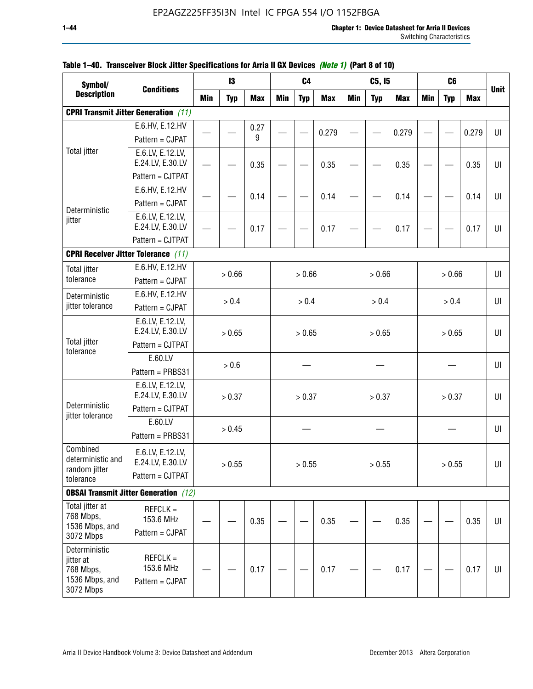| Symbol/                                                                |                                                          |            | 13         |            |            | C <sub>4</sub> |            |            | C5, I5     |            |            | C <sub>6</sub> |            |             |
|------------------------------------------------------------------------|----------------------------------------------------------|------------|------------|------------|------------|----------------|------------|------------|------------|------------|------------|----------------|------------|-------------|
| <b>Description</b>                                                     | <b>Conditions</b>                                        | <b>Min</b> | <b>Typ</b> | <b>Max</b> | <b>Min</b> | <b>Typ</b>     | <b>Max</b> | <b>Min</b> | <b>Typ</b> | <b>Max</b> | <b>Min</b> | <b>Typ</b>     | <b>Max</b> | <b>Unit</b> |
|                                                                        | <b>CPRI Transmit Jitter Generation</b> (11)              |            |            |            |            |                |            |            |            |            |            |                |            |             |
|                                                                        | E.6.HV, E.12.HV                                          |            |            | 0.27       |            |                | 0.279      |            |            | 0.279      |            |                | 0.279      | U           |
|                                                                        | Pattern = CJPAT                                          |            |            | 9          |            |                |            |            |            |            |            |                |            |             |
| <b>Total jitter</b>                                                    | E.6.LV, E.12.LV,<br>E.24.LV, E.30.LV                     |            |            | 0.35       |            |                | 0.35       |            |            | 0.35       |            |                | 0.35       | U           |
|                                                                        | Pattern = CJTPAT                                         |            |            |            |            |                |            |            |            |            |            |                |            |             |
|                                                                        | E.6.HV, E.12.HV                                          |            |            | 0.14       |            |                | 0.14       |            |            | 0.14       |            |                | 0.14       | UI          |
| Deterministic                                                          | Pattern = CJPAT                                          |            |            |            |            |                |            |            |            |            |            |                |            |             |
| jitter                                                                 | E.6.LV, E.12.LV,<br>E.24.LV, E.30.LV                     |            |            | 0.17       |            |                | 0.17       |            |            | 0.17       |            |                | 0.17       | UI          |
|                                                                        | Pattern = CJTPAT                                         |            |            |            |            |                |            |            |            |            |            |                |            |             |
| <b>CPRI Receiver Jitter Tolerance (11)</b>                             |                                                          |            |            |            |            |                |            |            |            |            |            |                |            |             |
| <b>Total jitter</b>                                                    | E.6.HV, E.12.HV                                          |            |            |            |            |                |            |            |            |            |            |                |            |             |
| tolerance                                                              | Pattern = CJPAT                                          |            | > 0.66     |            |            | > 0.66         |            |            | > 0.66     |            |            | > 0.66         |            | UI          |
| Deterministic                                                          | E.6.HV, E.12.HV                                          |            | > 0.4      |            |            | > 0.4          |            |            | > 0.4      |            |            | > 0.4          |            | UI          |
| jitter tolerance                                                       | Pattern = CJPAT                                          |            |            |            |            |                |            |            |            |            |            |                |            |             |
|                                                                        | E.6.LV, E.12.LV,<br>E.24.LV, E.30.LV                     |            | > 0.65     |            |            | > 0.65         |            |            | > 0.65     |            |            | > 0.65         |            | UI          |
| <b>Total jitter</b><br>tolerance                                       | Pattern = CJTPAT                                         |            |            |            |            |                |            |            |            |            |            |                |            |             |
|                                                                        | E.60.LV                                                  |            | > 0.6      |            |            |                |            |            |            |            |            |                |            | UI          |
|                                                                        | Pattern = PRBS31                                         |            |            |            |            |                |            |            |            |            |            |                |            |             |
|                                                                        | E.6.LV, E.12.LV,<br>E.24.LV, E.30.LV                     |            | > 0.37     |            |            | > 0.37         |            |            | > 0.37     |            |            | > 0.37         |            | UI          |
| Deterministic<br>jitter tolerance                                      | Pattern = CJTPAT                                         |            |            |            |            |                |            |            |            |            |            |                |            |             |
|                                                                        | E.60.LV<br>Pattern = PRBS31                              |            | > 0.45     |            |            |                |            |            |            |            |            |                |            | UI          |
| Combined<br>deterministic and<br>random jitter                         | E.6.LV, E.12.LV,<br>E.24.LV, E.30.LV<br>Pattern = CJTPAT |            | > 0.55     |            |            | > 0.55         |            |            | > 0.55     |            |            | > 0.55         |            | UI          |
| tolerance                                                              |                                                          |            |            |            |            |                |            |            |            |            |            |                |            |             |
|                                                                        | <b>OBSAI Transmit Jitter Generation</b> (12)             |            |            |            |            |                |            |            |            |            |            |                |            |             |
| Total jitter at<br>768 Mbps,<br>1536 Mbps, and<br>3072 Mbps            | $REFCLK =$<br>153.6 MHz<br>Pattern = CJPAT               |            |            | 0.35       |            |                | 0.35       |            |            | 0.35       |            |                | 0.35       | UI          |
| Deterministic<br>jitter at<br>768 Mbps,<br>1536 Mbps, and<br>3072 Mbps | $REFCLK =$<br>153.6 MHz<br>Pattern = CJPAT               |            |            | 0.17       |            |                | 0.17       |            |            | 0.17       |            |                | 0.17       | UI          |

### **Table 1–40. Transceiver Block Jitter Specifications for Arria II GX Devices** *(Note 1)* **(Part 8 of 10)**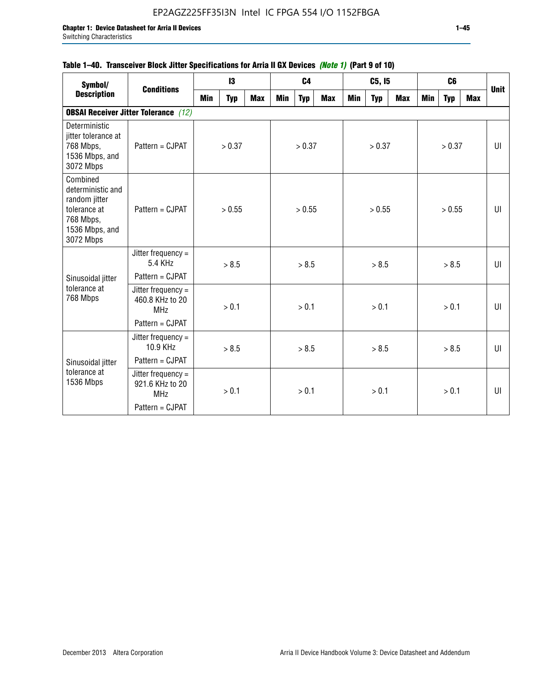|                                                                                                            |                                                     |            |            | ןטו וס כי היים ומוואסטרויה וועס היים של היים וואסטרויים וואסטרויים וואסטרויים של היים היים וואסטרויים וואסטרוי |            |                |            |            |            |            |            |                |            |             |
|------------------------------------------------------------------------------------------------------------|-----------------------------------------------------|------------|------------|----------------------------------------------------------------------------------------------------------------|------------|----------------|------------|------------|------------|------------|------------|----------------|------------|-------------|
| Symbol/                                                                                                    | <b>Conditions</b>                                   |            | 13         |                                                                                                                |            | C <sub>4</sub> |            |            | C5, I5     |            |            | C <sub>6</sub> |            | <b>Unit</b> |
| <b>Description</b>                                                                                         |                                                     | <b>Min</b> | <b>Typ</b> | <b>Max</b>                                                                                                     | <b>Min</b> | <b>Typ</b>     | <b>Max</b> | <b>Min</b> | <b>Typ</b> | <b>Max</b> | <b>Min</b> | <b>Typ</b>     | <b>Max</b> |             |
|                                                                                                            | <b>OBSAI Receiver Jitter Tolerance</b> (12)         |            |            |                                                                                                                |            |                |            |            |            |            |            |                |            |             |
| Deterministic<br>jitter tolerance at<br>768 Mbps,<br>1536 Mbps, and<br>3072 Mbps                           | Pattern = CJPAT                                     |            | > 0.37     |                                                                                                                |            | > 0.37         |            |            | > 0.37     |            |            | > 0.37         |            | UI          |
| Combined<br>deterministic and<br>random jitter<br>tolerance at<br>768 Mbps,<br>1536 Mbps, and<br>3072 Mbps | Pattern = CJPAT                                     |            | > 0.55     |                                                                                                                |            | > 0.55         |            |            | > 0.55     |            |            | > 0.55         |            | $U\Gamma$   |
|                                                                                                            | Jitter frequency =<br>5.4 KHz                       |            | > 8.5      |                                                                                                                |            | > 8.5          |            |            | > 8.5      |            |            | > 8.5          |            | $U\Gamma$   |
| Sinusoidal jitter                                                                                          | Pattern = CJPAT                                     |            |            |                                                                                                                |            |                |            |            |            |            |            |                |            |             |
| tolerance at<br>768 Mbps                                                                                   | Jitter frequency =<br>460.8 KHz to 20<br><b>MHz</b> |            | > 0.1      |                                                                                                                |            | > 0.1          |            |            | > 0.1      |            |            | > 0.1          |            | UI          |
|                                                                                                            | Pattern = CJPAT                                     |            |            |                                                                                                                |            |                |            |            |            |            |            |                |            |             |
|                                                                                                            | Jitter frequency =<br>10.9 KHz                      |            | > 8.5      |                                                                                                                |            | > 8.5          |            |            | > 8.5      |            |            | > 8.5          |            | UI          |
| Sinusoidal jitter                                                                                          | Pattern = CJPAT                                     |            |            |                                                                                                                |            |                |            |            |            |            |            |                |            |             |
| tolerance at<br>1536 Mbps                                                                                  | Jitter frequency =<br>921.6 KHz to 20<br><b>MHz</b> |            | > 0.1      |                                                                                                                | > 0.1      |                | > 0.1      |            | > 0.1      |            |            | UI             |            |             |
|                                                                                                            | Pattern = CJPAT                                     |            |            |                                                                                                                |            |                |            |            |            |            |            |                |            |             |

## **Table 1–40. Transceiver Block Jitter Specifications for Arria II GX Devices** *(Note 1)* **(Part 9 of 10)**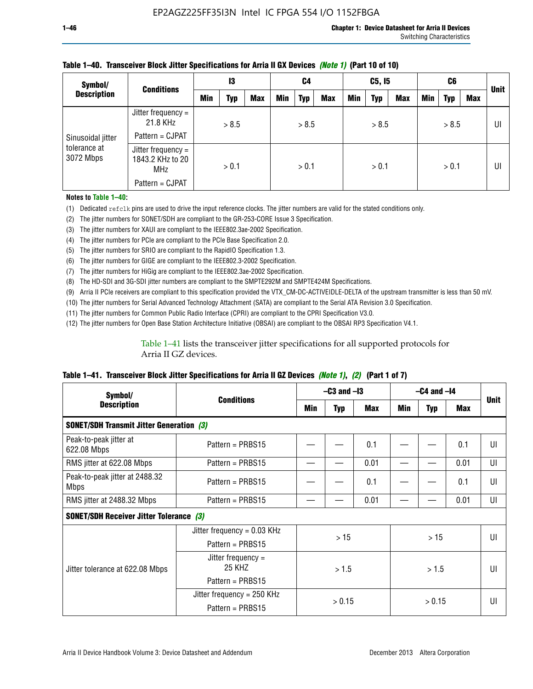| Symbol/                   | <b>Conditions</b>                                      | 13  |       | C <sub>4</sub> |            | C5, I5     |            |     | C6         |            |     | <b>Unit</b> |     |    |
|---------------------------|--------------------------------------------------------|-----|-------|----------------|------------|------------|------------|-----|------------|------------|-----|-------------|-----|----|
| <b>Description</b>        |                                                        | Min | Typ   | <b>Max</b>     | <b>Min</b> | <b>Typ</b> | <b>Max</b> | Min | <b>Typ</b> | <b>Max</b> | Min | <b>Typ</b>  | Max |    |
|                           | Jitter frequency =<br>21.8 KHz                         |     | > 8.5 |                |            | > 8.5      |            |     | > 8.5      |            |     | > 8.5       |     | UI |
| Sinusoidal jitter         | Pattern = CJPAT                                        |     |       |                |            |            |            |     |            |            |     |             |     |    |
| tolerance at<br>3072 Mbps | Jitter frequency $=$<br>1843.2 KHz to 20<br><b>MHz</b> |     | > 0.1 |                | > 0.1      |            | > 0.1      |     |            | > 0.1      |     |             | UI  |    |
|                           | Pattern = CJPAT                                        |     |       |                |            |            |            |     |            |            |     |             |     |    |

### **Table 1–40. Transceiver Block Jitter Specifications for Arria II GX Devices** *(Note 1)* **(Part 10 of 10)**

**Notes to Table 1–40:**

(1) Dedicated refclk pins are used to drive the input reference clocks. The jitter numbers are valid for the stated conditions only.

(2) The jitter numbers for SONET/SDH are compliant to the GR-253-CORE Issue 3 Specification.

(3) The jitter numbers for XAUI are compliant to the IEEE802.3ae-2002 Specification.

(4) The jitter numbers for PCIe are compliant to the PCIe Base Specification 2.0.

(5) The jitter numbers for SRIO are compliant to the RapidIO Specification 1.3.

(6) The jitter numbers for GIGE are compliant to the IEEE802.3-2002 Specification.

(7) The jitter numbers for HiGig are compliant to the IEEE802.3ae-2002 Specification.

(8) The HD-SDI and 3G-SDI jitter numbers are compliant to the SMPTE292M and SMPTE424M Specifications.

(9) Arria II PCIe receivers are compliant to this specification provided the VTX\_CM-DC-ACTIVEIDLE-DELTA of the upstream transmitter is less than 50 mV.

(10) The jitter numbers for Serial Advanced Technology Attachment (SATA) are compliant to the Serial ATA Revision 3.0 Specification.

(11) The jitter numbers for Common Public Radio Interface (CPRI) are compliant to the CPRI Specification V3.0.

(12) The jitter numbers for Open Base Station Architecture Initiative (OBSAI) are compliant to the OBSAI RP3 Specification V4.1.

Table 1–41 lists the transceiver jitter specifications for all supported protocols for Arria II GZ devices.

### **Table 1–41. Transceiver Block Jitter Specifications for Arria II GZ Devices** *(Note 1)***,** *(2)* **(Part 1 of 7)**

| Symbol/                                         | <b>Conditions</b>                                |     | $-C3$ and $-I3$ |      |       | $-C4$ and $-I4$ |            |             |  |
|-------------------------------------------------|--------------------------------------------------|-----|-----------------|------|-------|-----------------|------------|-------------|--|
| <b>Description</b>                              |                                                  | Min | <b>Typ</b>      | Max  | Min   | <b>Typ</b>      | <b>Max</b> | <b>Unit</b> |  |
| <b>SONET/SDH Transmit Jitter Generation (3)</b> |                                                  |     |                 |      |       |                 |            |             |  |
| Peak-to-peak jitter at<br>622.08 Mbps           | Pattern = $PRBS15$                               |     |                 | 0.1  |       |                 | 0.1        | UI          |  |
| RMS jitter at 622.08 Mbps                       | Pattern = $PRBS15$                               |     |                 | 0.01 |       |                 | 0.01       | UI          |  |
| Peak-to-peak jitter at 2488.32<br><b>Mbps</b>   | Pattern = $PRBS15$                               |     |                 | 0.1  |       |                 | 0.1        | UI          |  |
| RMS jitter at 2488.32 Mbps                      | Pattern = $PRBS15$                               |     |                 | 0.01 |       |                 | 0.01       | UI          |  |
| <b>SONET/SDH Receiver Jitter Tolerance (3)</b>  |                                                  |     |                 |      |       |                 |            |             |  |
|                                                 | Jitter frequency = $0.03$ KHz                    |     | >15             |      |       | >15             |            | UI          |  |
|                                                 | Pattern = $PRBS15$                               |     |                 |      |       |                 |            |             |  |
| Jitter tolerance at 622.08 Mbps                 | Jitter frequency =<br>25 KHZ                     |     | > 1.5           |      | > 1.5 |                 |            | UI          |  |
|                                                 | Pattern = $PRBS15$                               |     |                 |      |       |                 |            |             |  |
|                                                 | Jitter frequency = $250$ KHz<br>> 0.15<br>> 0.15 |     |                 | UI   |       |                 |            |             |  |
|                                                 | Pattern = $PRBS15$                               |     |                 |      |       |                 |            |             |  |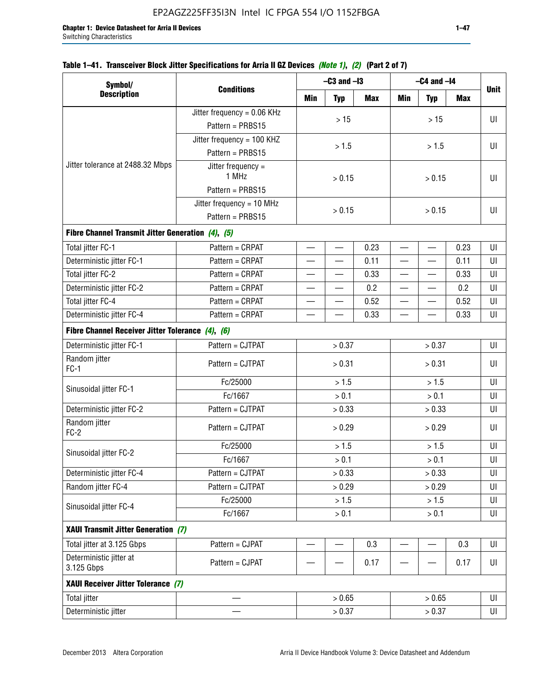## **Table 1–41. Transceiver Block Jitter Specifications for Arria II GZ Devices** *(Note 1)***,** *(2)* **(Part 2 of 7)**

| Symbol/                                           |                               |                          | $-C3$ and $-I3$          |                                  |                          | $-C4$ and $-I4$          |            |             |  |
|---------------------------------------------------|-------------------------------|--------------------------|--------------------------|----------------------------------|--------------------------|--------------------------|------------|-------------|--|
| <b>Description</b>                                | <b>Conditions</b>             | Min                      | <b>Typ</b>               | Max                              | Min                      | <b>Typ</b>               | <b>Max</b> | <b>Unit</b> |  |
|                                                   | Jitter frequency = $0.06$ KHz |                          | $>15$                    |                                  |                          | >15                      |            | UI          |  |
|                                                   | Pattern = PRBS15              |                          |                          |                                  |                          |                          |            |             |  |
|                                                   | Jitter frequency = 100 KHZ    |                          | > 1.5                    |                                  |                          | > 1.5                    |            | UI          |  |
|                                                   | Pattern = PRBS15              |                          |                          |                                  |                          |                          |            |             |  |
| Jitter tolerance at 2488.32 Mbps                  | Jitter frequency =<br>1 MHz   |                          | > 0.15                   |                                  |                          | > 0.15                   |            | UI          |  |
|                                                   | Pattern = PRBS15              |                          |                          |                                  |                          |                          |            |             |  |
|                                                   | Jitter frequency = $10$ MHz   |                          | > 0.15                   |                                  |                          | > 0.15                   |            | UI          |  |
|                                                   | Pattern = PRBS15              |                          |                          |                                  |                          |                          |            |             |  |
| Fibre Channel Transmit Jitter Generation (4), (5) |                               |                          |                          |                                  |                          |                          |            |             |  |
| Total jitter FC-1                                 | Pattern = CRPAT               | $\overline{\phantom{0}}$ | $\overline{\phantom{0}}$ | 0.23                             | $\overline{\phantom{0}}$ | $\overline{\phantom{0}}$ | 0.23       | UI          |  |
| Deterministic jitter FC-1                         | Pattern = CRPAT               |                          |                          | 0.11                             |                          |                          | 0.11       | UI          |  |
| Total jitter FC-2                                 | Pattern = CRPAT               | $\overline{\phantom{0}}$ |                          | 0.33                             | $\overline{\phantom{0}}$ |                          | 0.33       | UI          |  |
| Deterministic jitter FC-2                         | Pattern = CRPAT               | $\overline{\phantom{0}}$ | —                        | 0.2                              | $\overline{\phantom{0}}$ | —                        | 0.2        | UI          |  |
| Total jitter FC-4                                 | Pattern = CRPAT               | 0.52                     |                          |                                  |                          | 0.52                     | UI         |             |  |
| Deterministic jitter FC-4                         | Pattern = CRPAT               | 0.33                     |                          | 0.33<br>$\overline{\phantom{0}}$ |                          |                          | UI         |             |  |
| Fibre Channel Receiver Jitter Tolerance (4), (6)  |                               |                          |                          |                                  |                          |                          |            |             |  |
| Deterministic jitter FC-1                         | Pattern = CJTPAT              | > 0.37                   |                          |                                  | > 0.37                   |                          | UI         |             |  |
| Random jitter<br>$FC-1$                           | Pattern = CJTPAT              |                          | > 0.31                   |                                  | > 0.31                   |                          |            | UI          |  |
|                                                   | Fc/25000                      |                          | > 1.5                    |                                  | > 1.5                    |                          |            | UI          |  |
| Sinusoidal jitter FC-1                            | Fc/1667                       |                          | > 0.1                    |                                  | > 0.1                    |                          |            | UI          |  |
| Deterministic jitter FC-2                         | Pattern = CJTPAT              |                          | > 0.33                   |                                  |                          | > 0.33                   |            | UI          |  |
| Random jitter<br>$FC-2$                           | Pattern = CJTPAT              |                          | > 0.29                   |                                  |                          | > 0.29                   |            | UI          |  |
| Sinusoidal jitter FC-2                            | Fc/25000                      |                          | > 1.5                    |                                  |                          | > 1.5                    |            | UI          |  |
|                                                   | Fc/1667                       |                          | > 0.1                    |                                  |                          | > 0.1                    |            | UI          |  |
| Deterministic jitter FC-4                         | Pattern = CJTPAT              |                          | > 0.33                   |                                  |                          | > 0.33                   |            | UI          |  |
| Random jitter FC-4                                | Pattern = CJTPAT              |                          | > 0.29                   |                                  |                          | > 0.29                   |            | UI          |  |
| Sinusoidal jitter FC-4                            | Fc/25000                      |                          | > 1.5                    |                                  |                          | > 1.5                    |            | UI          |  |
|                                                   | Fc/1667                       |                          | $> 0.1$                  |                                  |                          | $> 0.1$                  |            | UI          |  |
| XAUI Transmit Jitter Generation (7)               |                               |                          |                          |                                  |                          |                          |            |             |  |
| Total jitter at 3.125 Gbps                        | Pattern = CJPAT               |                          |                          | 0.3                              |                          | —                        | 0.3        | UI          |  |
| Deterministic jitter at<br>3.125 Gbps             | Pattern = CJPAT               | 0.17                     |                          |                                  |                          | 0.17                     | UI         |             |  |
| XAUI Receiver Jitter Tolerance (7)                |                               |                          |                          |                                  |                          |                          |            |             |  |
| Total jitter                                      |                               |                          | > 0.65                   |                                  |                          | > 0.65                   |            | UI          |  |
| Deterministic jitter                              |                               |                          | > 0.37                   |                                  |                          | > 0.37                   |            | UI          |  |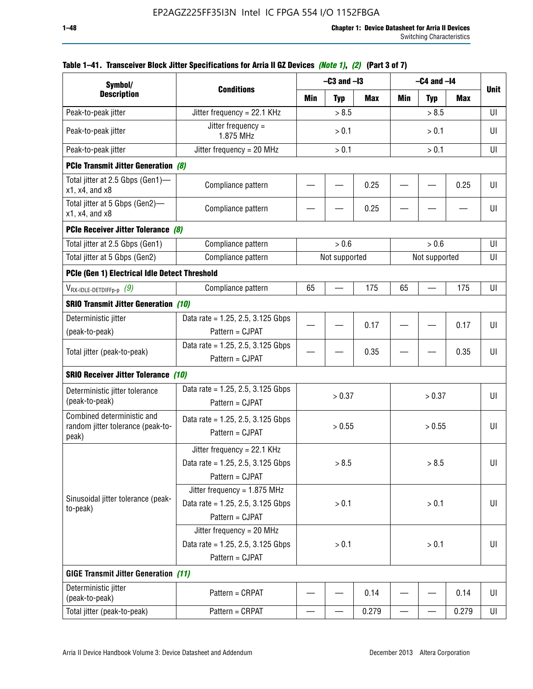| Symbol/                                                                       |                                                                                           |       | $-C3$ and $-I3$ |            | $-C4$ and $-I4$          | <b>Unit</b>   |       |    |
|-------------------------------------------------------------------------------|-------------------------------------------------------------------------------------------|-------|-----------------|------------|--------------------------|---------------|-------|----|
| <b>Description</b>                                                            | <b>Conditions</b>                                                                         | Min   | <b>Typ</b>      | <b>Max</b> | Min                      | <b>Typ</b>    | Max   |    |
| Peak-to-peak jitter                                                           | Jitter frequency = 22.1 KHz                                                               |       | > 8.5           |            |                          | > 8.5         |       | UI |
| Peak-to-peak jitter                                                           | Jitter frequency =<br>1.875 MHz                                                           |       | > 0.1           |            | > 0.1                    |               |       | UI |
| Peak-to-peak jitter                                                           | Jitter frequency = $20$ MHz                                                               | > 0.1 |                 |            | > 0.1                    |               |       | UI |
| <b>PCIe Transmit Jitter Generation (8)</b>                                    |                                                                                           |       |                 |            |                          |               |       |    |
| Total jitter at 2.5 Gbps (Gen1)-<br>$x1$ , $x4$ , and $x8$                    | Compliance pattern                                                                        |       |                 | 0.25       |                          |               | 0.25  | UI |
| Total jitter at 5 Gbps (Gen2)-<br>$x1$ , $x4$ , and $x8$                      | Compliance pattern                                                                        |       |                 | 0.25       |                          |               |       | UI |
| PCIe Receiver Jitter Tolerance (8)                                            |                                                                                           |       |                 |            |                          |               |       |    |
| Total jitter at 2.5 Gbps (Gen1)                                               | Compliance pattern                                                                        |       | > 0.6           |            |                          | > 0.6         |       | UI |
| Total jitter at 5 Gbps (Gen2)                                                 | Compliance pattern                                                                        |       | Not supported   |            |                          | Not supported |       | UI |
| PCIe (Gen 1) Electrical Idle Detect Threshold                                 |                                                                                           |       |                 |            |                          |               |       |    |
| $V_{\mathsf{RX}\text{-}\mathsf{IDLE}\text{-}\mathsf{DETDIFFp\text{-}p}$ $(9)$ | Compliance pattern                                                                        | 65    |                 | 175        | 65                       |               | 175   | UI |
| <b>SRIO Transmit Jitter Generation (10)</b>                                   |                                                                                           |       |                 |            |                          |               |       |    |
| Deterministic jitter                                                          | Data rate = 1.25, 2.5, 3.125 Gbps                                                         |       |                 | 0.17       |                          |               | 0.17  | UI |
| (peak-to-peak)                                                                | Pattern = CJPAT                                                                           |       |                 |            |                          |               |       |    |
| Total jitter (peak-to-peak)                                                   | Data rate = 1.25, 2.5, 3.125 Gbps<br>Pattern = CJPAT                                      |       |                 | 0.35       |                          |               | 0.35  | UI |
| <b>SRIO Receiver Jitter Tolerance (10)</b>                                    |                                                                                           |       |                 |            |                          |               |       |    |
| Deterministic jitter tolerance<br>(peak-to-peak)                              | Data rate = $1.25$ , 2.5, 3.125 Gbps<br>Pattern = CJPAT                                   |       | > 0.37          |            |                          | > 0.37        |       | UI |
| Combined deterministic and<br>random jitter tolerance (peak-to-<br>peak)      | Data rate = $1.25$ , 2.5, 3.125 Gbps<br>Pattern = CJPAT                                   |       | > 0.55          |            |                          | > 0.55        |       | UI |
|                                                                               | Jitter frequency = 22.1 KHz<br>Data rate = 1.25, 2.5, 3.125 Gbps<br>Pattern = CJPAT       |       | > 8.5           |            |                          | > 8.5         |       | UI |
| Sinusoidal jitter tolerance (peak-<br>to-peak)                                | Jitter frequency = $1.875$ MHz<br>Data rate = $1.25$ , 2.5, 3.125 Gbps<br>Pattern = CJPAT |       | > 0.1           |            |                          | > 0.1         |       | UI |
|                                                                               | Jitter frequency = 20 MHz<br>Data rate = $1.25$ , 2.5, 3.125 Gbps<br>Pattern = CJPAT      | > 0.1 |                 |            | > 0.1                    |               |       | UI |
| <b>GIGE Transmit Jitter Generation (11)</b>                                   |                                                                                           |       |                 |            |                          |               |       |    |
| Deterministic jitter<br>(peak-to-peak)                                        | Pattern = CRPAT                                                                           |       |                 | 0.14       |                          |               | 0.14  | UI |
| Total jitter (peak-to-peak)                                                   | Pattern = CRPAT                                                                           | —     |                 | 0.279      | $\overline{\phantom{0}}$ | —             | 0.279 | UI |

## **Table 1–41. Transceiver Block Jitter Specifications for Arria II GZ Devices** *(Note 1)***,** *(2)* **(Part 3 of 7)**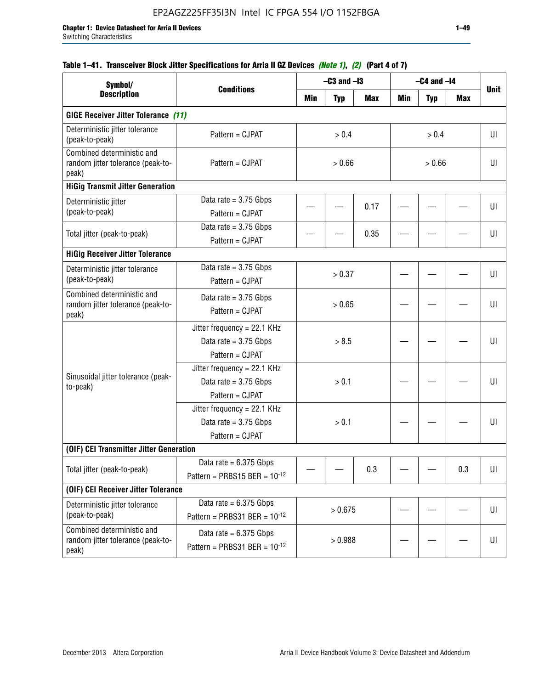| Symbol/                                                                  |                                                                             |         | $-C3$ and $-I3$ |            |     | $-C4$ and $-I4$ |            |             |
|--------------------------------------------------------------------------|-----------------------------------------------------------------------------|---------|-----------------|------------|-----|-----------------|------------|-------------|
| <b>Description</b>                                                       | <b>Conditions</b>                                                           | Min     | <b>Typ</b>      | <b>Max</b> | Min | <b>Typ</b>      | <b>Max</b> | <b>Unit</b> |
| <b>GIGE Receiver Jitter Tolerance (11)</b>                               |                                                                             |         |                 |            |     |                 |            |             |
| Deterministic jitter tolerance<br>(peak-to-peak)                         | Pattern = CJPAT                                                             |         | > 0.4           |            |     | > 0.4           |            | UI          |
| Combined deterministic and<br>random jitter tolerance (peak-to-<br>peak) | Pattern = CJPAT                                                             | > 0.66  |                 | > 0.66     |     |                 |            | UI          |
| <b>HiGig Transmit Jitter Generation</b>                                  |                                                                             |         |                 |            |     |                 |            |             |
| Deterministic jitter<br>(peak-to-peak)                                   | Data rate = $3.75$ Gbps<br>Pattern = CJPAT                                  |         |                 | 0.17       |     |                 |            | UI          |
| Total jitter (peak-to-peak)                                              | Data rate = $3.75$ Gbps<br>Pattern = CJPAT                                  |         |                 | 0.35       |     |                 |            | UI          |
| <b>HiGig Receiver Jitter Tolerance</b>                                   |                                                                             |         |                 |            |     |                 |            |             |
| Deterministic jitter tolerance<br>(peak-to-peak)                         | Data rate = $3.75$ Gbps<br>Pattern = CJPAT                                  |         | > 0.37          |            |     |                 |            | UI          |
| Combined deterministic and<br>random jitter tolerance (peak-to-<br>peak) | Data rate $= 3.75$ Gbps<br>Pattern = CJPAT                                  |         | > 0.65          |            |     |                 |            | UI          |
|                                                                          | Jitter frequency = 22.1 KHz<br>Data rate $= 3.75$ Gbps<br>Pattern = CJPAT   | > 8.5   |                 |            |     |                 | UI         |             |
| Sinusoidal jitter tolerance (peak-<br>to-peak)                           | Jitter frequency = $22.1$ KHz<br>Data rate $= 3.75$ Gbps<br>Pattern = CJPAT |         | > 0.1           |            |     |                 |            | UI          |
|                                                                          | Jitter frequency = $22.1$ KHz<br>Data rate = $3.75$ Gbps<br>Pattern = CJPAT |         | > 0.1           |            |     |                 |            | UI          |
| (OIF) CEI Transmitter Jitter Generation                                  |                                                                             |         |                 |            |     |                 |            |             |
| Total jitter (peak-to-peak)                                              | Data rate = $6.375$ Gbps<br>Pattern = PRBS15 BER = $10^{-12}$               |         |                 | 0.3        |     |                 | 0.3        | UI          |
| (OIF) CEI Receiver Jitter Tolerance                                      |                                                                             |         |                 |            |     |                 |            |             |
| Deterministic jitter tolerance<br>(peak-to-peak)                         | Data rate = $6.375$ Gbps<br>Pattern = PRBS31 BER = $10^{-12}$               | > 0.675 |                 |            |     |                 | UI         |             |
| Combined deterministic and<br>random jitter tolerance (peak-to-<br>peak) | Data rate = $6.375$ Gbps<br>Pattern = PRBS31 BER = $10^{-12}$               | > 0.988 |                 |            |     |                 | UI         |             |

## **Table 1–41. Transceiver Block Jitter Specifications for Arria II GZ Devices** *(Note 1)***,** *(2)* **(Part 4 of 7)**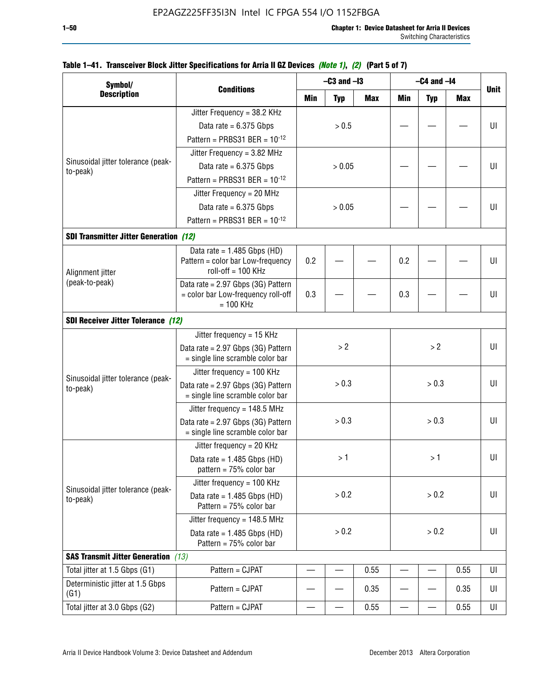| Symbol/                                        |                                                                        |       | $-C3$ and $-I3$ |       |       | $-C4$ and $-I4$ |            |             |  |  |
|------------------------------------------------|------------------------------------------------------------------------|-------|-----------------|-------|-------|-----------------|------------|-------------|--|--|
| <b>Description</b>                             | <b>Conditions</b>                                                      | Min   | <b>Typ</b>      | Max   | Min   | <b>Typ</b>      | <b>Max</b> | <b>Unit</b> |  |  |
|                                                | Jitter Frequency = 38.2 KHz                                            |       |                 |       |       |                 |            |             |  |  |
|                                                | Data rate = $6.375$ Gbps                                               |       | > 0.5           |       |       |                 |            | UI          |  |  |
|                                                | Pattern = PRBS31 BER = $10^{-12}$                                      |       |                 |       |       |                 |            |             |  |  |
|                                                | Jitter Frequency = $3.82$ MHz                                          |       |                 |       |       |                 |            |             |  |  |
| Sinusoidal jitter tolerance (peak-<br>to-peak) | Data rate = $6.375$ Gbps                                               |       | > 0.05          |       |       |                 |            | UI          |  |  |
|                                                | Pattern = PRBS31 BER = $10^{-12}$                                      |       |                 |       |       |                 |            |             |  |  |
|                                                | Jitter Frequency = 20 MHz                                              |       |                 |       |       |                 |            |             |  |  |
|                                                | Data rate = $6.375$ Gbps                                               |       | > 0.05          |       |       |                 |            | UI          |  |  |
|                                                | Pattern = PRBS31 BER = $10^{-12}$                                      |       |                 |       |       |                 |            |             |  |  |
| <b>SDI Transmitter Jitter Generation (12)</b>  |                                                                        |       |                 |       |       |                 |            |             |  |  |
|                                                | Data rate = $1.485$ Gbps (HD)                                          |       |                 |       |       |                 |            |             |  |  |
| Alignment jitter                               | Pattern = color bar Low-frequency<br>$roll-off = 100 KHz$              | 0.2   |                 |       | 0.2   |                 |            | UI          |  |  |
| (peak-to-peak)                                 | Data rate = 2.97 Gbps (3G) Pattern                                     |       |                 |       |       |                 |            |             |  |  |
|                                                | = color bar Low-frequency roll-off<br>$= 100$ KHz                      | 0.3   |                 |       | 0.3   |                 |            | UI          |  |  |
| <b>SDI Receiver Jitter Tolerance (12)</b>      |                                                                        |       |                 |       |       |                 |            |             |  |  |
|                                                | Jitter frequency = 15 KHz                                              |       |                 |       |       |                 |            |             |  |  |
|                                                | Data rate = 2.97 Gbps (3G) Pattern<br>= single line scramble color bar |       | > 2             |       | >2    |                 |            | UI          |  |  |
|                                                | Jitter frequency = $100$ KHz                                           |       |                 |       |       |                 |            |             |  |  |
| Sinusoidal jitter tolerance (peak-<br>to-peak) | Data rate = 2.97 Gbps (3G) Pattern<br>= single line scramble color bar |       | > 0.3           |       | > 0.3 |                 |            | UI          |  |  |
|                                                | Jitter frequency = $148.5$ MHz                                         |       |                 |       |       |                 |            |             |  |  |
|                                                | Data rate = 2.97 Gbps (3G) Pattern<br>= single line scramble color bar |       | > 0.3           |       |       | > 0.3           |            | UI          |  |  |
|                                                | Jitter frequency = $20$ KHz                                            |       |                 |       |       |                 |            |             |  |  |
|                                                | Data rate = $1.485$ Gbps (HD)<br>pattern = $75%$ color bar             |       | >1              |       |       | >1              |            | UI          |  |  |
|                                                | Jitter frequency = 100 KHz                                             |       |                 |       |       |                 |            |             |  |  |
| Sinusoidal jitter tolerance (peak-<br>to-peak) | Data rate = $1.485$ Gbps (HD)<br>Pattern = 75% color bar               |       | > 0.2           |       |       | > 0.2           |            | UI          |  |  |
|                                                | Jitter frequency = $148.5$ MHz                                         |       |                 |       |       |                 |            |             |  |  |
|                                                | Data rate = $1.485$ Gbps (HD)<br>Pattern = $75%$ color bar             | > 0.2 |                 | > 0.2 |       |                 |            | UI          |  |  |
| <b>SAS Transmit Jitter Generation</b> (13)     |                                                                        |       |                 |       |       |                 |            |             |  |  |
| Total jitter at 1.5 Gbps (G1)                  | Pattern = CJPAT                                                        | 0.55  |                 |       |       | 0.55            | UI         |             |  |  |
| Deterministic jitter at 1.5 Gbps<br>(G1)       | Pattern = CJPAT                                                        |       |                 | 0.35  |       |                 | 0.35       | UI          |  |  |
| Total jitter at 3.0 Gbps (G2)                  | Pattern = CJPAT                                                        |       |                 | 0.55  |       |                 | 0.55       | UI          |  |  |

### **Table 1–41. Transceiver Block Jitter Specifications for Arria II GZ Devices** *(Note 1)***,** *(2)* **(Part 5 of 7)**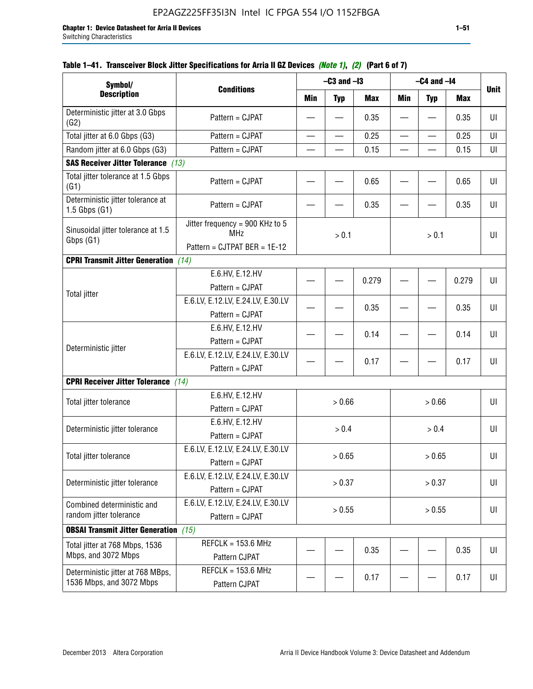| Symbol/                                                       |                                                                               |                          | $-C3$ and $-I3$ |            |                          | $-C4$ and $-I4$          |            |             |
|---------------------------------------------------------------|-------------------------------------------------------------------------------|--------------------------|-----------------|------------|--------------------------|--------------------------|------------|-------------|
| <b>Description</b>                                            | <b>Conditions</b>                                                             | Min                      | <b>Typ</b>      | <b>Max</b> | <b>Min</b>               | <b>Typ</b>               | <b>Max</b> | <b>Unit</b> |
| Deterministic jitter at 3.0 Gbps<br>(G2)                      | Pattern = CJPAT                                                               |                          |                 | 0.35       |                          |                          | 0.35       | UI          |
| Total jitter at 6.0 Gbps (G3)                                 | Pattern = CJPAT                                                               | $\overline{\phantom{0}}$ | —               | 0.25       | $\overline{\phantom{0}}$ | $\overline{\phantom{0}}$ | 0.25       | UI          |
| Random jitter at 6.0 Gbps (G3)                                | Pattern = CJPAT                                                               |                          |                 | 0.15       |                          |                          | 0.15       | UI          |
| <b>SAS Receiver Jitter Tolerance</b> (13)                     |                                                                               |                          |                 |            |                          |                          |            |             |
| Total jitter tolerance at 1.5 Gbps<br>(G1)                    | Pattern = CJPAT                                                               |                          |                 | 0.65       |                          |                          | 0.65       | UI          |
| Deterministic jitter tolerance at<br>$1.5$ Gbps $(G1)$        | Pattern = CJPAT                                                               |                          |                 | 0.35       |                          |                          | 0.35       | UI          |
| Sinusoidal jitter tolerance at 1.5<br>Gbps (G1)               | Jitter frequency = 900 KHz to 5<br><b>MHz</b><br>Pattern = CJTPAT BER = 1E-12 | > 0.1                    |                 | $> 0.1$    |                          |                          | UI         |             |
| <b>CPRI Transmit Jitter Generation</b>                        | (14)                                                                          |                          |                 |            |                          |                          |            |             |
|                                                               | E.6.HV, E.12.HV<br>Pattern = CJPAT                                            |                          |                 | 0.279      |                          |                          | 0.279      | UI          |
| <b>Total jitter</b>                                           | E.6.LV, E.12.LV, E.24.LV, E.30.LV<br>Pattern = CJPAT                          |                          |                 | 0.35       |                          |                          | 0.35       | U           |
|                                                               | E.6.HV, E.12.HV<br>Pattern = CJPAT                                            |                          |                 | 0.14       |                          |                          | 0.14       | UI          |
| Deterministic jitter                                          | E.6.LV, E.12.LV, E.24.LV, E.30.LV<br>Pattern = CJPAT                          |                          |                 | 0.17       |                          |                          | 0.17       | UI          |
| <b>CPRI Receiver Jitter Tolerance</b> (14)                    |                                                                               |                          |                 |            |                          |                          |            |             |
| Total jitter tolerance                                        | E.6.HV, E.12.HV<br>Pattern = CJPAT                                            |                          | > 0.66          |            |                          | > 0.66                   |            | UI          |
| Deterministic jitter tolerance                                | E.6.HV, E.12.HV<br>Pattern = CJPAT                                            |                          | > 0.4           |            |                          | $> 0.4$                  |            | UI          |
| Total jitter tolerance                                        | E.6.LV, E.12.LV, E.24.LV, E.30.LV<br>Pattern = CJPAT                          |                          | > 0.65          |            |                          | > 0.65                   |            | UI          |
| Deterministic jitter tolerance                                | E.6.LV, E.12.LV, E.24.LV, E.30.LV<br>Pattern = CJPAT                          |                          | > 0.37          |            |                          | > 0.37                   |            | UI          |
| Combined deterministic and<br>random jitter tolerance         | E.6.LV, E.12.LV, E.24.LV, E.30.LV<br>Pattern = CJPAT                          | > 0.55                   |                 |            | > 0.55                   |                          | UI         |             |
| <b>OBSAI Transmit Jitter Generation</b> (15)                  |                                                                               |                          |                 |            |                          |                          |            |             |
| Total jitter at 768 Mbps, 1536<br>Mbps, and 3072 Mbps         | $REFCLK = 153.6 MHz$<br>Pattern CJPAT                                         |                          |                 | 0.35       |                          |                          | 0.35       | UI          |
| Deterministic jitter at 768 MBps,<br>1536 Mbps, and 3072 Mbps | REFCLK = $153.6$ MHz<br>Pattern CJPAT                                         |                          |                 | 0.17       |                          |                          | 0.17       | UI          |

## **Table 1–41. Transceiver Block Jitter Specifications for Arria II GZ Devices** *(Note 1)***,** *(2)* **(Part 6 of 7)**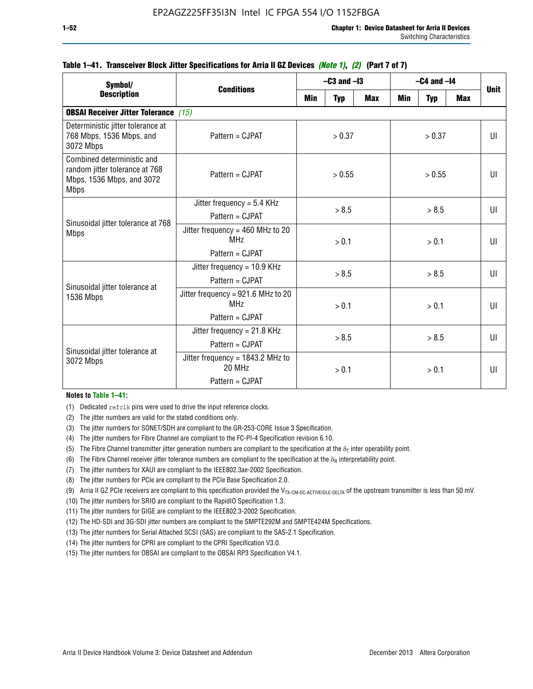| Symbol/                                                                                                  |                                                                          |        | $-C3$ and $-I3$ |            |            | $-C4$ and $-I4$ |              |             |  |
|----------------------------------------------------------------------------------------------------------|--------------------------------------------------------------------------|--------|-----------------|------------|------------|-----------------|--------------|-------------|--|
| <b>Description</b>                                                                                       | <b>Conditions</b>                                                        | Min    | <b>Typ</b>      | <b>Max</b> | <b>Min</b> | <b>Typ</b>      | <b>Max</b>   | <b>Unit</b> |  |
| <b>OBSAI Receiver Jitter Tolerance</b> (15)                                                              |                                                                          |        |                 |            |            |                 |              |             |  |
| Deterministic jitter tolerance at<br>768 Mbps, 1536 Mbps, and<br>3072 Mbps                               | Pattern = CJPAT                                                          | > 0.37 |                 | > 0.37     |            |                 | UI           |             |  |
| Combined deterministic and<br>random jitter tolerance at 768<br>Mbps, 1536 Mbps, and 3072<br><b>Mbps</b> | $Pattern = CJPATH$                                                       | > 0.55 |                 |            | > 0.55     |                 | UI           |             |  |
| Sinusoidal jitter tolerance at 768<br><b>Mbps</b>                                                        | Jitter frequency = $5.4$ KHz<br>Pattern = CJPAT                          | > 8.5  |                 | > 8.5      |            |                 |              | UI          |  |
|                                                                                                          | Jitter frequency = $460$ MHz to 20<br>MH <sub>7</sub><br>Pattern = CJPAT |        | > 0.1           |            |            | > 0.1           |              | UI          |  |
| Sinusoidal jitter tolerance at                                                                           | Jitter frequency = $10.9$ KHz<br>Pattern = CJPAT                         | > 8.5  |                 |            |            | > 8.5           |              | UI          |  |
| 1536 Mbps                                                                                                | Jitter frequency = 921.6 MHz to 20<br>MH <sub>7</sub><br>Pattern = CJPAT |        | > 0.1           |            | > 0.1      |                 | $\mathbf{U}$ |             |  |
| Sinusoidal jitter tolerance at                                                                           | Jitter frequency = $21.8$ KHz<br>$Pattern = C.IPATH$                     | > 8.5  |                 | > 8.5      |            |                 | $\mathbf{U}$ |             |  |
| 3072 Mbps                                                                                                | Jitter frequency = $1843.2$ MHz to<br>20 MHz<br>Pattern = CJPAT          | > 0.1  |                 | > 0.1      |            | UI              |              |             |  |

### **Table 1–41. Transceiver Block Jitter Specifications for Arria II GZ Devices** *(Note 1)***,** *(2)* **(Part 7 of 7)**

#### **Notes to Table 1–41:**

(1) Dedicated refclk pins were used to drive the input reference clocks.

- (2) The jitter numbers are valid for the stated conditions only.
- (3) The jitter numbers for SONET/SDH are compliant to the GR-253-CORE Issue 3 Specification.
- (4) The jitter numbers for Fibre Channel are compliant to the FC-PI-4 Specification revision 6.10.
- (5) The Fibre Channel transmitter jitter generation numbers are compliant to the specification at the  $\delta_T$  inter operability point.
- (6) The Fibre Channel receiver jitter tolerance numbers are compliant to the specification at the  $\delta_R$  interpretability point.
- (7) The jitter numbers for XAUI are compliant to the IEEE802.3ae-2002 Specification.
- (8) The jitter numbers for PCIe are compliant to the PCIe Base Specification 2.0.
- (9) Arria II GZ PCIe receivers are compliant to this specification provided the V<sub>TX-CM-DC-ACTIVEIDLE-DELTA</sub> of the upstream transmitter is less than 50 mV.
- (10) The jitter numbers for SRIO are compliant to the RapidIO Specification 1.3.
- (11) The jitter numbers for GIGE are compliant to the IEEE802.3-2002 Specification.
- (12) The HD-SDI and 3G-SDI jitter numbers are compliant to the SMPTE292M and SMPTE424M Specifications.
- (13) The jitter numbers for Serial Attached SCSI (SAS) are compliant to the SAS-2.1 Specification.
- (14) The jitter numbers for CPRI are compliant to the CPRI Specification V3.0.
- (15) The jitter numbers for OBSAI are compliant to the OBSAI RP3 Specification V4.1.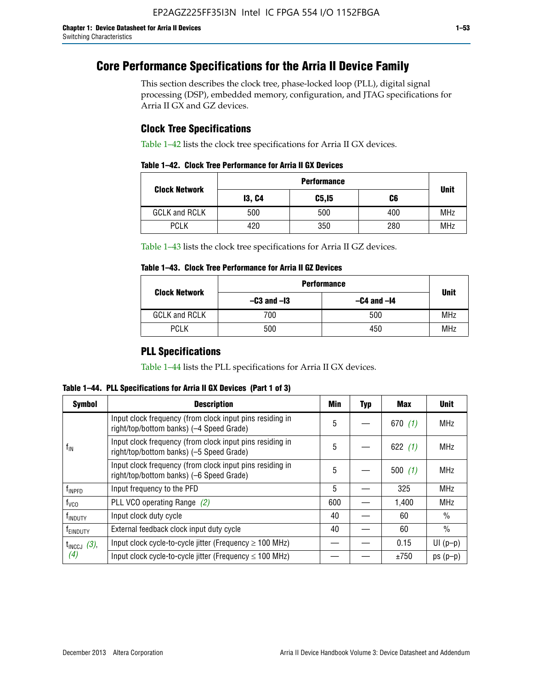# **Core Performance Specifications for the Arria II Device Family**

This section describes the clock tree, phase-locked loop (PLL), digital signal processing (DSP), embedded memory, configuration, and JTAG specifications for Arria II GX and GZ devices.

## **Clock Tree Specifications**

Table 1–42 lists the clock tree specifications for Arria II GX devices.

|  |  |  |  | Table 1–42. Clock Tree Performance for Arria II GX Devices |
|--|--|--|--|------------------------------------------------------------|
|--|--|--|--|------------------------------------------------------------|

|                      | <b>Performance</b> |        |     |             |  |  |  |  |
|----------------------|--------------------|--------|-----|-------------|--|--|--|--|
| <b>Clock Network</b> | <b>13, C4</b>      | C5, I5 | C6  | <b>Unit</b> |  |  |  |  |
| <b>GCLK and RCLK</b> | 500                | 500    | 400 | <b>MHz</b>  |  |  |  |  |
| <b>PCLK</b>          | 420                | 350    | 280 | <b>MHz</b>  |  |  |  |  |

Table 1–43 lists the clock tree specifications for Arria II GZ devices.

### **Table 1–43. Clock Tree Performance for Arria II GZ Devices**

| <b>Clock Network</b> | <b>Performance</b> |             |            |  |  |  |  |
|----------------------|--------------------|-------------|------------|--|--|--|--|
|                      | $-C3$ and $-I3$    | <b>Unit</b> |            |  |  |  |  |
| <b>GCLK and RCLK</b> | 700                | 500         | <b>MHz</b> |  |  |  |  |
| <b>PCLK</b>          | 500                | 450         | MHz        |  |  |  |  |

## **PLL Specifications**

Table 1–44 lists the PLL specifications for Arria II GX devices.

**Table 1–44. PLL Specifications for Arria II GX Devices (Part 1 of 3)**

| <b>Symbol</b>           | <b>Description</b>                                                                                   | Min | <b>Typ</b> | Max       | <b>Unit</b>   |
|-------------------------|------------------------------------------------------------------------------------------------------|-----|------------|-----------|---------------|
|                         | Input clock frequency (from clock input pins residing in<br>right/top/bottom banks) (-4 Speed Grade) | 5   |            | 670(1)    | <b>MHz</b>    |
| $f_{\text{IN}}$         | Input clock frequency (from clock input pins residing in<br>right/top/bottom banks) (-5 Speed Grade) | 5   |            | 622 $(1)$ | <b>MHz</b>    |
|                         | Input clock frequency (from clock input pins residing in<br>right/top/bottom banks) (-6 Speed Grade) | 5   |            | 500(1)    | <b>MHz</b>    |
| f <sub>INPFD</sub>      | Input frequency to the PFD                                                                           | 5   |            | 325       | <b>MHz</b>    |
| $f_{\rm VCO}$           | PLL VCO operating Range (2)                                                                          | 600 |            | 1,400     | <b>MHz</b>    |
| <sup>t</sup> INDUTY     | Input clock duty cycle                                                                               |     |            | 60        | $\frac{0}{0}$ |
| f <sub>EINDUTY</sub>    | External feedback clock input duty cycle                                                             |     |            | 60        | $\frac{0}{0}$ |
| $t_{\text{INCCJ}}$ (3), | Input clock cycle-to-cycle jitter (Frequency $\geq$ 100 MHz)                                         |     |            | 0.15      | $UI(p-p)$     |
| (4)                     | Input clock cycle-to-cycle jitter (Frequency $\leq 100$ MHz)                                         |     |            | ±750      | $ps(p-p)$     |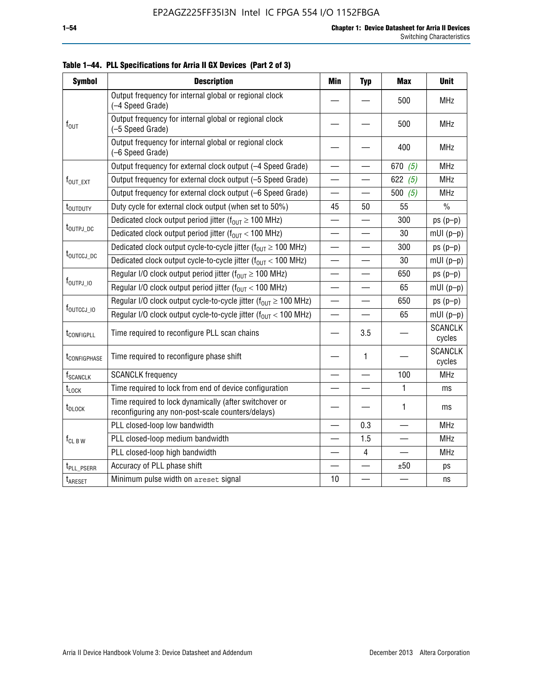| <b>Symbol</b>               | <b>Description</b>                                                                                          | <b>Min</b>               | <b>Typ</b>               | <b>Max</b> | <b>Unit</b>              |
|-----------------------------|-------------------------------------------------------------------------------------------------------------|--------------------------|--------------------------|------------|--------------------------|
|                             | Output frequency for internal global or regional clock<br>(-4 Speed Grade)                                  |                          |                          | 500        | <b>MHz</b>               |
| $f_{\text{OUT}}$            | Output frequency for internal global or regional clock<br>(-5 Speed Grade)                                  |                          |                          | 500        | <b>MHz</b>               |
|                             | Output frequency for internal global or regional clock<br>(-6 Speed Grade)                                  |                          |                          | 400        | <b>MHz</b>               |
|                             | Output frequency for external clock output (-4 Speed Grade)                                                 | $\overline{\phantom{0}}$ |                          | 670 $(5)$  | <b>MHz</b>               |
| f <sub>out_ext</sub>        | Output frequency for external clock output (-5 Speed Grade)                                                 |                          |                          | 622 $(5)$  | <b>MHz</b>               |
|                             | Output frequency for external clock output (-6 Speed Grade)                                                 | —                        |                          | 500 $(5)$  | <b>MHz</b>               |
| t <sub>outduty</sub>        | Duty cycle for external clock output (when set to 50%)                                                      | 45                       | 50                       | 55         | $\frac{0}{0}$            |
|                             | Dedicated clock output period jitter ( $f_{OUT} \ge 100$ MHz)                                               |                          |                          | 300        | $ps(p-p)$                |
| t <sub>outpj_dc</sub>       | Dedicated clock output period jitter ( $f_{OUT}$ < 100 MHz)                                                 |                          |                          | 30         | $mUI(p-p)$               |
|                             | Dedicated clock output cycle-to-cycle jitter ( $f_{OUT} \ge 100$ MHz)                                       |                          |                          | 300        | $ps(p-p)$                |
|                             | t <sub>outccj_dc</sub><br>Dedicated clock output cycle-to-cycle jitter ( $f_{OUT}$ < 100 MHz)               |                          |                          | 30         | $mUI(p-p)$               |
|                             | Regular I/O clock output period jitter ( $f_{OUT} \ge 100$ MHz)                                             |                          |                          | 650        | $ps(p-p)$                |
| $f_{\text{OUTPJ\_10}}$      | Regular I/O clock output period jitter ( $f_{OUT}$ < 100 MHz)                                               |                          |                          | 65         | $mUI(p-p)$               |
|                             | Regular I/O clock output cycle-to-cycle jitter ( $f_{OUT} \ge 100$ MHz)                                     |                          | —                        | 650        | $ps(p-p)$                |
| f <sub>outccj_io</sub>      | Regular I/O clock output cycle-to-cycle jitter ( $f_{OUT}$ < 100 MHz)                                       |                          |                          | 65         | $mUI(p-p)$               |
| t <sub>configpll</sub>      | Time required to reconfigure PLL scan chains                                                                |                          | 3.5                      |            | <b>SCANCLK</b><br>cycles |
| t <sub>configphase</sub>    | Time required to reconfigure phase shift                                                                    |                          | 1                        |            | <b>SCANCLK</b><br>cycles |
| <b>f</b> <sub>SCANCLK</sub> | <b>SCANCLK</b> frequency                                                                                    |                          |                          | 100        | <b>MHz</b>               |
| $t_{\text{LOCK}}$           | Time required to lock from end of device configuration                                                      |                          | $\overline{\phantom{0}}$ | 1          | ms                       |
| t <sub>DLOCK</sub>          | Time required to lock dynamically (after switchover or<br>reconfiguring any non-post-scale counters/delays) |                          |                          | 1          | ms                       |
|                             | PLL closed-loop low bandwidth                                                                               |                          | 0.3                      |            | <b>MHz</b>               |
| $f_{CL\,B\,W}$              | PLL closed-loop medium bandwidth                                                                            | $\overline{\phantom{0}}$ | 1.5                      |            | <b>MHz</b>               |
|                             | PLL closed-loop high bandwidth                                                                              |                          | 4                        |            | <b>MHz</b>               |
| t <sub>PLL_PSERR</sub>      | Accuracy of PLL phase shift                                                                                 |                          |                          | ±50        | ps                       |
| t <sub>ARESET</sub>         | Minimum pulse width on areset signal                                                                        | 10                       |                          |            | ns                       |

**Table 1–44. PLL Specifications for Arria II GX Devices (Part 2 of 3)**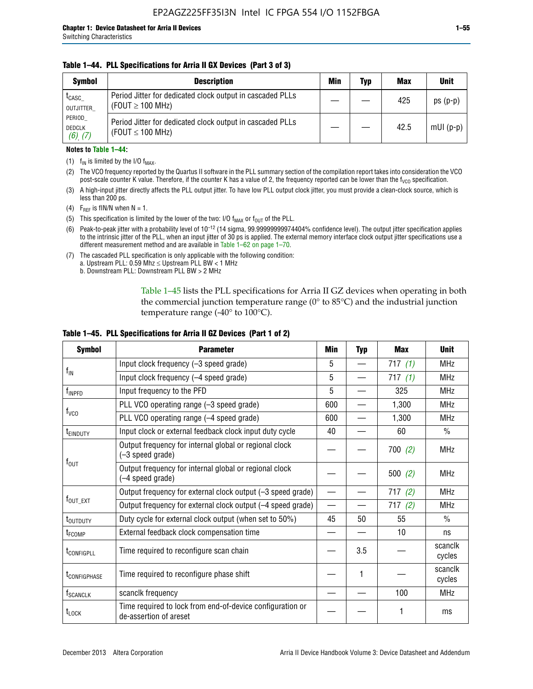### **Table 1–44. PLL Specifications for Arria II GX Devices (Part 3 of 3)**

| <b>Symbol</b>                            | <b>Description</b>                                                                 | Min | Typ | <b>Max</b> | <b>Unit</b> |
|------------------------------------------|------------------------------------------------------------------------------------|-----|-----|------------|-------------|
| t <sub>CASC</sub><br>OUTJITTER           | Period Jitter for dedicated clock output in cascaded PLLs<br>(FOUT $\geq$ 100 MHz) |     |     | 425        | $ps(p-p)$   |
| PERIOD<br><b>DEDCLK</b><br>$(6)$ , $(7)$ | Period Jitter for dedicated clock output in cascaded PLLs<br>(FOUT $\leq$ 100 MHz) |     |     | 42.5       | $mUI(p-p)$  |

### **Notes to Table 1–44:**

- (1)  $f_{IN}$  is limited by the I/O  $f_{MAX}$ .
- (2) The VCO frequency reported by the Quartus II software in the PLL summary section of the compilation report takes into consideration the VCO post-scale counter K value. Therefore, if the counter K has a value of 2, the frequency reported can be lower than the f<sub>VCO</sub> specification.
- (3) A high-input jitter directly affects the PLL output jitter. To have low PLL output clock jitter, you must provide a clean-clock source, which is less than 200 ps.
- (4) F<sub>REF</sub> is fIN/N when N = 1.
- (5) This specification is limited by the lower of the two: I/O  $f_{MAX}$  or  $f_{OUT}$  of the PLL.
- (6) Peak-to-peak jitter with a probability level of 10–12 (14 sigma, 99.99999999974404% confidence level). The output jitter specification applies to the intrinsic jitter of the PLL, when an input jitter of 30 ps is applied. The external memory interface clock output jitter specifications use a different measurement method and are available in Table 1–62 on page 1–70.
- (7) The cascaded PLL specification is only applicable with the following condition: a. Upstream PLL:  $0.59$  Mhz  $\leq$  Upstream PLL BW  $<$  1 MHz
	- b. Downstream PLL: Downstream PLL BW > 2 MHz

Table 1–45 lists the PLL specifications for Arria II GZ devices when operating in both the commercial junction temperature range (0° to 85°C) and the industrial junction temperature range (-40 $\degree$  to 100 $\degree$ C).

| <b>Symbol</b>              | <b>Parameter</b>                                                                    |     | <b>Typ</b> | <b>Max</b> | <b>Unit</b>       |
|----------------------------|-------------------------------------------------------------------------------------|-----|------------|------------|-------------------|
|                            | Input clock frequency (-3 speed grade)                                              | 5   |            | 717(1)     | <b>MHz</b>        |
| $f_{IN}$                   | Input clock frequency (-4 speed grade)                                              | 5   |            | 717 $(1)$  | <b>MHz</b>        |
| f <sub>INPFD</sub>         | Input frequency to the PFD                                                          | 5   |            | 325        | <b>MHz</b>        |
|                            | PLL VCO operating range (-3 speed grade)                                            | 600 |            | 1,300      | MHz               |
| $f_{\rm VCO}$              | PLL VCO operating range (-4 speed grade)                                            | 600 |            | 1,300      | <b>MHz</b>        |
| <b>TEINDUTY</b>            | Input clock or external feedback clock input duty cycle                             | 40  |            | 60         | $\frac{0}{0}$     |
|                            | Output frequency for internal global or regional clock<br>(-3 speed grade)          |     |            | 700(2)     | <b>MHz</b>        |
| $f_{\text{OUT}}$           | Output frequency for internal global or regional clock<br>(-4 speed grade)          |     |            | 500(2)     | <b>MHz</b>        |
|                            | Output frequency for external clock output (-3 speed grade)                         |     |            | 717(2)     | <b>MHz</b>        |
| $f_{\text{OUT\_EXT}}$      | Output frequency for external clock output (-4 speed grade)                         |     |            | 717(2)     | <b>MHz</b>        |
| t <sub>outduty</sub>       | Duty cycle for external clock output (when set to 50%)                              | 45  | 50         | 55         | $\frac{0}{0}$     |
| t <sub>FCOMP</sub>         | External feedback clock compensation time                                           |     |            | 10         | ns                |
| t <sub>configpll</sub>     | Time required to reconfigure scan chain                                             |     | 3.5        |            | scanclk<br>cycles |
| <b><i>LCONFIGPHASE</i></b> | Time required to reconfigure phase shift                                            |     | 1          |            | scanclk<br>cycles |
| f <sub>SCANCLK</sub>       | scanclk frequency                                                                   |     |            | 100        | <b>MHz</b>        |
| $t_{\text{LOCK}}$          | Time required to lock from end-of-device configuration or<br>de-assertion of areset |     |            |            | ms                |

### **Table 1–45. PLL Specifications for Arria II GZ Devices (Part 1 of 2)**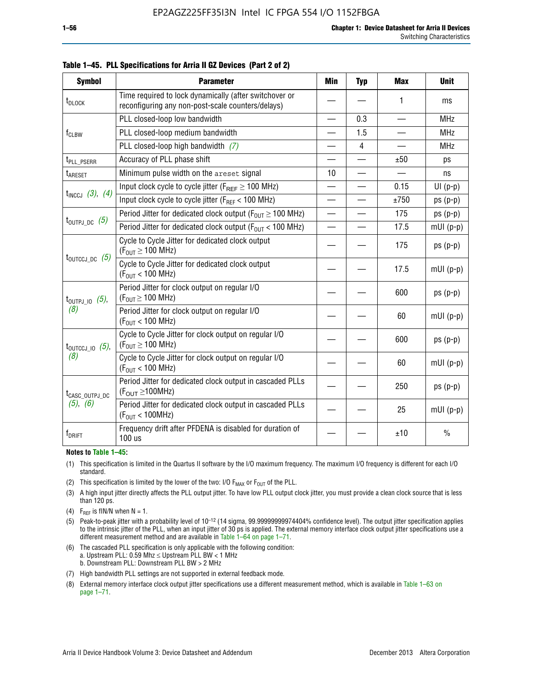| <b>Symbol</b>                | <b>Parameter</b>                                                                                            | Min                      | <b>Typ</b>     | <b>Max</b> | <b>Unit</b>   |
|------------------------------|-------------------------------------------------------------------------------------------------------------|--------------------------|----------------|------------|---------------|
| t <sub>DLOCK</sub>           | Time required to lock dynamically (after switchover or<br>reconfiguring any non-post-scale counters/delays) |                          |                | 1          | ms            |
|                              | PLL closed-loop low bandwidth                                                                               |                          | 0.3            |            | <b>MHz</b>    |
| $f_{CLBW}$                   | PLL closed-loop medium bandwidth                                                                            | —                        | 1.5            | —          | <b>MHz</b>    |
|                              | PLL closed-loop high bandwidth $(7)$                                                                        |                          | $\overline{4}$ |            | <b>MHz</b>    |
| t <sub>PLL_PSERR</sub>       | Accuracy of PLL phase shift                                                                                 |                          |                | ±50        | ps            |
| t <sub>ARESET</sub>          | Minimum pulse width on the areset signal                                                                    | 10                       |                |            | ns            |
|                              | Input clock cycle to cycle jitter ( $F_{REF} \ge 100$ MHz)                                                  | $\overline{\phantom{0}}$ |                | 0.15       | $UI(p-p)$     |
| $t_{INCCJ}$ (3), (4)         | Input clock cycle to cycle jitter (FREF < 100 MHz)                                                          |                          |                | ±750       | $ps(p-p)$     |
|                              | Period Jitter for dedicated clock output ( $F_{OIII} \ge 100$ MHz)                                          | $\overline{\phantom{0}}$ |                | 175        | $ps(p-p)$     |
| $t_{\text{OUTPJ\_DC}}$ (5)   | Period Jitter for dedicated clock output ( $F_{OIII}$ < 100 MHz)                                            | —                        |                | 17.5       | $mUI(p-p)$    |
| $t_{\text{OUTCCJ\_DC}}$ (5)  | Cycle to Cycle Jitter for dedicated clock output<br>$(F_{OUT} \ge 100$ MHz)                                 |                          |                | 175        | $ps(p-p)$     |
|                              | Cycle to Cycle Jitter for dedicated clock output<br>$(F_{OUT} < 100$ MHz)                                   |                          |                | 17.5       | $mUI(p-p)$    |
| $t_{\text{OUTPJ\_IO}}$ (5),  | Period Jitter for clock output on regular I/O<br>$(F_{OUT} \ge 100$ MHz)                                    |                          |                | 600        | $ps(p-p)$     |
| (8)                          | Period Jitter for clock output on regular I/O<br>$(F_{OUT} < 100$ MHz)                                      |                          |                | 60         | $mUI(p-p)$    |
| $t_{\text{OUTCCJ\_IO}}$ (5), | Cycle to Cycle Jitter for clock output on regular I/O<br>$(F_{OUT} \ge 100$ MHz)                            |                          |                | 600        | $ps(p-p)$     |
| (8)                          | Cycle to Cycle Jitter for clock output on regular I/O<br>$(F_{OUT} < 100 MHz)$                              |                          |                | 60         | $mUI(p-p)$    |
| t <sub>CASC_OUTPJ_DC</sub>   | Period Jitter for dedicated clock output in cascaded PLLs<br>$(F_{OUT} \ge 100MHz)$                         |                          |                | 250        | $ps(p-p)$     |
| (5), (6)                     | Period Jitter for dedicated clock output in cascaded PLLs<br>(F <sub>OUT</sub> < 100MHz)                    |                          |                | 25         | $mUI(p-p)$    |
| $f_{DRIFT}$                  | Frequency drift after PFDENA is disabled for duration of<br>100 us                                          |                          |                | ±10        | $\frac{0}{0}$ |

**Table 1–45. PLL Specifications for Arria II GZ Devices (Part 2 of 2)**

#### **Notes to Table 1–45:**

- (1) This specification is limited in the Quartus II software by the I/O maximum frequency. The maximum I/O frequency is different for each I/O standard.
- (2) This specification is limited by the lower of the two: I/O  $F_{MAX}$  or  $F_{OUT}$  of the PLL.
- (3) A high input jitter directly affects the PLL output jitter. To have low PLL output clock jitter, you must provide a clean clock source that is less than 120 ps.
- (4) F<sub>REF</sub> is fIN/N when  $N = 1$ .
- (5) Peak-to-peak jitter with a probability level of 10–12 (14 sigma, 99.99999999974404% confidence level). The output jitter specification applies to the intrinsic jitter of the PLL, when an input jitter of 30 ps is applied. The external memory interface clock output jitter specifications use a different measurement method and are available in Table 1–64 on page 1–71.
- (6) The cascaded PLL specification is only applicable with the following condition: a. Upstream PLL: 0.59 Mhz  $\leq$  Upstream PLL BW  $<$  1 MHz b. Downstream PLL: Downstream PLL BW > 2 MHz
- (7) High bandwidth PLL settings are not supported in external feedback mode.
- (8) External memory interface clock output jitter specifications use a different measurement method, which is available in Table 1–63 on page 1–71.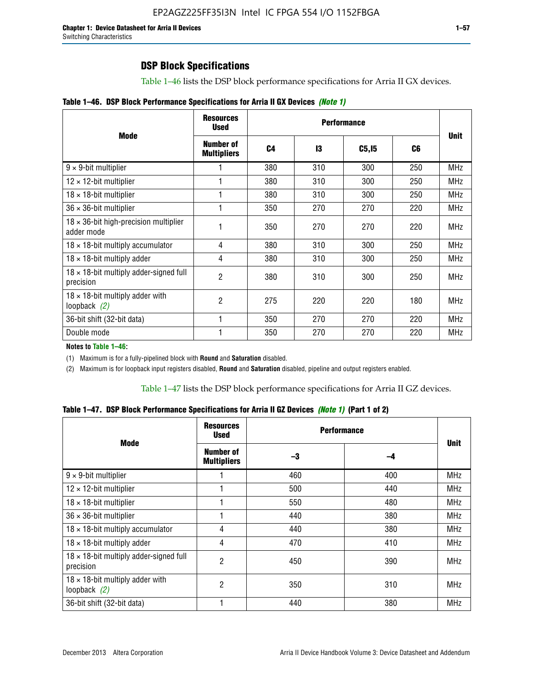# **DSP Block Specifications**

Table 1–46 lists the DSP block performance specifications for Arria II GX devices.

|  |  |  | Table 1-46. DSP Block Performance Specifications for Arria II GX Devices (Note 1) |  |
|--|--|--|-----------------------------------------------------------------------------------|--|
|--|--|--|-----------------------------------------------------------------------------------|--|

|                                                             | <b>Resources</b><br><b>Used</b>        |     |     |              |     |             |
|-------------------------------------------------------------|----------------------------------------|-----|-----|--------------|-----|-------------|
| <b>Mode</b>                                                 | <b>Number of</b><br><b>Multipliers</b> | C4  | 13  | <b>C5,15</b> | C6  | <b>Unit</b> |
| $9 \times 9$ -bit multiplier                                |                                        | 380 | 310 | 300          | 250 | <b>MHz</b>  |
| $12 \times 12$ -bit multiplier                              |                                        | 380 | 310 | 300          | 250 | <b>MHz</b>  |
| $18 \times 18$ -bit multiplier                              |                                        | 380 | 310 | 300          | 250 | <b>MHz</b>  |
| $36 \times 36$ -bit multiplier                              |                                        | 350 | 270 | 270          | 220 | <b>MHz</b>  |
| $18 \times 36$ -bit high-precision multiplier<br>adder mode |                                        | 350 | 270 | 270          | 220 | <b>MHz</b>  |
| $18 \times 18$ -bit multiply accumulator                    | 4                                      | 380 | 310 | 300          | 250 | <b>MHz</b>  |
| $18 \times 18$ -bit multiply adder                          | 4                                      | 380 | 310 | 300          | 250 | <b>MHz</b>  |
| $18 \times 18$ -bit multiply adder-signed full<br>precision | $\overline{2}$                         | 380 | 310 | 300          | 250 | <b>MHz</b>  |
| $18 \times 18$ -bit multiply adder with<br>loopback $(2)$   | $\overline{2}$                         | 275 | 220 | 220          | 180 | <b>MHz</b>  |
| 36-bit shift (32-bit data)                                  |                                        | 350 | 270 | 270          | 220 | <b>MHz</b>  |
| Double mode                                                 |                                        | 350 | 270 | 270          | 220 | <b>MHz</b>  |

**Notes to Table 1–46:**

(1) Maximum is for a fully-pipelined block with **Round** and **Saturation** disabled.

(2) Maximum is for loopback input registers disabled, **Round** and **Saturation** disabled, pipeline and output registers enabled.

Table 1–47 lists the DSP block performance specifications for Arria II GZ devices.

**Table 1–47. DSP Block Performance Specifications for Arria II GZ Devices** *(Note 1)* **(Part 1 of 2)**

| <b>Mode</b>                                                 | <b>Resources</b><br>Used        | <b>Performance</b> |     |             |  |
|-------------------------------------------------------------|---------------------------------|--------------------|-----|-------------|--|
|                                                             | Number of<br><b>Multipliers</b> | -3                 | -4  | <b>Unit</b> |  |
| $9 \times 9$ -bit multiplier                                |                                 | 460                | 400 | <b>MHz</b>  |  |
| $12 \times 12$ -bit multiplier                              |                                 | 500                | 440 | <b>MHz</b>  |  |
| $18 \times 18$ -bit multiplier                              |                                 | 550                | 480 | <b>MHz</b>  |  |
| $36 \times 36$ -bit multiplier                              |                                 | 440                | 380 | <b>MHz</b>  |  |
| $18 \times 18$ -bit multiply accumulator                    | 4                               | 440                | 380 | <b>MHz</b>  |  |
| $18 \times 18$ -bit multiply adder                          | 4                               | 470                | 410 | <b>MHz</b>  |  |
| $18 \times 18$ -bit multiply adder-signed full<br>precision | 2                               | 450                | 390 | <b>MHz</b>  |  |
| $18 \times 18$ -bit multiply adder with<br>loopback $(2)$   | $\overline{c}$                  | 350                | 310 | <b>MHz</b>  |  |
| 36-bit shift (32-bit data)                                  |                                 | 440                | 380 | MHz         |  |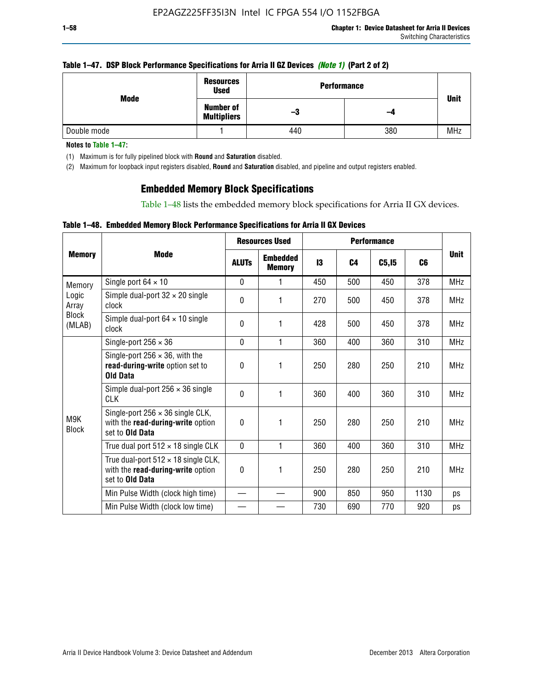### **Table 1–47. DSP Block Performance Specifications for Arria II GZ Devices** *(Note 1)* **(Part 2 of 2)**

| Mode        | <b>Resources</b><br><b>Used</b>        | <b>Performance</b> |     | <b>Unit</b> |
|-------------|----------------------------------------|--------------------|-----|-------------|
|             | <b>Number of</b><br><b>Multipliers</b> | -3                 | -4  |             |
| Double mode |                                        | 440                | 380 | <b>MHz</b>  |

**Notes to Table 1–47:**

(1) Maximum is for fully pipelined block with **Round** and **Saturation** disabled.

(2) Maximum for loopback input registers disabled, **Round** and **Saturation** disabled, and pipeline and output registers enabled.

## **Embedded Memory Block Specifications**

Table 1–48 lists the embedded memory block specifications for Arria II GX devices.

### **Table 1–48. Embedded Memory Block Performance Specifications for Arria II GX Devices**

|                        |                                                                                                           | <b>Resources Used</b> |                                  | <b>Performance</b> |                |        |      |             |
|------------------------|-----------------------------------------------------------------------------------------------------------|-----------------------|----------------------------------|--------------------|----------------|--------|------|-------------|
| <b>Memory</b>          | Mode                                                                                                      | <b>ALUTs</b>          | <b>Embedded</b><br><b>Memory</b> | 13                 | C <sub>4</sub> | C5, I5 | C6   | <b>Unit</b> |
| Memory                 | Single port $64 \times 10$                                                                                | $\Omega$              | 1                                | 450                | 500            | 450    | 378  | <b>MHz</b>  |
| Logic<br>Array         | Simple dual-port $32 \times 20$ single<br>clock                                                           | 0                     | 1                                | 270                | 500            | 450    | 378  | <b>MHz</b>  |
| <b>Block</b><br>(MLAB) | Simple dual-port $64 \times 10$ single<br>clock                                                           | $\Omega$              | 1                                | 428                | 500            | 450    | 378  | <b>MHz</b>  |
|                        | Single-port $256 \times 36$                                                                               | $\Omega$              | 1                                | 360                | 400            | 360    | 310  | <b>MHz</b>  |
|                        | Single-port $256 \times 36$ , with the<br>read-during-write option set to<br><b>Old Data</b>              | $\theta$              | 1                                | 250                | 280            | 250    | 210  | <b>MHz</b>  |
|                        | Simple dual-port $256 \times 36$ single<br><b>CLK</b>                                                     | $\Omega$              | 1                                | 360                | 400            | 360    | 310  | <b>MHz</b>  |
| M9K<br><b>Block</b>    | Single-port $256 \times 36$ single CLK,<br>with the read-during-write option<br>set to <b>Old Data</b>    | $\Omega$              | 1                                | 250                | 280            | 250    | 210  | <b>MHz</b>  |
|                        | True dual port $512 \times 18$ single CLK                                                                 | $\Omega$              | 1                                | 360                | 400            | 360    | 310  | <b>MHz</b>  |
|                        | True dual-port $512 \times 18$ single CLK,<br>with the read-during-write option<br>set to <b>Old Data</b> | 0                     | 1                                | 250                | 280            | 250    | 210  | <b>MHz</b>  |
|                        | Min Pulse Width (clock high time)                                                                         |                       |                                  | 900                | 850            | 950    | 1130 | ps          |
|                        | Min Pulse Width (clock low time)                                                                          |                       |                                  | 730                | 690            | 770    | 920  | ps          |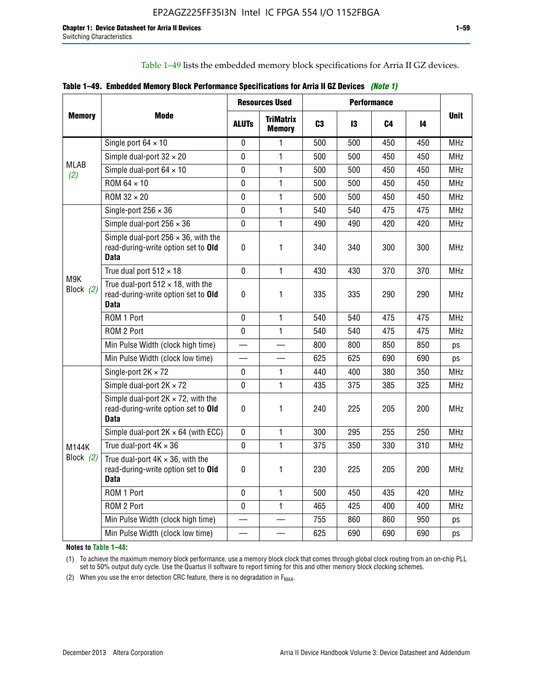Table 1–49 lists the embedded memory block specifications for Arria II GZ devices.

|  |  | Table 1–49. Embedded Memory Block Performance Specifications for Arria II GZ Devices (Note 1) |  |  |
|--|--|-----------------------------------------------------------------------------------------------|--|--|
|--|--|-----------------------------------------------------------------------------------------------|--|--|

|                    |                                                                                                   | <b>Resources Used</b> |                                   | <b>Performance</b> |     |     |     |             |
|--------------------|---------------------------------------------------------------------------------------------------|-----------------------|-----------------------------------|--------------------|-----|-----|-----|-------------|
| <b>Memory</b>      | Mode                                                                                              | <b>ALUTs</b>          | <b>TriMatrix</b><br><b>Memory</b> | C <sub>3</sub>     | 13  | C4  | 14  | <b>Unit</b> |
|                    | Single port $64 \times 10$                                                                        | 0                     | 1                                 | 500                | 500 | 450 | 450 | MHz         |
|                    | Simple dual-port $32 \times 20$                                                                   | $\mathbf 0$           | 1                                 | 500                | 500 | 450 | 450 | <b>MHz</b>  |
| <b>MLAB</b><br>(2) | Simple dual-port $64 \times 10$                                                                   | $\Omega$              | 1                                 | 500                | 500 | 450 | 450 | <b>MHz</b>  |
|                    | ROM 64 × 10                                                                                       | 0                     | 1                                 | 500                | 500 | 450 | 450 | MHz         |
|                    | ROM 32 × 20                                                                                       | $\mathbf{0}$          | 1                                 | 500                | 500 | 450 | 450 | <b>MHz</b>  |
|                    | Single-port $256 \times 36$                                                                       | $\mathbf 0$           | 1                                 | 540                | 540 | 475 | 475 | <b>MHz</b>  |
|                    | Simple dual-port $256 \times 36$                                                                  | $\mathbf 0$           | 1                                 | 490                | 490 | 420 | 420 | <b>MHz</b>  |
|                    | Simple dual-port $256 \times 36$ , with the<br>read-during-write option set to Old<br><b>Data</b> | $\pmb{0}$             | 1                                 | 340                | 340 | 300 | 300 | <b>MHz</b>  |
|                    | True dual port $512 \times 18$                                                                    | $\mathbf 0$           | $\mathbf{1}$                      | 430                | 430 | 370 | 370 | <b>MHz</b>  |
| M9K<br>Block $(2)$ | True dual-port $512 \times 18$ , with the<br>read-during-write option set to Old<br><b>Data</b>   | $\mathbf 0$           | 1                                 | 335                | 335 | 290 | 290 | <b>MHz</b>  |
|                    | ROM 1 Port                                                                                        | 0                     | 1                                 | 540                | 540 | 475 | 475 | <b>MHz</b>  |
|                    | ROM 2 Port                                                                                        | $\mathbf 0$           | 1                                 | 540                | 540 | 475 | 475 | <b>MHz</b>  |
|                    | Min Pulse Width (clock high time)                                                                 |                       |                                   | 800                | 800 | 850 | 850 | ps          |
|                    | Min Pulse Width (clock low time)                                                                  |                       |                                   | 625                | 625 | 690 | 690 | ps          |
|                    | Single-port $2K \times 72$                                                                        | 0                     | 1.                                | 440                | 400 | 380 | 350 | <b>MHz</b>  |
|                    | Simple dual-port $2K \times 72$                                                                   | $\mathbf 0$           | 1                                 | 435                | 375 | 385 | 325 | <b>MHz</b>  |
|                    | Simple dual-port $2K \times 72$ , with the<br>read-during-write option set to Old<br><b>Data</b>  | $\pmb{0}$             | 1.                                | 240                | 225 | 205 | 200 | MHz         |
|                    | Simple dual-port $2K \times 64$ (with ECC)                                                        | $\mathbf 0$           | 1                                 | 300                | 295 | 255 | 250 | <b>MHz</b>  |
| M144K              | True dual-port $4K \times 36$                                                                     | $\mathbf 0$           | 1                                 | 375                | 350 | 330 | 310 | <b>MHz</b>  |
| Block (2)          | True dual-port $4K \times 36$ , with the<br>read-during-write option set to Old<br><b>Data</b>    | 0                     | 1                                 | 230                | 225 | 205 | 200 | <b>MHz</b>  |
|                    | ROM 1 Port                                                                                        | $\mathbf 0$           | 1                                 | 500                | 450 | 435 | 420 | <b>MHz</b>  |
|                    | ROM 2 Port                                                                                        | 0                     | $\mathbf{1}$                      | 465                | 425 | 400 | 400 | MHz         |
|                    | Min Pulse Width (clock high time)                                                                 |                       |                                   | 755                | 860 | 860 | 950 | ps          |
|                    | Min Pulse Width (clock low time)                                                                  |                       |                                   | 625                | 690 | 690 | 690 | ps          |

**Notes to Table 1–48:**

(1) To achieve the maximum memory block performance, use a memory block clock that comes through global clock routing from an on-chip PLL set to 50% output duty cycle. Use the Quartus II software to report timing for this and other memory block clocking schemes.

(2) When you use the error detection CRC feature, there is no degradation in  $F_{MAX}$ .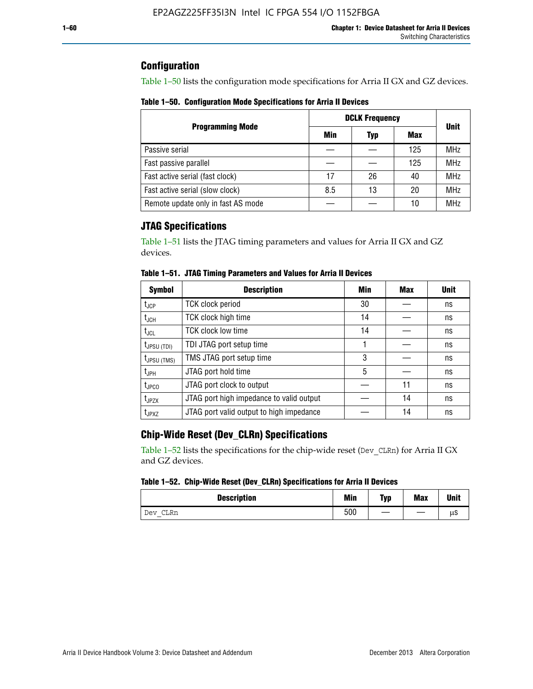## **Configuration**

Table 1–50 lists the configuration mode specifications for Arria II GX and GZ devices.

**Table 1–50. Configuration Mode Specifications for Arria II Devices**

|                                    | <b>DCLK Frequency</b> |     |     |             |
|------------------------------------|-----------------------|-----|-----|-------------|
| <b>Programming Mode</b>            | Min                   | Typ | Max | <b>Unit</b> |
| Passive serial                     |                       |     | 125 | <b>MHz</b>  |
| Fast passive parallel              |                       |     | 125 | <b>MHz</b>  |
| Fast active serial (fast clock)    | 17                    | 26  | 40  | <b>MHz</b>  |
| Fast active serial (slow clock)    | 8.5                   | 13  | 20  | <b>MHz</b>  |
| Remote update only in fast AS mode |                       |     | 10  | <b>MHz</b>  |

# **JTAG Specifications**

Table 1–51 lists the JTAG timing parameters and values for Arria II GX and GZ devices.

| <b>Symbol</b>     | <b>Description</b>                       | Min | Max | <b>Unit</b> |
|-------------------|------------------------------------------|-----|-----|-------------|
| $t_{JCP}$         | <b>TCK clock period</b>                  | 30  |     | ns          |
| $t_{JCH}$         | TCK clock high time                      | 14  |     | ns          |
| $t_{\text{JCL}}$  | <b>TCK clock low time</b>                | 14  |     | ns          |
| $t_{JPSU(TDI)}$   | TDI JTAG port setup time                 |     |     | ns          |
| $t_{JPSU\,(TMS)}$ | TMS JTAG port setup time                 | 3   |     | ns          |
| $t_{\sf JPH}$     | JTAG port hold time                      | 5   |     | ns          |
| $t_{\text{JPCO}}$ | JTAG port clock to output                |     | 11  | ns          |
| t <sub>JPZX</sub> | JTAG port high impedance to valid output |     | 14  | ns          |
| t <sub>JPXZ</sub> | JTAG port valid output to high impedance |     | 14  | ns          |

**Table 1–51. JTAG Timing Parameters and Values for Arria II Devices**

# **Chip-Wide Reset (Dev\_CLRn) Specifications**

Table 1–52 lists the specifications for the chip-wide reset (Dev\_CLRn) for Arria II GX and GZ devices.

### **Table 1–52. Chip-Wide Reset (Dev\_CLRn) Specifications for Arria II Devices**

| <b>Description</b> | <b>Min</b> | Typ | <b>Max</b> | <b>Unit</b> |
|--------------------|------------|-----|------------|-------------|
| CLRn<br>Dev        | 500        | __  |            | μS          |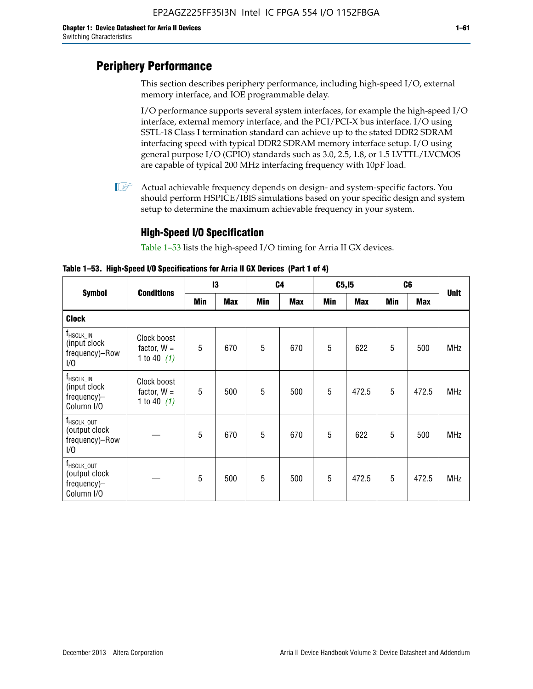# **Periphery Performance**

This section describes periphery performance, including high-speed I/O, external memory interface, and IOE programmable delay.

I/O performance supports several system interfaces, for example the high-speed I/O interface, external memory interface, and the PCI/PCI-X bus interface. I/O using SSTL-18 Class I termination standard can achieve up to the stated DDR2 SDRAM interfacing speed with typical DDR2 SDRAM memory interface setup. I/O using general purpose I/O (GPIO) standards such as 3.0, 2.5, 1.8, or 1.5 LVTTL/LVCMOS are capable of typical 200 MHz interfacing frequency with 10pF load.

 $\mathbb{I}$  Actual achievable frequency depends on design- and system-specific factors. You should perform HSPICE/IBIS simulations based on your specific design and system setup to determine the maximum achievable frequency in your system.

## **High-Speed I/O Specification**

Table 1–53 lists the high-speed I/O timing for Arria II GX devices.

**Table 1–53. High-Speed I/O Specifications for Arria II GX Devices (Part 1 of 4)**

| <b>Symbol</b>                                                        |                                               | 13  |            | C <sub>4</sub> |            | C5, I5     |            | C6         |            |             |
|----------------------------------------------------------------------|-----------------------------------------------|-----|------------|----------------|------------|------------|------------|------------|------------|-------------|
|                                                                      | <b>Conditions</b>                             | Min | <b>Max</b> | <b>Min</b>     | <b>Max</b> | <b>Min</b> | <b>Max</b> | <b>Min</b> | <b>Max</b> | <b>Unit</b> |
| <b>Clock</b>                                                         |                                               |     |            |                |            |            |            |            |            |             |
| $f_{HSCLK\_IN}$<br>(input clock<br>frequency)-Row<br>1/0             | Clock boost<br>factor, $W =$<br>1 to 40 $(1)$ | 5   | 670        | 5              | 670        | 5          | 622        | 5          | 500        | <b>MHz</b>  |
| $f_{HSCLK\_IN}$<br>(input clock<br>frequency)-<br>Column I/O         | Clock boost<br>factor, $W =$<br>1 to 40 $(1)$ | 5   | 500        | 5              | 500        | 5          | 472.5      | 5          | 472.5      | <b>MHz</b>  |
| T <sub>HSCLK_OUT</sub><br>(output clock<br>frequency)-Row<br>1/0     |                                               | 5   | 670        | 5              | 670        | 5          | 622        | 5          | 500        | <b>MHz</b>  |
| f <sub>HSCLK_OUT</sub><br>(output clock<br>frequency)-<br>Column I/O |                                               | 5   | 500        | 5              | 500        | 5          | 472.5      | 5          | 472.5      | <b>MHz</b>  |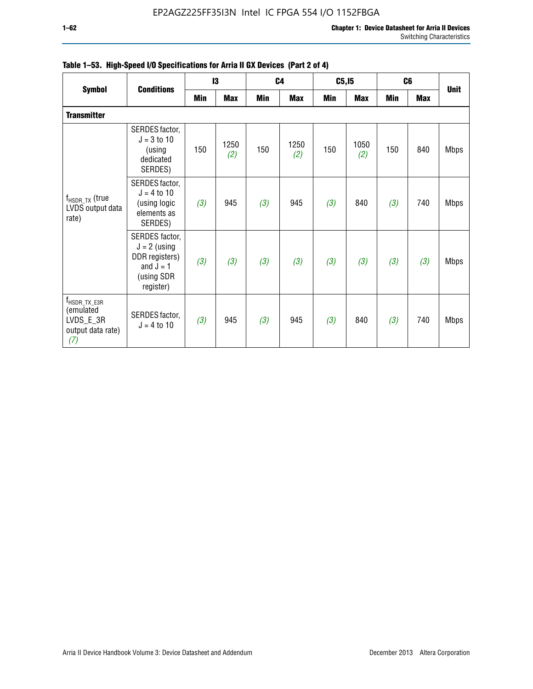|                                                                                  |                                                                                              |     | 13          |            | C <sub>4</sub> | C5, I5 |             |            | C <sub>6</sub> |             |
|----------------------------------------------------------------------------------|----------------------------------------------------------------------------------------------|-----|-------------|------------|----------------|--------|-------------|------------|----------------|-------------|
| <b>Symbol</b>                                                                    | <b>Conditions</b>                                                                            | Min | <b>Max</b>  | <b>Min</b> | <b>Max</b>     | Min    | <b>Max</b>  | <b>Min</b> | <b>Max</b>     | <b>Unit</b> |
| <b>Transmitter</b>                                                               |                                                                                              |     |             |            |                |        |             |            |                |             |
|                                                                                  | SERDES factor,<br>$J = 3$ to 10<br>(using<br>dedicated<br>SERDES)                            | 150 | 1250<br>(2) | 150        | 1250<br>(2)    | 150    | 1050<br>(2) | 150        | 840            | <b>Mbps</b> |
| $f_{\sf{HSDR\_TX}}$ (true<br>LVDS output data<br>rate)                           | SERDES factor,<br>$J = 4$ to 10<br>(using logic<br>elements as<br>SERDES)                    | (3) | 945         | (3)        | 945            | (3)    | 840         | (3)        | 740            | <b>Mbps</b> |
|                                                                                  | SERDES factor,<br>$J = 2$ (using<br>DDR registers)<br>and $J = 1$<br>(using SDR<br>register) | (3) | (3)         | (3)        | (3)            | (3)    | (3)         | (3)        | (3)            | <b>Mbps</b> |
| $f_{\text{HSDR\_TX\_E3R}}$<br>(emulated<br>LVDS_E_3R<br>output data rate)<br>(7) | SERDES factor,<br>$J = 4$ to 10                                                              | (3) | 945         | (3)        | 945            | (3)    | 840         | (3)        | 740            | <b>Mbps</b> |

|  |  | Table 1–53. High-Speed I/O Specifications for Arria II GX Devices (Part 2 of 4) |  |  |
|--|--|---------------------------------------------------------------------------------|--|--|
|--|--|---------------------------------------------------------------------------------|--|--|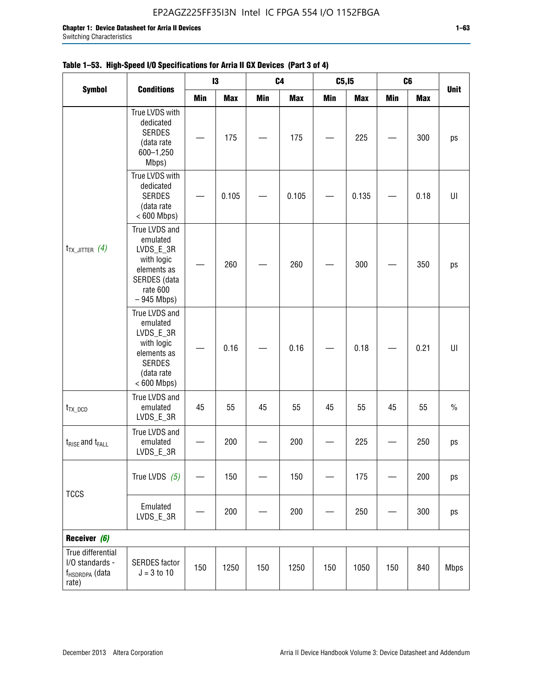$\Gamma$ 

|                                                                             | <b>Conditions</b>                                                                                                   |     | 13         | C4         |            | C <sub>5,15</sub> |            | C6         |            | <b>Unit</b>    |
|-----------------------------------------------------------------------------|---------------------------------------------------------------------------------------------------------------------|-----|------------|------------|------------|-------------------|------------|------------|------------|----------------|
| <b>Symbol</b>                                                               |                                                                                                                     | Min | <b>Max</b> | <b>Min</b> | <b>Max</b> | Min               | <b>Max</b> | <b>Min</b> | <b>Max</b> |                |
|                                                                             | True LVDS with<br>dedicated<br><b>SERDES</b><br>(data rate<br>600-1,250<br>Mbps)                                    |     | 175        |            | 175        |                   | 225        |            | 300        | ps             |
|                                                                             | True LVDS with<br>dedicated<br><b>SERDES</b><br>(data rate<br>$< 600$ Mbps)                                         |     | 0.105      |            | 0.105      |                   | 0.135      |            | 0.18       | $\sf{U}\sf{I}$ |
| $t_{TX\_JITTER}$ (4)                                                        | True LVDS and<br>emulated<br>LVDS_E_3R<br>with logic<br>elements as<br>SERDES (data<br>rate 600<br>$-945$ Mbps)     |     | 260        |            | 260        |                   | 300        |            | 350        | ps             |
|                                                                             | True LVDS and<br>emulated<br>LVDS_E_3R<br>with logic<br>elements as<br><b>SERDES</b><br>(data rate<br>$< 600$ Mbps) |     | 0.16       |            | 0.16       |                   | 0.18       |            | 0.21       | U              |
| $t_{TX\_DCD}$                                                               | True LVDS and<br>emulated<br>LVDS_E_3R                                                                              | 45  | 55         | 45         | 55         | 45                | 55         | 45         | 55         | $\%$           |
| $t_{RISE}$ and $t_{FALL}$                                                   | True LVDS and<br>emulated<br>LVDS_E_3R                                                                              |     | 200        |            | 200        |                   | 225        |            | 250        | ps             |
| <b>TCCS</b>                                                                 | True LVDS $(5)$                                                                                                     |     | 150        |            | 150        |                   | 175        |            | 200        | ps             |
|                                                                             | Emulated<br>LVDS_E_3R                                                                                               |     | 200        |            | 200        |                   | 250        |            | 300        | ps             |
| Receiver (6)                                                                |                                                                                                                     |     |            |            |            |                   |            |            |            |                |
| True differential<br>I/O standards -<br>f <sub>HSDRDPA</sub> (data<br>rate) | <b>SERDES</b> factor<br>$J = 3 to 10$                                                                               | 150 | 1250       | 150        | 1250       | 150               | 1050       | 150        | 840        | <b>Mbps</b>    |

## **Table 1–53. High-Speed I/O Specifications for Arria II GX Devices (Part 3 of 4)**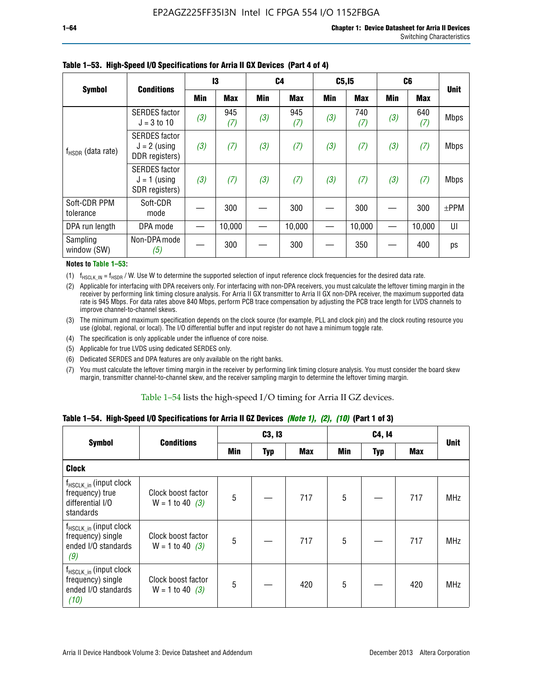|                           | <b>Conditions</b>                                        | 13  |            | C4  |            | C5, I5     |            | C <sub>6</sub> |            | <b>Unit</b> |
|---------------------------|----------------------------------------------------------|-----|------------|-----|------------|------------|------------|----------------|------------|-------------|
| <b>Symbol</b>             |                                                          | Min | <b>Max</b> | Min | <b>Max</b> | <b>Min</b> | <b>Max</b> | <b>Min</b>     | <b>Max</b> |             |
|                           | <b>SERDES</b> factor<br>$J = 3$ to 10                    | (3) | 945<br>(7) | (3) | 945<br>(7) | (3)        | 740<br>(7) | (3)            | 640<br>(7) | <b>Mbps</b> |
| $f_{HSDR}$ (data rate)    | <b>SERDES</b> factor<br>$J = 2$ (using<br>DDR registers) | (3) | (7)        | (3) | (7)        | (3)        | (7)        | (3)            | (7)        | <b>Mbps</b> |
|                           | <b>SERDES</b> factor<br>$J = 1$ (using<br>SDR registers) | (3) | (7)        | (3) | (7)        | (3)        | (7)        | (3)            | (7)        | <b>Mbps</b> |
| Soft-CDR PPM<br>tolerance | Soft-CDR<br>mode                                         |     | 300        |     | 300        |            | 300        |                | 300        | $\pm$ PPM   |
| DPA run length            | DPA mode                                                 |     | 10,000     |     | 10,000     |            | 10,000     |                | 10,000     | UI          |
| Sampling<br>window (SW)   | Non-DPA mode<br>(5)                                      |     | 300        |     | 300        |            | 350        |                | 400        | ps          |

### **Table 1–53. High-Speed I/O Specifications for Arria II GX Devices (Part 4 of 4)**

#### **Notes to Table 1–53:**

(1)  $f_{HSCLK\_IN} = f_{HSDR}$  / W. Use W to determine the supported selection of input reference clock frequencies for the desired data rate.

(2) Applicable for interfacing with DPA receivers only. For interfacing with non-DPA receivers, you must calculate the leftover timing margin in the receiver by performing link timing closure analysis. For Arria II GX transmitter to Arria II GX non-DPA receiver, the maximum supported data rate is 945 Mbps. For data rates above 840 Mbps, perform PCB trace compensation by adjusting the PCB trace length for LVDS channels to improve channel-to-channel skews.

- (3) The minimum and maximum specification depends on the clock source (for example, PLL and clock pin) and the clock routing resource you use (global, regional, or local). The I/O differential buffer and input register do not have a minimum toggle rate.
- (4) The specification is only applicable under the influence of core noise.
- (5) Applicable for true LVDS using dedicated SERDES only.
- (6) Dedicated SERDES and DPA features are only available on the right banks.
- (7) You must calculate the leftover timing margin in the receiver by performing link timing closure analysis. You must consider the board skew margin, transmitter channel-to-channel skew, and the receiver sampling margin to determine the leftover timing margin.

### Table 1–54 lists the high-speed I/O timing for Arria II GZ devices.

### **Table 1–54. High-Speed I/O Specifications for Arria II GZ Devices** *(Note 1), (2), (10)* **(Part 1 of 3)**

|                                                                                        | <b>Conditions</b>                       |     | C3, I3     |            |                 | C4, 14     |     |             |  |
|----------------------------------------------------------------------------------------|-----------------------------------------|-----|------------|------------|-----------------|------------|-----|-------------|--|
| <b>Symbol</b>                                                                          |                                         | Min | <b>Typ</b> | <b>Max</b> | Min             | <b>Typ</b> | Max | <b>Unit</b> |  |
| <b>Clock</b>                                                                           |                                         |     |            |            |                 |            |     |             |  |
| $f_{HSCLK_in}$ (input clock<br>frequency) true<br>differential I/O<br>standards        | Clock boost factor<br>$W = 1$ to 40 (3) | 5   |            | 717        | 5               |            | 717 | <b>MHz</b>  |  |
| f <sub>HSCLK_in</sub> (input clock<br>frequency) single<br>ended I/O standards<br>(9)  | Clock boost factor<br>$W = 1$ to 40 (3) | 5   |            | 717        | $5\phantom{.0}$ |            | 717 | <b>MHz</b>  |  |
| f <sub>HSCLK_in</sub> (input clock<br>frequency) single<br>ended I/O standards<br>(10) | Clock boost factor<br>$W = 1$ to 40 (3) | 5   |            | 420        | 5               |            | 420 | <b>MHz</b>  |  |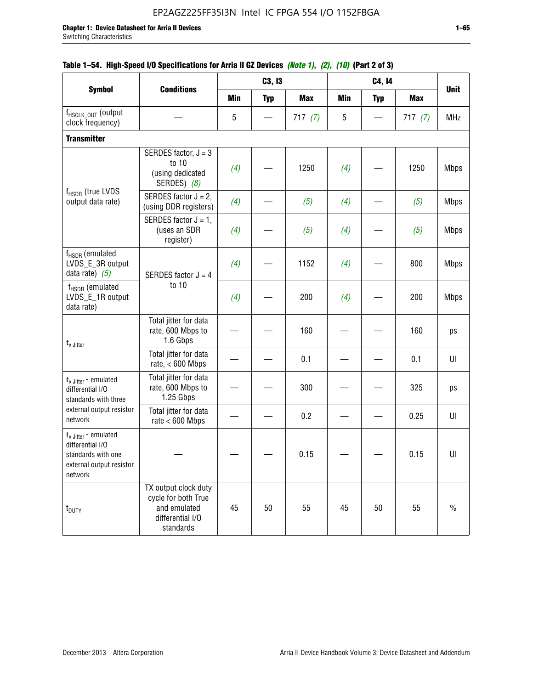|                                                                                                                    |                                                                                              |            | C3, I3     |            |     | C4, 14     |            |             |
|--------------------------------------------------------------------------------------------------------------------|----------------------------------------------------------------------------------------------|------------|------------|------------|-----|------------|------------|-------------|
| <b>Symbol</b>                                                                                                      | <b>Conditions</b>                                                                            | <b>Min</b> | <b>Typ</b> | <b>Max</b> | Min | <b>Typ</b> | <b>Max</b> | <b>Unit</b> |
| f <sub>HSCLK_OUT</sub> (output<br>clock frequency)                                                                 |                                                                                              | 5          |            | 717(7)     | 5   |            | 717(7)     | <b>MHz</b>  |
| <b>Transmitter</b>                                                                                                 |                                                                                              |            |            |            |     |            |            |             |
|                                                                                                                    | SERDES factor, $J = 3$<br>to 10<br>(using dedicated<br>SERDES) (8)                           | (4)        |            | 1250       | (4) |            | 1250       | <b>Mbps</b> |
| f <sub>HSDR</sub> (true LVDS<br>output data rate)                                                                  | SERDES factor $J = 2$ ,<br>(using DDR registers)                                             | (4)        |            | (5)        | (4) |            | (5)        | <b>Mbps</b> |
|                                                                                                                    | SERDES factor $J = 1$ ,<br>(uses an SDR<br>register)                                         | (4)        |            | (5)        | (4) |            | (5)        | <b>Mbps</b> |
| f <sub>HSDR</sub> (emulated<br>LVDS_E_3R output<br>data rate) $(5)$                                                | SERDES factor $J = 4$                                                                        | (4)        |            | 1152       | (4) |            | 800        | <b>Mbps</b> |
| $f_{\rm HSDR}$ (emulated<br>LVDS_E_1R output<br>data rate)                                                         | to 10                                                                                        | (4)        |            | 200        | (4) |            | 200        | <b>Mbps</b> |
| $t_{x}$ Jitter                                                                                                     | Total jitter for data<br>rate, 600 Mbps to<br>1.6 Gbps                                       |            |            | 160        |     |            | 160        | ps          |
|                                                                                                                    | Total jitter for data<br>rate, $< 600$ Mbps                                                  |            |            | 0.1        |     |            | 0.1        | UI          |
| $t_{x}$ Jitter - emulated<br>differential I/O<br>standards with three                                              | Total jitter for data<br>rate, 600 Mbps to<br>1.25 Gbps                                      |            |            | 300        |     |            | 325        | ps          |
| external output resistor<br>network                                                                                | Total jitter for data<br>rate $< 600$ Mbps                                                   |            |            | 0.2        |     |            | 0.25       | UI          |
| $t_{x \text{ Jitter}}$ - emulated<br>differential I/O<br>standards with one<br>external output resistor<br>network |                                                                                              |            |            | 0.15       |     |            | 0.15       | U           |
| t <sub>DUTY</sub>                                                                                                  | TX output clock duty<br>cycle for both True<br>and emulated<br>differential I/O<br>standards | 45         | 50         | 55         | 45  | 50         | 55         | $\%$        |

## **Table 1–54. High-Speed I/O Specifications for Arria II GZ Devices** *(Note 1), (2), (10)* **(Part 2 of 3)**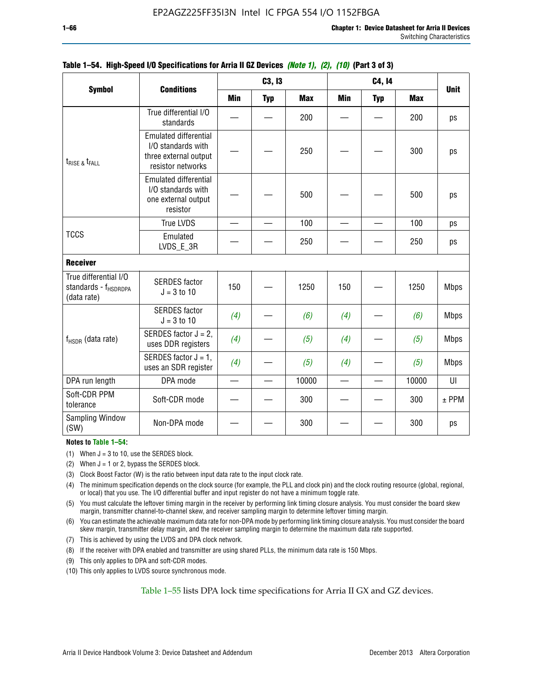|                                                                          |                                                                                                  |            | C3, I3     |            |     | C4, 14     |            | <b>Unit</b> |
|--------------------------------------------------------------------------|--------------------------------------------------------------------------------------------------|------------|------------|------------|-----|------------|------------|-------------|
| <b>Symbol</b>                                                            | <b>Conditions</b>                                                                                | <b>Min</b> | <b>Typ</b> | <b>Max</b> | Min | <b>Typ</b> | <b>Max</b> |             |
|                                                                          | True differential I/O<br>standards                                                               |            |            | 200        |     |            | 200        | ps          |
| $t_{RISE}$ & $t_{FALL}$                                                  | <b>Emulated differential</b><br>I/O standards with<br>three external output<br>resistor networks |            |            | 250        |     |            | 300        | ps          |
|                                                                          | <b>Emulated differential</b><br>I/O standards with<br>one external output<br>resistor            |            |            | 500        |     |            | 500        | ps          |
|                                                                          | <b>True LVDS</b>                                                                                 |            |            | 100        |     |            | 100        | ps          |
| <b>TCCS</b>                                                              | Emulated<br>LVDS E 3R                                                                            |            |            | 250        |     |            | 250        | ps          |
| <b>Receiver</b>                                                          |                                                                                                  |            |            |            |     |            |            |             |
| True differential I/O<br>standards - f <sub>HSDRDPA</sub><br>(data rate) | <b>SERDES</b> factor<br>$J = 3$ to 10                                                            | 150        |            | 1250       | 150 |            | 1250       | <b>Mbps</b> |
|                                                                          | <b>SERDES</b> factor<br>$J = 3$ to 10                                                            | (4)        |            | (6)        | (4) |            | (6)        | <b>Mbps</b> |
| $f_{HSDR}$ (data rate)                                                   | SERDES factor $J = 2$ ,<br>uses DDR registers                                                    | (4)        |            | (5)        | (4) |            | (5)        | <b>Mbps</b> |
|                                                                          | SERDES factor $J = 1$ ,<br>uses an SDR register                                                  | (4)        |            | (5)        | (4) |            | (5)        | <b>Mbps</b> |
| DPA run length                                                           | DPA mode                                                                                         |            |            | 10000      |     |            | 10000      | UI          |
| Soft-CDR PPM<br>tolerance                                                | Soft-CDR mode                                                                                    |            |            | 300        |     |            | 300        | $±$ PPM     |
| <b>Sampling Window</b><br>(SW)                                           | Non-DPA mode                                                                                     |            |            | 300        |     |            | 300        | ps          |

### **Table 1–54. High-Speed I/O Specifications for Arria II GZ Devices** *(Note 1), (2), (10)* **(Part 3 of 3)**

### **Notes to Table 1–54:**

(1) When  $J = 3$  to 10, use the SERDES block.

- (2) When  $J = 1$  or 2, bypass the SERDES block.
- (3) Clock Boost Factor (W) is the ratio between input data rate to the input clock rate.
- (4) The minimum specification depends on the clock source (for example, the PLL and clock pin) and the clock routing resource (global, regional, or local) that you use. The I/O differential buffer and input register do not have a minimum toggle rate.
- (5) You must calculate the leftover timing margin in the receiver by performing link timing closure analysis. You must consider the board skew margin, transmitter channel-to-channel skew, and receiver sampling margin to determine leftover timing margin.
- (6) You can estimate the achievable maximum data rate for non-DPA mode by performing link timing closure analysis. You must consider the board skew margin, transmitter delay margin, and the receiver sampling margin to determine the maximum data rate supported.
- (7) This is achieved by using the LVDS and DPA clock network.
- (8) If the receiver with DPA enabled and transmitter are using shared PLLs, the minimum data rate is 150 Mbps.
- (9) This only applies to DPA and soft-CDR modes.
- (10) This only applies to LVDS source synchronous mode.

Table 1–55 lists DPA lock time specifications for Arria II GX and GZ devices.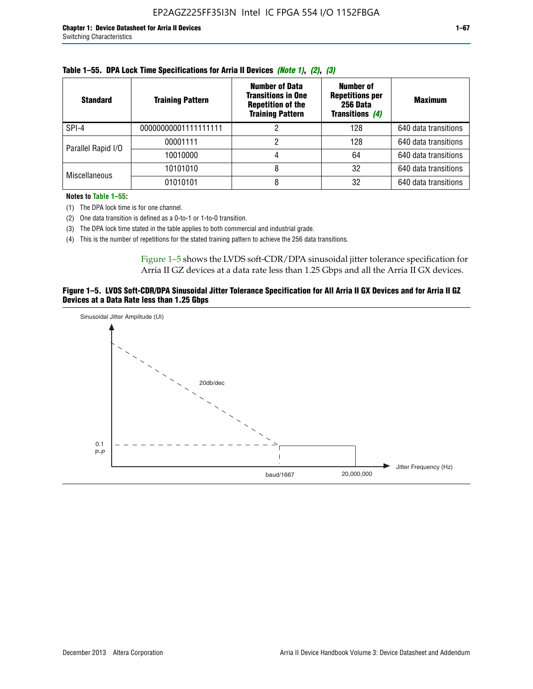| <b>Standard</b>      | <b>Training Pattern</b> | <b>Number of Data</b><br><b>Transitions in One</b><br><b>Repetition of the</b><br><b>Training Pattern</b> | Number of<br><b>Repetitions per</b><br>256 Data<br><b>Transitions (4)</b> | <b>Maximum</b>       |
|----------------------|-------------------------|-----------------------------------------------------------------------------------------------------------|---------------------------------------------------------------------------|----------------------|
| SPI-4                | 00000000001111111111    |                                                                                                           | 128                                                                       | 640 data transitions |
| Parallel Rapid I/O   | 00001111                |                                                                                                           | 128                                                                       | 640 data transitions |
|                      | 10010000                |                                                                                                           | 64                                                                        | 640 data transitions |
| <b>Miscellaneous</b> | 10101010                |                                                                                                           | 32                                                                        | 640 data transitions |
|                      | 01010101                |                                                                                                           | 32                                                                        | 640 data transitions |

|  |  | Table 1–55. DPA Lock Time Specifications for Arria II Devices (Note 1), (2), (3) |  |  |  |
|--|--|----------------------------------------------------------------------------------|--|--|--|
|--|--|----------------------------------------------------------------------------------|--|--|--|

**Notes to Table 1–55:**

(1) The DPA lock time is for one channel.

(2) One data transition is defined as a 0-to-1 or 1-to-0 transition.

(3) The DPA lock time stated in the table applies to both commercial and industrial grade.

(4) This is the number of repetitions for the stated training pattern to achieve the 256 data transitions.

Figure 1–5 shows the LVDS soft-CDR/DPA sinusoidal jitter tolerance specification for Arria II GZ devices at a data rate less than 1.25 Gbps and all the Arria II GX devices.

### **Figure 1–5. LVDS Soft-CDR/DPA Sinusoidal Jitter Tolerance Specification for All Arria II GX Devices and for Arria II GZ Devices at a Data Rate less than 1.25 Gbps**

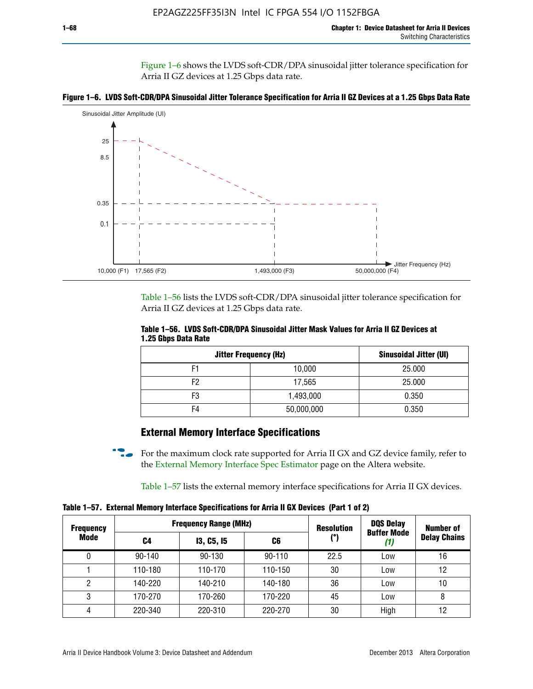Figure 1–6 shows the LVDS soft-CDR/DPA sinusoidal jitter tolerance specification for Arria II GZ devices at 1.25 Gbps data rate.





Table 1–56 lists the LVDS soft-CDR/DPA sinusoidal jitter tolerance specification for Arria II GZ devices at 1.25 Gbps data rate.

|                     | Table 1–56. LVDS Soft-CDR/DPA Sinusoidal Jitter Mask Values for Arria II GZ Devices at |  |  |
|---------------------|----------------------------------------------------------------------------------------|--|--|
| 1.25 Gbps Data Rate |                                                                                        |  |  |

| <b>Jitter Frequency (Hz)</b> | Sinusoidal Jitter (UI) |        |
|------------------------------|------------------------|--------|
| F1                           | 10,000                 | 25.000 |
| F2                           | 17,565                 | 25.000 |
| F3                           | 1,493,000              | 0.350  |
| F4                           | 50,000,000             | 0.350  |

## **External Memory Interface Specifications**

For the maximum clock rate supported for Arria II GX and GZ device family, refer to the [External Memory Interface Spec Estimator](http://www.altera.com/technology/memory/estimator/mem-emif-index.html) page on the Altera website.

Table 1–57 lists the external memory interface specifications for Arria II GX devices.

**Table 1–57. External Memory Interface Specifications for Arria II GX Devices (Part 1 of 2)**

| <b>Frequency</b> |            | <b>Frequency Range (MHz)</b> |            |      | <b>DQS Delay</b>   | <b>Number of</b>    |  |
|------------------|------------|------------------------------|------------|------|--------------------|---------------------|--|
| Mode             | C4         | <b>13, C5, 15</b><br>C6      |            | (°)  | <b>Buffer Mode</b> | <b>Delay Chains</b> |  |
| 0                | $90 - 140$ | 90-130                       | $90 - 110$ | 22.5 | Low                | 16                  |  |
|                  | 110-180    | 110-170                      | 110-150    | 30   | Low                | 12                  |  |
| 2                | 140-220    | 140-210                      | 140-180    | 36   | Low                | 10                  |  |
| 3                | 170-270    | 170-260                      | 170-220    | 45   | Low                | 8                   |  |
| 4                | 220-340    | 220-310                      | 220-270    | 30   | High               | 12                  |  |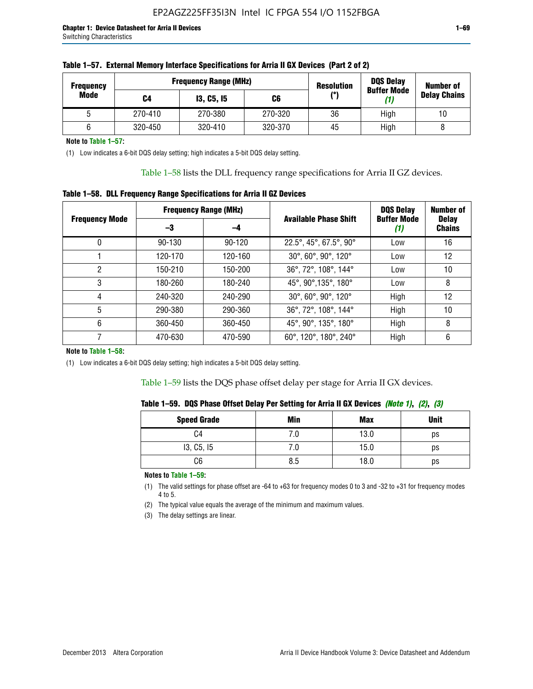| <b>Frequency</b> |         | <b>Frequency Range (MHz)</b> | <b>Resolution</b> |     |                           | <b>Number of</b>    |  |
|------------------|---------|------------------------------|-------------------|-----|---------------------------|---------------------|--|
| Mode             | C4      | <b>13, C5, 15</b>            | C6                | (°) | <b>Buffer Mode</b><br>(1) | <b>Delay Chains</b> |  |
|                  | 270-410 | 270-380                      | 270-320           | 36  | High                      | 10                  |  |
|                  | 320-450 | 320-410                      | 320-370           | 45  | High                      |                     |  |

**Note to Table 1–57:**

(1) Low indicates a 6-bit DQS delay setting; high indicates a 5-bit DQS delay setting.

Table 1–58 lists the DLL frequency range specifications for Arria II GZ devices.

### **Table 1–58. DLL Frequency Range Specifications for Arria II GZ Devices**

|                       | <b>Frequency Range (MHz)</b> |            |                              | <b>DOS Delay</b>          | <b>Number of</b>              |
|-----------------------|------------------------------|------------|------------------------------|---------------------------|-------------------------------|
| <b>Frequency Mode</b> | -3                           | -4         | <b>Available Phase Shift</b> | <b>Buffer Mode</b><br>(1) | <b>Delay</b><br><b>Chains</b> |
| 0                     | $90 - 130$                   | $90 - 120$ | 22.5°, 45°, 67.5°, 90°       | Low                       | 16                            |
|                       | 120-170                      | 120-160    | 30°, 60°, 90°, 120°          | Low                       | 12                            |
| 2                     | 150-210                      | 150-200    | 36°, 72°, 108°, 144°         | Low                       | 10                            |
| 3                     | 180-260                      | 180-240    | 45°, 90°, 135°, 180°         | Low                       | 8                             |
| 4                     | 240-320                      | 240-290    | 30°, 60°, 90°, 120°          | High                      | 12                            |
| 5                     | 290-380                      | 290-360    | 36°, 72°, 108°, 144°         | High                      | 10                            |
| 6                     | 360-450                      | 360-450    | 45°, 90°, 135°, 180°         | High                      | 8                             |
|                       | 470-630                      | 470-590    | 60°, 120°, 180°, 240°        | High                      | 6                             |

#### **Note to Table 1–58:**

(1) Low indicates a 6-bit DQS delay setting; high indicates a 5-bit DQS delay setting.

Table 1–59 lists the DQS phase offset delay per stage for Arria II GX devices.

|  | Table 1–59.  DQS Phase Offset Delay Per Setting for Arria II GX Devices <i>(Note 1), (2), (3)</i> |  |  |
|--|---------------------------------------------------------------------------------------------------|--|--|
|  |                                                                                                   |  |  |

| <b>Speed Grade</b> | Min  | <b>Max</b> | <b>Unit</b> |
|--------------------|------|------------|-------------|
| C4                 | ن. ا | 13.0       | ps          |
| 13, C5, I5         | 7.U  | 15.0       | ps          |
| C6                 | 8.5  | 18.0       | ps          |

**Notes to Table 1–59:**

(1) The valid settings for phase offset are -64 to +63 for frequency modes 0 to 3 and -32 to +31 for frequency modes 4 to 5.

(2) The typical value equals the average of the minimum and maximum values.

(3) The delay settings are linear.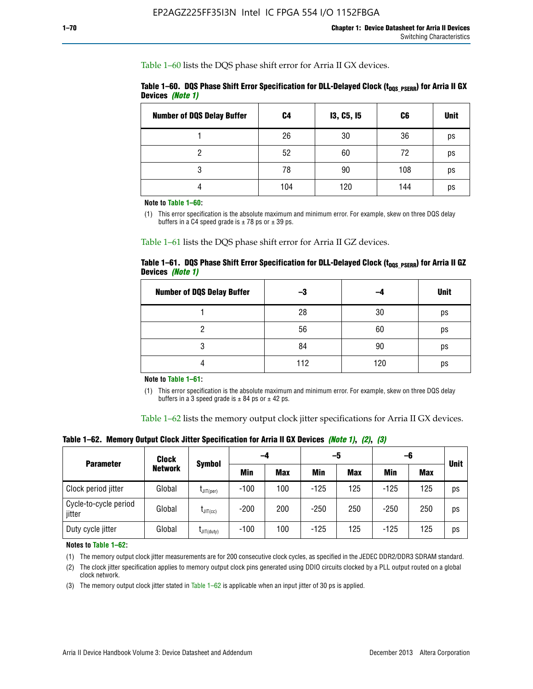Table 1–60 lists the DQS phase shift error for Arria II GX devices.

|                  | Table 1–60. DQS Phase Shift Error Specification for DLL-Delayed Clock ( $t_{\text{DOS PSERR}}$ ) for Arria II GX |  |
|------------------|------------------------------------------------------------------------------------------------------------------|--|
| Devices (Note 1) |                                                                                                                  |  |

| <b>Number of DQS Delay Buffer</b> | C4  | <b>13, C5, 15</b> | C6  | <b>Unit</b> |
|-----------------------------------|-----|-------------------|-----|-------------|
|                                   | 26  | 30                | 36  | ps          |
| ი                                 | 52  | 60                | 72  | ps          |
| 3                                 | 78  | 90                | 108 | ps          |
| 4                                 | 104 | 120               | 144 | ps          |

**Note to Table 1–60:**

(1) This error specification is the absolute maximum and minimum error. For example, skew on three DQS delay buffers in a C4 speed grade is  $\pm$  78 ps or  $\pm$  39 ps.

Table 1–61 lists the DQS phase shift error for Arria II GZ devices.

|                         |  | Table 1–61.DQS Phase Shift Error Specification for DLL-Delayed Clock (t <sub>oos PsERR</sub> ) for Arria II GZ |
|-------------------------|--|----------------------------------------------------------------------------------------------------------------|
| Devices <i>(Note 1)</i> |  |                                                                                                                |

| <b>Number of DQS Delay Buffer</b> | -3  |     | <b>Unit</b> |
|-----------------------------------|-----|-----|-------------|
|                                   | 28  | 30  | ps          |
|                                   | 56  | 60  | ps          |
| O                                 | 84  | 90  | ps          |
|                                   | 112 | 120 | ps          |

**Note to Table 1–61:**

(1) This error specification is the absolute maximum and minimum error. For example, skew on three DQS delay buffers in a 3 speed grade is  $\pm$  84 ps or  $\pm$  42 ps.

Table 1–62 lists the memory output clock jitter specifications for Arria II GX devices.

**Table 1–62. Memory Output Clock Jitter Specification for Arria II GX Devices** *(Note 1)***,** *(2)***,** *(3)*

| <b>Parameter</b>                | Clock          | Symbol               | -4     |            | -5     |            | -6         |            | <b>Unit</b> |
|---------------------------------|----------------|----------------------|--------|------------|--------|------------|------------|------------|-------------|
|                                 | <b>Network</b> |                      | Min    | <b>Max</b> | Min    | <b>Max</b> | <b>Min</b> | <b>Max</b> |             |
| Clock period jitter             | Global         | $L$ JIT(per)         | $-100$ | 100        | $-125$ | 125        | $-125$     | 125        | ps          |
| Cycle-to-cycle period<br>jitter | Global         | $L_{\text{JIT(cc)}}$ | $-200$ | 200        | $-250$ | 250        | $-250$     | 250        | ps          |
| Duty cycle jitter               | Global         | $L$ JIT $(du$ ty $)$ | $-100$ | 100        | $-125$ | 125        | $-125$     | 125        | ps          |

**Notes to Table 1–62:**

(1) The memory output clock jitter measurements are for 200 consecutive clock cycles, as specified in the JEDEC DDR2/DDR3 SDRAM standard.

(2) The clock jitter specification applies to memory output clock pins generated using DDIO circuits clocked by a PLL output routed on a global clock network.

(3) The memory output clock jitter stated in Table  $1-62$  is applicable when an input jitter of 30 ps is applied.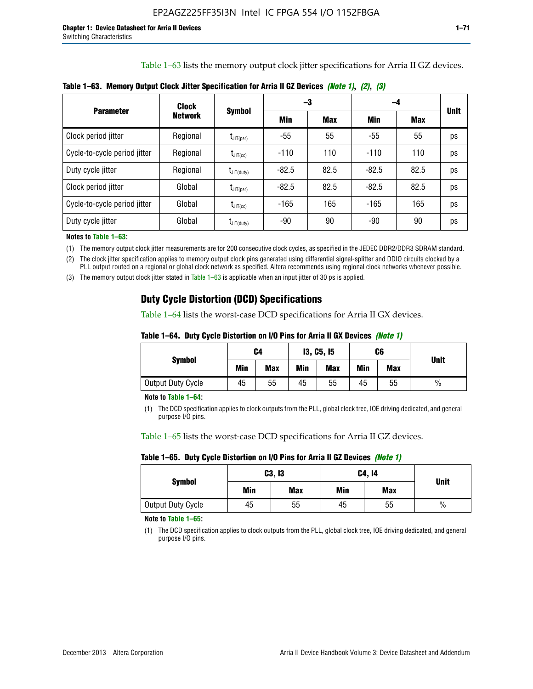Table 1–63 lists the memory output clock jitter specifications for Arria II GZ devices.

| <b>Parameter</b>             | Clock<br><b>Network</b> | <b>Symbol</b>          |         | -3         | -4      |            |             |
|------------------------------|-------------------------|------------------------|---------|------------|---------|------------|-------------|
|                              |                         |                        | Min     | <b>Max</b> | Min     | <b>Max</b> | <b>Unit</b> |
| Clock period jitter          | Regional                | $t_{\text{JIT(per)}}$  | -55     | 55         | $-55$   | 55         | ps          |
| Cycle-to-cycle period jitter | Regional                | $t_{\text{JIT(cc)}}$   | $-110$  | 110        | $-110$  | 110        | ps          |
| Duty cycle jitter            | Regional                | $t_{\text{JIT(duty)}}$ | $-82.5$ | 82.5       | $-82.5$ | 82.5       | ps          |
| Clock period jitter          | Global                  | $t_{\text{JIT(per)}}$  | $-82.5$ | 82.5       | $-82.5$ | 82.5       | ps          |
| Cycle-to-cycle period jitter | Global                  | $t_{\text{JIT(cc)}}$   | $-165$  | 165        | $-165$  | 165        | ps          |
| Duty cycle jitter            | Global                  | $t_{\text{JIT(duty)}}$ | -90     | 90         | -90     | 90         | ps          |

**Table 1–63. Memory Output Clock Jitter Specification for Arria II GZ Devices** *(Note 1)***,** *(2)***,** *(3)*

**Notes to Table 1–63:**

(1) The memory output clock jitter measurements are for 200 consecutive clock cycles, as specified in the JEDEC DDR2/DDR3 SDRAM standard.

(2) The clock jitter specification applies to memory output clock pins generated using differential signal-splitter and DDIO circuits clocked by a PLL output routed on a regional or global clock network as specified. Altera recommends using regional clock networks whenever possible.

(3) The memory output clock jitter stated in Table 1–63 is applicable when an input jitter of 30 ps is applied.

## **Duty Cycle Distortion (DCD) Specifications**

Table 1–64 lists the worst-case DCD specifications for Arria II GX devices.

| Table 1–64.  Duty Cycle Distortion on I/O Pins for Arria II GX Devices <i>(Note 1)</i> |  |  |
|----------------------------------------------------------------------------------------|--|--|
|----------------------------------------------------------------------------------------|--|--|

| <b>Symbol</b>     | C4  |            | <b>13, C5, 15</b> |            | C6  |            |               |
|-------------------|-----|------------|-------------------|------------|-----|------------|---------------|
|                   | Min | <b>Max</b> | Min               | <b>Max</b> | Min | <b>Max</b> | <b>Unit</b>   |
| Output Duty Cycle | 45  | 55         | 45                | 55         | 45  | 55         | $\frac{0}{0}$ |

**Note to Table 1–64:**

(1) The DCD specification applies to clock outputs from the PLL, global clock tree, IOE driving dedicated, and general purpose I/O pins.

Table 1–65 lists the worst-case DCD specifications for Arria II GZ devices.

**Table 1–65. Duty Cycle Distortion on I/O Pins for Arria II GZ Devices** *(Note 1)*

| <b>Symbol</b>     |     | C3, I3     | C4, 14 | <b>Unit</b> |      |  |
|-------------------|-----|------------|--------|-------------|------|--|
|                   | Min | <b>Max</b> | Min    | <b>Max</b>  |      |  |
| Output Duty Cycle | 45  | 55         | 45     | 55          | $\%$ |  |

**Note to Table 1–65:**

(1) The DCD specification applies to clock outputs from the PLL, global clock tree, IOE driving dedicated, and general purpose I/O pins.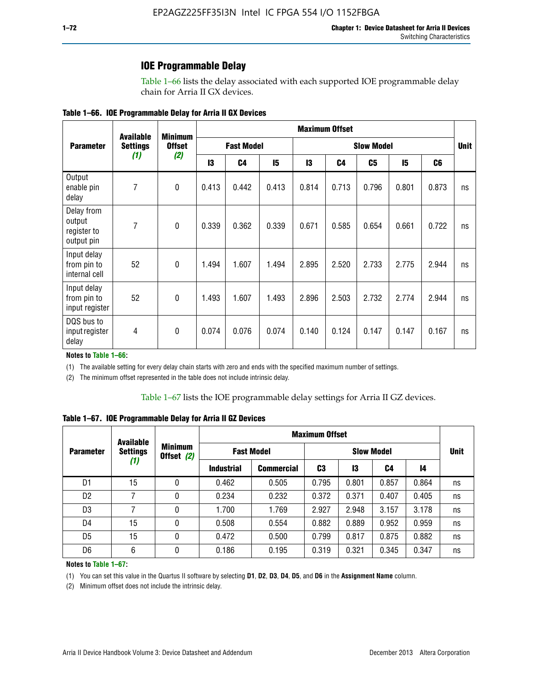### **IOE Programmable Delay**

Table 1–66 lists the delay associated with each supported IOE programmable delay chain for Arria II GX devices.

|  |  |  | Table 1–66. IOE Programmable Delay for Arria II GX Devices |
|--|--|--|------------------------------------------------------------|
|--|--|--|------------------------------------------------------------|

|                                                   | <b>Available</b> | <b>Minimum</b><br><b>Offset</b> | <b>Maximum Offset</b> |                |                   |       |                |       |             |                |    |
|---------------------------------------------------|------------------|---------------------------------|-----------------------|----------------|-------------------|-------|----------------|-------|-------------|----------------|----|
| <b>Parameter</b>                                  | <b>Settings</b>  |                                 | <b>Fast Model</b>     |                | <b>Slow Model</b> |       |                |       | <b>Unit</b> |                |    |
|                                                   | (1)              | (2)                             | 13                    | C <sub>4</sub> | 15                | 13    | C <sub>4</sub> | C5    | 15          | C <sub>6</sub> |    |
| Output<br>enable pin<br>delay                     | 7                | $\mathbf 0$                     | 0.413                 | 0.442          | 0.413             | 0.814 | 0.713          | 0.796 | 0.801       | 0.873          | ns |
| Delay from<br>output<br>register to<br>output pin | 7                | $\mathbf 0$                     | 0.339                 | 0.362          | 0.339             | 0.671 | 0.585          | 0.654 | 0.661       | 0.722          | ns |
| Input delay<br>from pin to<br>internal cell       | 52               | $\mathbf{0}$                    | 1.494                 | 1.607          | 1.494             | 2.895 | 2.520          | 2.733 | 2.775       | 2.944          | ns |
| Input delay<br>from pin to<br>input register      | 52               | $\mathbf{0}$                    | 1.493                 | 1.607          | 1.493             | 2.896 | 2.503          | 2.732 | 2.774       | 2.944          | ns |
| DQS bus to<br>input register<br>delay             | 4                | $\mathbf 0$                     | 0.074                 | 0.076          | 0.074             | 0.140 | 0.124          | 0.147 | 0.147       | 0.167          | ns |

**Notes to Table 1–66:**

(1) The available setting for every delay chain starts with zero and ends with the specified maximum number of settings.

(2) The minimum offset represented in the table does not include intrinsic delay.

**Table 1–67. IOE Programmable Delay for Arria II GZ Devices**

|                  | <b>Available</b><br><b>Settings</b><br>(1) | <b>Minimum</b><br>Offset (2) | <b>Maximum Offset</b> |                   |                   |       |       |       |             |
|------------------|--------------------------------------------|------------------------------|-----------------------|-------------------|-------------------|-------|-------|-------|-------------|
| <b>Parameter</b> |                                            |                              | <b>Fast Model</b>     |                   | <b>Slow Model</b> |       |       |       | <b>Unit</b> |
|                  |                                            |                              | <b>Industrial</b>     | <b>Commercial</b> | C3                | 13    | C4    | 14    |             |
| D1               | 15                                         | 0                            | 0.462                 | 0.505             | 0.795             | 0.801 | 0.857 | 0.864 | ns          |
| D <sub>2</sub>   | 7                                          | 0                            | 0.234                 | 0.232             | 0.372             | 0.371 | 0.407 | 0.405 | ns          |
| D <sub>3</sub>   | 7                                          | 0                            | 1.700                 | 1.769             | 2.927             | 2.948 | 3.157 | 3.178 | ns          |
| D4               | 15                                         | 0                            | 0.508                 | 0.554             | 0.882             | 0.889 | 0.952 | 0.959 | ns          |
| D <sub>5</sub>   | 15                                         | 0                            | 0.472                 | 0.500             | 0.799             | 0.817 | 0.875 | 0.882 | ns          |
| D <sub>6</sub>   | 6                                          | 0                            | 0.186                 | 0.195             | 0.319             | 0.321 | 0.345 | 0.347 | ns          |

#### **Notes to Table 1–67:**

(1) You can set this value in the Quartus II software by selecting **D1**, **D2**, **D3**, **D4**, **D5**, and **D6** in the **Assignment Name** column.

(2) Minimum offset does not include the intrinsic delay.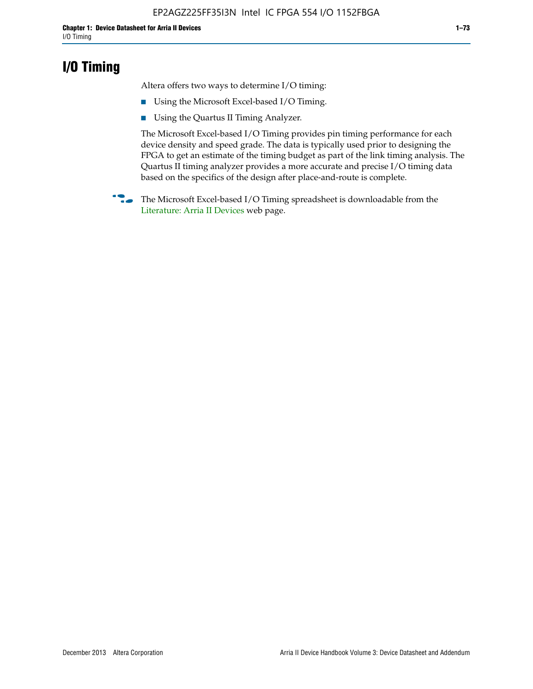## **I/O Timing**

Altera offers two ways to determine I/O timing:

- Using the Microsoft Excel-based I/O Timing.
- Using the Quartus II Timing Analyzer.

The Microsoft Excel-based I/O Timing provides pin timing performance for each device density and speed grade. The data is typically used prior to designing the FPGA to get an estimate of the timing budget as part of the link timing analysis. The Quartus II timing analyzer provides a more accurate and precise I/O timing data based on the specifics of the design after place-and-route is complete.

**f The Microsoft Excel-based I/O Timing spreadsheet is downloadable from the** [Literature: Arria II Devices](http://www.altera.com/literature/lit-arria-ii-gx.jsp) web page.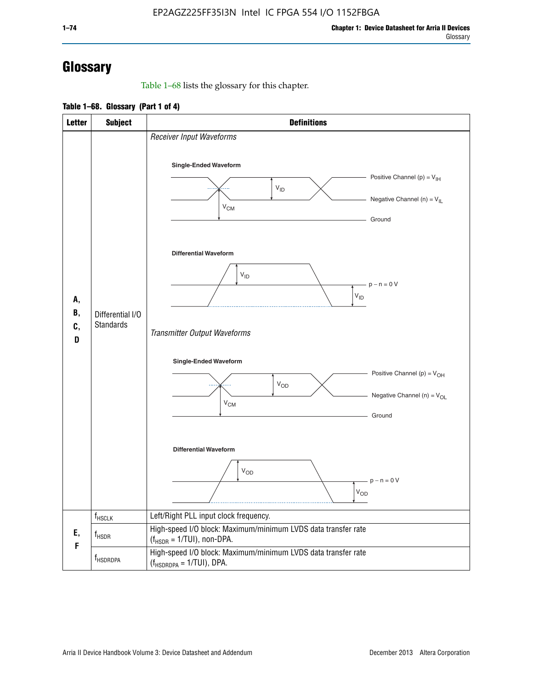# **Glossary**

Table 1–68 lists the glossary for this chapter.

**Table 1–68. Glossary (Part 1 of 4)**

| <b>Letter</b>  | <b>Subject</b>                       | <b>Definitions</b>                                                                                                                                                      |  |  |  |
|----------------|--------------------------------------|-------------------------------------------------------------------------------------------------------------------------------------------------------------------------|--|--|--|
|                |                                      | Receiver Input Waveforms<br>Single-Ended Waveform<br>Positive Channel (p) = $V_{\text{IH}}$<br>$V_{ID}$<br>Negative Channel (n) = $V_{IL}$                              |  |  |  |
|                |                                      | $V_{CM}$<br>Ground<br><b>Differential Waveform</b>                                                                                                                      |  |  |  |
| А,<br>В,<br>C, | Differential I/O<br><b>Standards</b> | $V_{ID}$<br>$-p - n = 0 V$<br>$V_{ID}$                                                                                                                                  |  |  |  |
| D              |                                      | Transmitter Output Waveforms<br><b>Single-Ended Waveform</b><br>Positive Channel (p) = $V_{OH}$<br><b>V<sub>OD</sub></b><br>Negative Channel (n) = $V_{OL}$<br>$V_{CM}$ |  |  |  |
|                |                                      | Ground<br><b>Differential Waveform</b><br>$V_{OD}$<br>$p - n = 0 V$<br>$V_{OD}$                                                                                         |  |  |  |
|                | $f_{\rm HSCLK}$                      | Left/Right PLL input clock frequency.                                                                                                                                   |  |  |  |
| Ε,<br>F        | $f_{\rm HSDR}$                       | High-speed I/O block: Maximum/minimum LVDS data transfer rate<br>$(f_{HSDR} = 1/TUI)$ , non-DPA.                                                                        |  |  |  |
|                | f <sub>HSDRDPA</sub>                 | High-speed I/O block: Maximum/minimum LVDS data transfer rate<br>$(f_{HSDRDPA} = 1/TUI)$ , DPA.                                                                         |  |  |  |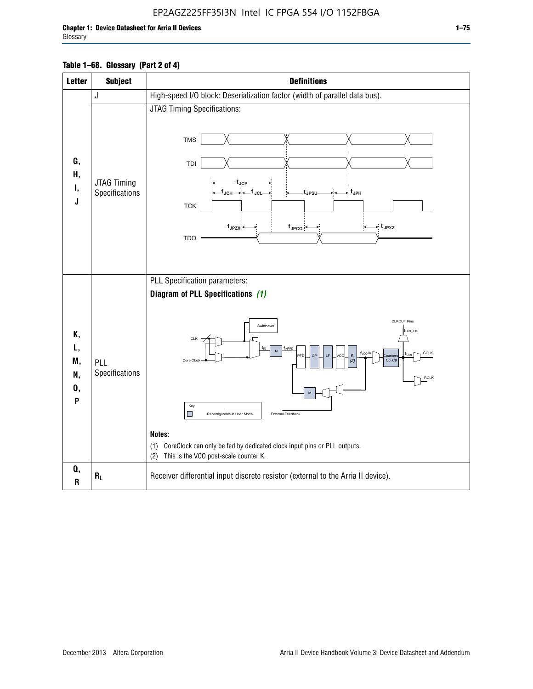### EP2AGZ225FF35I3N Intel IC FPGA 554 I/O 1152FBGA

### **Table 1–68. Glossary (Part 2 of 4)**

| <b>Letter</b>                   | <b>Subject</b>                | <b>Definitions</b>                                                                                                                                                                                                                                                                                                                                                                                                                                                                                               |  |  |
|---------------------------------|-------------------------------|------------------------------------------------------------------------------------------------------------------------------------------------------------------------------------------------------------------------------------------------------------------------------------------------------------------------------------------------------------------------------------------------------------------------------------------------------------------------------------------------------------------|--|--|
|                                 | J                             | High-speed I/O block: Deserialization factor (width of parallel data bus).                                                                                                                                                                                                                                                                                                                                                                                                                                       |  |  |
| G,<br>Н,<br>Ι,<br>J             | JTAG Timing<br>Specifications | JTAG Timing Specifications:<br><b>TMS</b><br>TDI<br>$t_{\rm JCP}$<br>t <sub>JCH</sub> → ← t <sub>JCL</sub><br>- t <sub>JPH</sub><br>tJPSU<br><b>TCK</b><br>$t_{JPZX}$<br>≠ t <sub>JPXZ</sub><br>$t_{\text{JPCO}}$<br><b>TDO</b>                                                                                                                                                                                                                                                                                  |  |  |
| Κ,<br>L,<br>M,<br>N,<br>0,<br>P | PLL<br>Specifications         | PLL Specification parameters:<br>Diagram of PLL Specifications (1)<br><b>CLKOUT Pins</b><br>Switchover<br>fout_ext<br>CLK<br>f <sub>INPFD</sub><br>$\overline{N}$<br>f <sub>vco</sub> /K<br><b>GCLK</b><br>CP<br>LE<br>K<br><b>PFD</b><br>ncc<br>nunter<br>Core Clock<br>CO.C9<br>(2)<br><b>RCLK</b><br>M<br>Key<br>External Feedback<br>Reconfigurable in User Mode<br>Notes:<br>CoreClock can only be fed by dedicated clock input pins or PLL outputs.<br>(1)<br>This is the VCO post-scale counter K.<br>(2) |  |  |
| Q,<br>$\mathsf R$               | $R_L$                         | Receiver differential input discrete resistor (external to the Arria II device).                                                                                                                                                                                                                                                                                                                                                                                                                                 |  |  |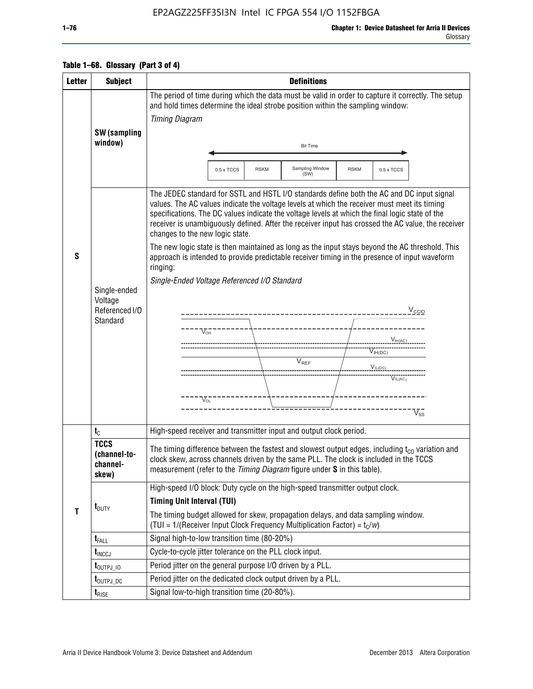### EP2AGZ225FF35I3N Intel IC FPGA 554 I/O 1152FBGA

Glossary

|  | Table 1–68. Glossary (Part 3 of 4) |
|--|------------------------------------|
|--|------------------------------------|

| <b>Letter</b> | <b>Subject</b>                                   | <b>Definitions</b>                                                                                                                                                                                                                                                                                                                                                                                                                                                                                                                       |  |  |  |  |
|---------------|--------------------------------------------------|------------------------------------------------------------------------------------------------------------------------------------------------------------------------------------------------------------------------------------------------------------------------------------------------------------------------------------------------------------------------------------------------------------------------------------------------------------------------------------------------------------------------------------------|--|--|--|--|
|               | <b>SW</b> (sampling                              | The period of time during which the data must be valid in order to capture it correctly. The setup<br>and hold times determine the ideal strobe position within the sampling window:<br><b>Timing Diagram</b>                                                                                                                                                                                                                                                                                                                            |  |  |  |  |
|               | window)                                          | <b>Bit Time</b>                                                                                                                                                                                                                                                                                                                                                                                                                                                                                                                          |  |  |  |  |
|               |                                                  | Sampling Window<br>0.5 x TCCS<br><b>RSKM</b><br><b>RSKM</b><br>0.5 x TCCS<br>(SW)                                                                                                                                                                                                                                                                                                                                                                                                                                                        |  |  |  |  |
| S             |                                                  | The JEDEC standard for SSTL and HSTL I/O standards define both the AC and DC input signal<br>values. The AC values indicate the voltage levels at which the receiver must meet its timing<br>specifications. The DC values indicate the voltage levels at which the final logic state of the<br>receiver is unambiguously defined. After the receiver input has crossed the AC value, the receiver<br>changes to the new logic state.<br>The new logic state is then maintained as long as the input stays beyond the AC threshold. This |  |  |  |  |
|               |                                                  | approach is intended to provide predictable receiver timing in the presence of input waveform<br>ringing:                                                                                                                                                                                                                                                                                                                                                                                                                                |  |  |  |  |
|               | Single-ended                                     | Single-Ended Voltage Referenced I/O Standard                                                                                                                                                                                                                                                                                                                                                                                                                                                                                             |  |  |  |  |
|               | Voltage<br>Referenced I/O<br>Standard            | V <sub>CCIO</sub><br>---------------------                                                                                                                                                                                                                                                                                                                                                                                                                                                                                               |  |  |  |  |
|               |                                                  | $V_{OH}$<br>$V_{H(AC)}$                                                                                                                                                                                                                                                                                                                                                                                                                                                                                                                  |  |  |  |  |
|               |                                                  | $V_{IH(DC)}$                                                                                                                                                                                                                                                                                                                                                                                                                                                                                                                             |  |  |  |  |
|               |                                                  | V <sub>REF</sub><br>$V_{I L (DC)}$<br>$V^{\bullet\bullet\bullet\bullet}_{\mathsf{IL}(\mathsf{AC})}$                                                                                                                                                                                                                                                                                                                                                                                                                                      |  |  |  |  |
|               |                                                  |                                                                                                                                                                                                                                                                                                                                                                                                                                                                                                                                          |  |  |  |  |
|               |                                                  | $\sqrt{\ }_{OL}$<br>$\rm\overline{V_{SS}}$                                                                                                                                                                                                                                                                                                                                                                                                                                                                                               |  |  |  |  |
|               | $t_{\rm C}$                                      | High-speed receiver and transmitter input and output clock period.                                                                                                                                                                                                                                                                                                                                                                                                                                                                       |  |  |  |  |
|               | <b>TCCS</b><br>(channel-to-<br>channel-<br>skew) | The timing difference between the fastest and slowest output edges, including $t_{c0}$ variation and<br>clock skew, across channels driven by the same PLL. The clock is included in the TCCS<br>measurement (refer to the Timing Diagram figure under S in this table).                                                                                                                                                                                                                                                                 |  |  |  |  |
|               |                                                  | High-speed I/O block: Duty cycle on the high-speed transmitter output clock.                                                                                                                                                                                                                                                                                                                                                                                                                                                             |  |  |  |  |
| T             | $t_{\text{DUTY}}$                                | <b>Timing Unit Interval (TUI)</b><br>The timing budget allowed for skew, propagation delays, and data sampling window.<br>(TUI = $1/($ Receiver Input Clock Frequency Multiplication Factor) = $t_c/w$ )                                                                                                                                                                                                                                                                                                                                 |  |  |  |  |
|               | $t_{\sf FALL}$                                   | Signal high-to-low transition time (80-20%)                                                                                                                                                                                                                                                                                                                                                                                                                                                                                              |  |  |  |  |
|               | $t_{\text{INCCJ}}$                               | Cycle-to-cycle jitter tolerance on the PLL clock input.                                                                                                                                                                                                                                                                                                                                                                                                                                                                                  |  |  |  |  |
|               | $t_{\text{OUTPJ\_10}}$                           | Period jitter on the general purpose I/O driven by a PLL.                                                                                                                                                                                                                                                                                                                                                                                                                                                                                |  |  |  |  |
|               | t <sub>outpj_dc</sub>                            | Period jitter on the dedicated clock output driven by a PLL.                                                                                                                                                                                                                                                                                                                                                                                                                                                                             |  |  |  |  |
|               | $t_{\text{RISE}}$                                | Signal low-to-high transition time (20-80%).                                                                                                                                                                                                                                                                                                                                                                                                                                                                                             |  |  |  |  |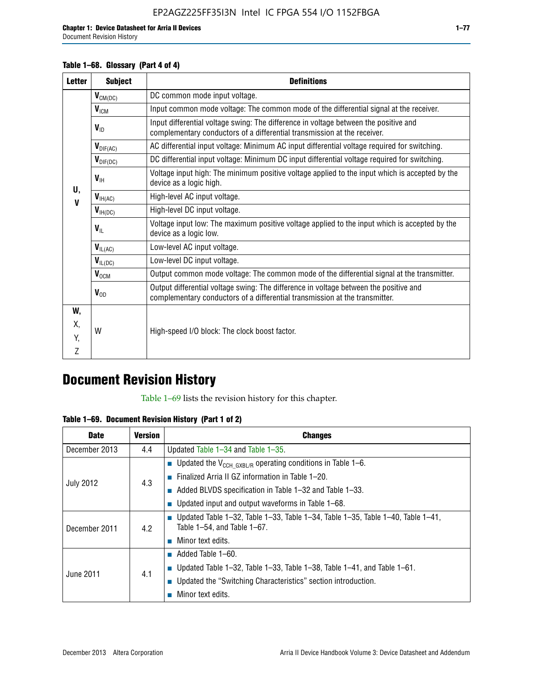### **Table 1–68. Glossary (Part 4 of 4)**

| <b>Letter</b> | <b>Subject</b>       | <b>Definitions</b>                                                                                                                                                   |
|---------------|----------------------|----------------------------------------------------------------------------------------------------------------------------------------------------------------------|
|               | $V_{CM(DC)}$         | DC common mode input voltage.                                                                                                                                        |
|               | $V_{ICM}$            | Input common mode voltage: The common mode of the differential signal at the receiver.                                                                               |
|               | $V_{ID}$             | Input differential voltage swing: The difference in voltage between the positive and<br>complementary conductors of a differential transmission at the receiver.     |
|               | $V_{\text{DIF(AC)}}$ | AC differential input voltage: Minimum AC input differential voltage required for switching.                                                                         |
|               | $V_{\text{DIF(DC)}}$ | DC differential input voltage: Minimum DC input differential voltage required for switching.                                                                         |
| U,            | $V_{\text{IH}}$      | Voltage input high: The minimum positive voltage applied to the input which is accepted by the<br>device as a logic high.                                            |
| V             | $V_{H(AC)}$          | High-level AC input voltage.                                                                                                                                         |
|               | $V_{H(DC)}$          | High-level DC input voltage.                                                                                                                                         |
|               | $V_{\text{IL}}$      | Voltage input low: The maximum positive voltage applied to the input which is accepted by the<br>device as a logic low.                                              |
|               | $V_{IL(AC)}$         | Low-level AC input voltage.                                                                                                                                          |
|               | $V_{IL(DC)}$         | Low-level DC input voltage.                                                                                                                                          |
|               | $V_{\text{OCM}}$     | Output common mode voltage: The common mode of the differential signal at the transmitter.                                                                           |
|               | $V_{OD}$             | Output differential voltage swing: The difference in voltage between the positive and<br>complementary conductors of a differential transmission at the transmitter. |
| W,            |                      |                                                                                                                                                                      |
| Х,            | W                    | High-speed I/O block: The clock boost factor.                                                                                                                        |
| Y.            |                      |                                                                                                                                                                      |
| Z             |                      |                                                                                                                                                                      |

## **Document Revision History**

Table 1–69 lists the revision history for this chapter.

**Table 1–69. Document Revision History (Part 1 of 2)**

| <b>Date</b>      | <b>Version</b> | <b>Changes</b>                                                                                                                |
|------------------|----------------|-------------------------------------------------------------------------------------------------------------------------------|
| December 2013    | 4.4            | Updated Table $1-34$ and Table $1-35$ .                                                                                       |
|                  |                | ■ Updated the $V_{CCH GXBL/R}$ operating conditions in Table 1–6.                                                             |
|                  | 4.3            | ■ Finalized Arria II GZ information in Table $1-20$ .                                                                         |
| <b>July 2012</b> |                | $\blacksquare$ Added BLVDS specification in Table 1-32 and Table 1-33.                                                        |
|                  |                | <b>Updated input and output waveforms in Table 1–68.</b>                                                                      |
| December 2011    | 4.2            | $\blacksquare$ Updated Table 1-32, Table 1-33, Table 1-34, Table 1-35, Table 1-40, Table 1-41,<br>Table 1-54, and Table 1-67. |
|                  |                | $\blacksquare$ Minor text edits.                                                                                              |
|                  | 4.1            | $\blacksquare$ Added Table 1–60.                                                                                              |
| June 2011        |                | Updated Table 1-32, Table 1-33, Table 1-38, Table 1-41, and Table 1-61.                                                       |
|                  |                | ■ Updated the "Switching Characteristics" section introduction.                                                               |
|                  |                | Minor text edits.                                                                                                             |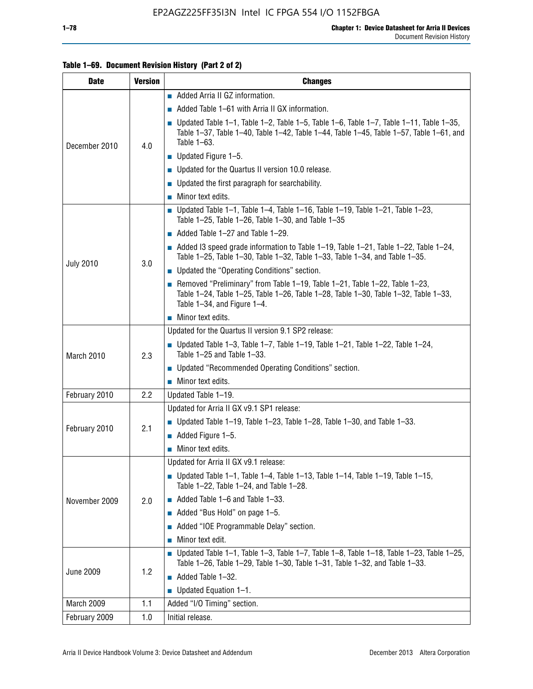### **Table 1–69. Document Revision History (Part 2 of 2)**

| <b>Date</b>      | <b>Version</b> | <b>Changes</b>                                                                                                                                                                                                  |
|------------------|----------------|-----------------------------------------------------------------------------------------------------------------------------------------------------------------------------------------------------------------|
|                  |                | Added Arria II GZ information.                                                                                                                                                                                  |
| December 2010    |                | $\blacksquare$ Added Table 1–61 with Arria II GX information.                                                                                                                                                   |
|                  | 4.0            | $\blacksquare$ Updated Table 1-1, Table 1-2, Table 1-5, Table 1-6, Table 1-7, Table 1-11, Table 1-35,<br>Table 1-37, Table 1-40, Table 1-42, Table 1-44, Table 1-45, Table 1-57, Table 1-61, and<br>Table 1-63. |
|                  |                | $\blacksquare$ Updated Figure 1-5.                                                                                                                                                                              |
|                  |                | • Updated for the Quartus II version 10.0 release.                                                                                                                                                              |
|                  |                | $\blacksquare$ Updated the first paragraph for searchability.                                                                                                                                                   |
|                  |                | $\blacksquare$ Minor text edits.                                                                                                                                                                                |
|                  |                | Updated Table 1-1, Table 1-4, Table 1-16, Table 1-19, Table 1-21, Table 1-23,<br>Table $1-25$ , Table $1-26$ , Table $1-30$ , and Table $1-35$                                                                  |
|                  |                | $\blacksquare$ Added Table 1-27 and Table 1-29.                                                                                                                                                                 |
|                  | 3.0            | $\blacksquare$ Added I3 speed grade information to Table 1-19, Table 1-21, Table 1-22, Table 1-24,<br>Table 1-25, Table 1-30, Table 1-32, Table 1-33, Table 1-34, and Table 1-35.                               |
| <b>July 2010</b> |                | • Updated the "Operating Conditions" section.                                                                                                                                                                   |
|                  |                | Removed "Preliminary" from Table $1-19$ , Table $1-21$ , Table $1-22$ , Table $1-23$ ,<br>Table 1-24, Table 1-25, Table 1-26, Table 1-28, Table 1-30, Table 1-32, Table 1-33,<br>Table 1-34, and Figure 1-4.    |
|                  |                | Minor text edits.                                                                                                                                                                                               |
|                  | 2.3            | Updated for the Quartus II version 9.1 SP2 release:                                                                                                                                                             |
| March 2010       |                | Updated Table 1–3, Table 1–7, Table 1–19, Table 1–21, Table 1–22, Table 1–24,<br>Table 1-25 and Table 1-33.                                                                                                     |
|                  |                | ■ Updated "Recommended Operating Conditions" section.                                                                                                                                                           |
|                  |                | $\blacksquare$ Minor text edits.                                                                                                                                                                                |
| February 2010    | 2.2            | Updated Table 1-19.                                                                                                                                                                                             |
|                  |                | Updated for Arria II GX v9.1 SP1 release:                                                                                                                                                                       |
| February 2010    | 2.1            | Updated Table 1–19, Table 1–23, Table 1–28, Table 1–30, and Table 1–33.                                                                                                                                         |
|                  |                | Added Figure 1-5.                                                                                                                                                                                               |
|                  |                | $\blacksquare$ Minor text edits.                                                                                                                                                                                |
|                  |                | Updated for Arria II GX v9.1 release:                                                                                                                                                                           |
|                  |                | Updated Table 1–1, Table 1–4, Table 1–13, Table 1–14, Table 1–19, Table 1–15,<br>Table 1-22, Table 1-24, and Table 1-28.                                                                                        |
| November 2009    | 2.0            | $\blacksquare$ Added Table 1-6 and Table 1-33.                                                                                                                                                                  |
|                  |                | Added "Bus Hold" on page 1-5.                                                                                                                                                                                   |
|                  |                | Added "IOE Programmable Delay" section.<br>П                                                                                                                                                                    |
|                  |                | Minor text edit.                                                                                                                                                                                                |
| <b>June 2009</b> |                | <b>Updated Table 1–1, Table 1–3, Table 1–7, Table 1–8, Table 1–18, Table 1–23, Table 1–25,</b><br>Table 1-26, Table 1-29, Table 1-30, Table 1-31, Table 1-32, and Table 1-33.                                   |
|                  | 1.2            | Added Table 1-32.                                                                                                                                                                                               |
|                  |                | Updated Equation 1-1.<br>$\Box$                                                                                                                                                                                 |
| March 2009       | 1.1            | Added "I/O Timing" section.                                                                                                                                                                                     |
| February 2009    | 1.0            | Initial release.                                                                                                                                                                                                |